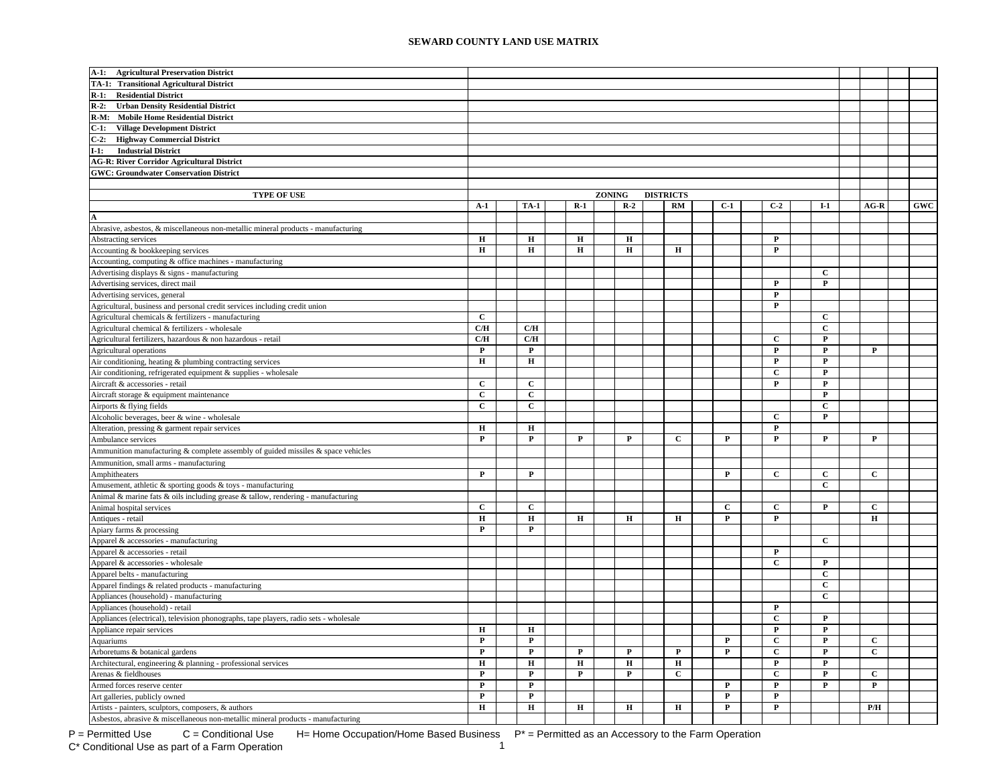| TA-1: Transitional Agricultural District<br>R-1: Residential District<br>$R-2$ :<br><b>Urban Density Residential District</b><br>R-M: Mobile Home Residential District<br>$C-1$ :<br><b>Village Development District</b><br>C-2: Highway Commercial District<br>$I-1:$<br><b>Industrial District</b><br><b>AG-R: River Corridor Agricultural District</b><br><b>GWC: Groundwater Conservation District</b><br><b>TYPE OF USE</b><br>ZONING<br><b>DISTRICTS</b><br>$R-1$<br>$R-2$<br>RM<br>$C-1$<br>$C-2$<br>${\bf GWC}$<br>$A-1$<br><b>TA-1</b><br>$I-1$<br>$AG-R$<br>$\bf H$<br>$\mathbf H$<br>$\bf H$<br>$\mathbf H$<br>P<br>н<br>н<br>н<br>$\mathbf H$<br>$\mathbf H$<br>P<br>$\mathbf C$<br>$\mathbf{P}$<br>$\mathbf{P}$<br>Advertising services, direct mail<br>$\mathbf{P}$<br>Advertising services, general<br>$\mathbf{P}$<br>Agricultural, business and personal credit services including credit union<br>$\mathbf c$<br>$\mathbf{C}$<br>Agricultural chemicals & fertilizers - manufacturing<br>C/H<br>$\mathbf C$<br>C/H<br>Agricultural chemical & fertilizers - wholesale<br>$\mathbf P$<br>$\mathbf{C}/\mathbf{H}$<br>C/H<br>Agricultural fertilizers, hazardous & non hazardous - retail<br>C<br>${\bf P}$<br>${\bf P}$<br>$\mathbf{P}$<br>$\mathbf P$<br>$\mathbf{P}$<br>Agricultural operations<br>$\bf H$<br>$\bf H$<br>Air conditioning, heating & plumbing contracting services<br>$\mathbf{P}$<br>$\mathbf{P}$<br>$\mathbf{C}$<br>$\mathbf P$<br>Air conditioning, refrigerated equipment & supplies - wholesale<br>$\overline{c}$<br>$\mathbf{C}$<br>$\mathbf P$<br>$\mathbf P$<br>Aircraft & accessories - retail<br>$\mathbf{C}$<br>$\mathbf{C}$<br>$\mathbf{P}$<br>Aircraft storage & equipment maintenance<br>$\mathbf{C}$<br>$\mathbf C$<br>$\mathbf{C}$<br>Airports & flying fields<br>$\mathbf P$<br>Alcoholic beverages, beer & wine - wholesale<br>$\mathbf{C}$<br>н<br>н<br>P<br>P<br>$\mathbf P$<br>$\mathbf P$<br>$\mathbf P$<br>$\mathbf P$<br>$\mathbf P$<br>P<br>C<br>P<br>Ammunition, small arms - manufacturing<br>$\mathbf P$<br>$\mathbf P$<br>$\mathbf C$<br>$\mathbf C$<br>$\mathbf C$<br>$\mathbf P$<br>Amphitheaters<br>$\mathbf C$<br>Amusement, athletic & sporting goods & toys - manufacturing<br>Animal & marine fats & oils including grease & tallow, rendering - manufacturing<br>$\mathbf{C}$<br>$\mathbf{C}$<br>Animal hospital services<br>$\mathbf{C}$<br>$\mathbf{C}$<br>C<br>$\mathbf{P}$<br>н<br>н<br>н<br>н<br>Antiques - retail<br>н<br>н<br>P<br>P<br>P<br>P<br>Apiary farms & processing<br>$\mathbf{C}$<br>Apparel & accessories - manufacturing<br>$\mathbf{P}$<br>Apparel & accessories - retail<br>$\mathbf{C}$<br>$\mathbf{P}$<br>Apparel & accessories - wholesale<br>$\mathbf{C}$<br>Apparel belts - manufacturing<br>Apparel findings & related products - manufacturing<br>$\mathbf{C}$<br>$\mathbf{C}$<br>Appliances (household) - manufacturing<br>Appliances (household) - retail<br>$\mathbf{P}$<br>$\mathbf C$<br>P<br>Appliances (electrical), television phonographs, tape players, radio sets - wholesale<br>$\bf H$<br>$\mathbf H$<br>$\mathbf{P}$<br>$\mathbf{P}$<br>$\mathbf C$<br>$\mathbf P$<br>$\mathbf P$<br>$\mathbf P$<br>${\bf P}$<br>$\mathbf c$<br>$\mathbf P$<br>$\mathbf{P}$<br>$\mathbf{P}$<br>$\mathbf P$<br>P<br>P<br>$\mathbf{C}$<br>$\mathbf{P}$<br>$\mathbf{C}$<br>$\bf H$<br>$\bf H$<br>$\bf H$<br>$\bf H$<br>$\mathbf H$<br>$\mathbf P$<br>$\mathbf P$<br>${\bf P}$<br>$\mathbf P$<br>$\mathbf{C}$<br>$\mathbf C$<br>$\mathbf{P}$<br>$\mathbf C$<br>P<br>P<br>${\bf P}$<br>$\mathbf P$<br>$\mathbf P$<br>$\mathbf{P}$<br>$\mathbf P$<br>P<br>$\mathbf P$<br>$\mathbf P$<br>$\mathbf P$<br>P<br>$\bf H$<br>$\bf H$<br>$\bf H$<br>$\mathbf H$<br>${\bf P}$<br>$\mathbf{P}$<br>н<br>P/H | $A-1$ :<br><b>Agricultural Preservation District</b>                              |  |  |  |  |  |  |  |  |  |
|----------------------------------------------------------------------------------------------------------------------------------------------------------------------------------------------------------------------------------------------------------------------------------------------------------------------------------------------------------------------------------------------------------------------------------------------------------------------------------------------------------------------------------------------------------------------------------------------------------------------------------------------------------------------------------------------------------------------------------------------------------------------------------------------------------------------------------------------------------------------------------------------------------------------------------------------------------------------------------------------------------------------------------------------------------------------------------------------------------------------------------------------------------------------------------------------------------------------------------------------------------------------------------------------------------------------------------------------------------------------------------------------------------------------------------------------------------------------------------------------------------------------------------------------------------------------------------------------------------------------------------------------------------------------------------------------------------------------------------------------------------------------------------------------------------------------------------------------------------------------------------------------------------------------------------------------------------------------------------------------------------------------------------------------------------------------------------------------------------------------------------------------------------------------------------------------------------------------------------------------------------------------------------------------------------------------------------------------------------------------------------------------------------------------------------------------------------------------------------------------------------------------------------------------------------------------------------------------------------------------------------------------------------------------------------------------------------------------------------------------------------------------------------------------------------------------------------------------------------------------------------------------------------------------------------------------------------------------------------------------------------------------------------------------------------------------------------------------------------------------------------------------------------------------------------------------------------------------------------------------------------------------------------------------------------------------------------------------------------------------------------------------------------------------------------------------------------------------------------------------------------------------------------------------------------------------------------------------------------------------------------------------------------------------------------------------------------------------------------------------------------------------------------------------|-----------------------------------------------------------------------------------|--|--|--|--|--|--|--|--|--|
|                                                                                                                                                                                                                                                                                                                                                                                                                                                                                                                                                                                                                                                                                                                                                                                                                                                                                                                                                                                                                                                                                                                                                                                                                                                                                                                                                                                                                                                                                                                                                                                                                                                                                                                                                                                                                                                                                                                                                                                                                                                                                                                                                                                                                                                                                                                                                                                                                                                                                                                                                                                                                                                                                                                                                                                                                                                                                                                                                                                                                                                                                                                                                                                                                                                                                                                                                                                                                                                                                                                                                                                                                                                                                                                                                                                              |                                                                                   |  |  |  |  |  |  |  |  |  |
|                                                                                                                                                                                                                                                                                                                                                                                                                                                                                                                                                                                                                                                                                                                                                                                                                                                                                                                                                                                                                                                                                                                                                                                                                                                                                                                                                                                                                                                                                                                                                                                                                                                                                                                                                                                                                                                                                                                                                                                                                                                                                                                                                                                                                                                                                                                                                                                                                                                                                                                                                                                                                                                                                                                                                                                                                                                                                                                                                                                                                                                                                                                                                                                                                                                                                                                                                                                                                                                                                                                                                                                                                                                                                                                                                                                              |                                                                                   |  |  |  |  |  |  |  |  |  |
|                                                                                                                                                                                                                                                                                                                                                                                                                                                                                                                                                                                                                                                                                                                                                                                                                                                                                                                                                                                                                                                                                                                                                                                                                                                                                                                                                                                                                                                                                                                                                                                                                                                                                                                                                                                                                                                                                                                                                                                                                                                                                                                                                                                                                                                                                                                                                                                                                                                                                                                                                                                                                                                                                                                                                                                                                                                                                                                                                                                                                                                                                                                                                                                                                                                                                                                                                                                                                                                                                                                                                                                                                                                                                                                                                                                              |                                                                                   |  |  |  |  |  |  |  |  |  |
|                                                                                                                                                                                                                                                                                                                                                                                                                                                                                                                                                                                                                                                                                                                                                                                                                                                                                                                                                                                                                                                                                                                                                                                                                                                                                                                                                                                                                                                                                                                                                                                                                                                                                                                                                                                                                                                                                                                                                                                                                                                                                                                                                                                                                                                                                                                                                                                                                                                                                                                                                                                                                                                                                                                                                                                                                                                                                                                                                                                                                                                                                                                                                                                                                                                                                                                                                                                                                                                                                                                                                                                                                                                                                                                                                                                              |                                                                                   |  |  |  |  |  |  |  |  |  |
|                                                                                                                                                                                                                                                                                                                                                                                                                                                                                                                                                                                                                                                                                                                                                                                                                                                                                                                                                                                                                                                                                                                                                                                                                                                                                                                                                                                                                                                                                                                                                                                                                                                                                                                                                                                                                                                                                                                                                                                                                                                                                                                                                                                                                                                                                                                                                                                                                                                                                                                                                                                                                                                                                                                                                                                                                                                                                                                                                                                                                                                                                                                                                                                                                                                                                                                                                                                                                                                                                                                                                                                                                                                                                                                                                                                              |                                                                                   |  |  |  |  |  |  |  |  |  |
|                                                                                                                                                                                                                                                                                                                                                                                                                                                                                                                                                                                                                                                                                                                                                                                                                                                                                                                                                                                                                                                                                                                                                                                                                                                                                                                                                                                                                                                                                                                                                                                                                                                                                                                                                                                                                                                                                                                                                                                                                                                                                                                                                                                                                                                                                                                                                                                                                                                                                                                                                                                                                                                                                                                                                                                                                                                                                                                                                                                                                                                                                                                                                                                                                                                                                                                                                                                                                                                                                                                                                                                                                                                                                                                                                                                              |                                                                                   |  |  |  |  |  |  |  |  |  |
|                                                                                                                                                                                                                                                                                                                                                                                                                                                                                                                                                                                                                                                                                                                                                                                                                                                                                                                                                                                                                                                                                                                                                                                                                                                                                                                                                                                                                                                                                                                                                                                                                                                                                                                                                                                                                                                                                                                                                                                                                                                                                                                                                                                                                                                                                                                                                                                                                                                                                                                                                                                                                                                                                                                                                                                                                                                                                                                                                                                                                                                                                                                                                                                                                                                                                                                                                                                                                                                                                                                                                                                                                                                                                                                                                                                              |                                                                                   |  |  |  |  |  |  |  |  |  |
|                                                                                                                                                                                                                                                                                                                                                                                                                                                                                                                                                                                                                                                                                                                                                                                                                                                                                                                                                                                                                                                                                                                                                                                                                                                                                                                                                                                                                                                                                                                                                                                                                                                                                                                                                                                                                                                                                                                                                                                                                                                                                                                                                                                                                                                                                                                                                                                                                                                                                                                                                                                                                                                                                                                                                                                                                                                                                                                                                                                                                                                                                                                                                                                                                                                                                                                                                                                                                                                                                                                                                                                                                                                                                                                                                                                              |                                                                                   |  |  |  |  |  |  |  |  |  |
|                                                                                                                                                                                                                                                                                                                                                                                                                                                                                                                                                                                                                                                                                                                                                                                                                                                                                                                                                                                                                                                                                                                                                                                                                                                                                                                                                                                                                                                                                                                                                                                                                                                                                                                                                                                                                                                                                                                                                                                                                                                                                                                                                                                                                                                                                                                                                                                                                                                                                                                                                                                                                                                                                                                                                                                                                                                                                                                                                                                                                                                                                                                                                                                                                                                                                                                                                                                                                                                                                                                                                                                                                                                                                                                                                                                              |                                                                                   |  |  |  |  |  |  |  |  |  |
|                                                                                                                                                                                                                                                                                                                                                                                                                                                                                                                                                                                                                                                                                                                                                                                                                                                                                                                                                                                                                                                                                                                                                                                                                                                                                                                                                                                                                                                                                                                                                                                                                                                                                                                                                                                                                                                                                                                                                                                                                                                                                                                                                                                                                                                                                                                                                                                                                                                                                                                                                                                                                                                                                                                                                                                                                                                                                                                                                                                                                                                                                                                                                                                                                                                                                                                                                                                                                                                                                                                                                                                                                                                                                                                                                                                              |                                                                                   |  |  |  |  |  |  |  |  |  |
|                                                                                                                                                                                                                                                                                                                                                                                                                                                                                                                                                                                                                                                                                                                                                                                                                                                                                                                                                                                                                                                                                                                                                                                                                                                                                                                                                                                                                                                                                                                                                                                                                                                                                                                                                                                                                                                                                                                                                                                                                                                                                                                                                                                                                                                                                                                                                                                                                                                                                                                                                                                                                                                                                                                                                                                                                                                                                                                                                                                                                                                                                                                                                                                                                                                                                                                                                                                                                                                                                                                                                                                                                                                                                                                                                                                              |                                                                                   |  |  |  |  |  |  |  |  |  |
|                                                                                                                                                                                                                                                                                                                                                                                                                                                                                                                                                                                                                                                                                                                                                                                                                                                                                                                                                                                                                                                                                                                                                                                                                                                                                                                                                                                                                                                                                                                                                                                                                                                                                                                                                                                                                                                                                                                                                                                                                                                                                                                                                                                                                                                                                                                                                                                                                                                                                                                                                                                                                                                                                                                                                                                                                                                                                                                                                                                                                                                                                                                                                                                                                                                                                                                                                                                                                                                                                                                                                                                                                                                                                                                                                                                              |                                                                                   |  |  |  |  |  |  |  |  |  |
|                                                                                                                                                                                                                                                                                                                                                                                                                                                                                                                                                                                                                                                                                                                                                                                                                                                                                                                                                                                                                                                                                                                                                                                                                                                                                                                                                                                                                                                                                                                                                                                                                                                                                                                                                                                                                                                                                                                                                                                                                                                                                                                                                                                                                                                                                                                                                                                                                                                                                                                                                                                                                                                                                                                                                                                                                                                                                                                                                                                                                                                                                                                                                                                                                                                                                                                                                                                                                                                                                                                                                                                                                                                                                                                                                                                              |                                                                                   |  |  |  |  |  |  |  |  |  |
|                                                                                                                                                                                                                                                                                                                                                                                                                                                                                                                                                                                                                                                                                                                                                                                                                                                                                                                                                                                                                                                                                                                                                                                                                                                                                                                                                                                                                                                                                                                                                                                                                                                                                                                                                                                                                                                                                                                                                                                                                                                                                                                                                                                                                                                                                                                                                                                                                                                                                                                                                                                                                                                                                                                                                                                                                                                                                                                                                                                                                                                                                                                                                                                                                                                                                                                                                                                                                                                                                                                                                                                                                                                                                                                                                                                              |                                                                                   |  |  |  |  |  |  |  |  |  |
|                                                                                                                                                                                                                                                                                                                                                                                                                                                                                                                                                                                                                                                                                                                                                                                                                                                                                                                                                                                                                                                                                                                                                                                                                                                                                                                                                                                                                                                                                                                                                                                                                                                                                                                                                                                                                                                                                                                                                                                                                                                                                                                                                                                                                                                                                                                                                                                                                                                                                                                                                                                                                                                                                                                                                                                                                                                                                                                                                                                                                                                                                                                                                                                                                                                                                                                                                                                                                                                                                                                                                                                                                                                                                                                                                                                              | Abrasive, asbestos, & miscellaneous non-metallic mineral products - manufacturing |  |  |  |  |  |  |  |  |  |
|                                                                                                                                                                                                                                                                                                                                                                                                                                                                                                                                                                                                                                                                                                                                                                                                                                                                                                                                                                                                                                                                                                                                                                                                                                                                                                                                                                                                                                                                                                                                                                                                                                                                                                                                                                                                                                                                                                                                                                                                                                                                                                                                                                                                                                                                                                                                                                                                                                                                                                                                                                                                                                                                                                                                                                                                                                                                                                                                                                                                                                                                                                                                                                                                                                                                                                                                                                                                                                                                                                                                                                                                                                                                                                                                                                                              | Abstracting services                                                              |  |  |  |  |  |  |  |  |  |
|                                                                                                                                                                                                                                                                                                                                                                                                                                                                                                                                                                                                                                                                                                                                                                                                                                                                                                                                                                                                                                                                                                                                                                                                                                                                                                                                                                                                                                                                                                                                                                                                                                                                                                                                                                                                                                                                                                                                                                                                                                                                                                                                                                                                                                                                                                                                                                                                                                                                                                                                                                                                                                                                                                                                                                                                                                                                                                                                                                                                                                                                                                                                                                                                                                                                                                                                                                                                                                                                                                                                                                                                                                                                                                                                                                                              | Accounting & bookkeeping services                                                 |  |  |  |  |  |  |  |  |  |
|                                                                                                                                                                                                                                                                                                                                                                                                                                                                                                                                                                                                                                                                                                                                                                                                                                                                                                                                                                                                                                                                                                                                                                                                                                                                                                                                                                                                                                                                                                                                                                                                                                                                                                                                                                                                                                                                                                                                                                                                                                                                                                                                                                                                                                                                                                                                                                                                                                                                                                                                                                                                                                                                                                                                                                                                                                                                                                                                                                                                                                                                                                                                                                                                                                                                                                                                                                                                                                                                                                                                                                                                                                                                                                                                                                                              | Accounting, computing & office machines - manufacturing                           |  |  |  |  |  |  |  |  |  |
|                                                                                                                                                                                                                                                                                                                                                                                                                                                                                                                                                                                                                                                                                                                                                                                                                                                                                                                                                                                                                                                                                                                                                                                                                                                                                                                                                                                                                                                                                                                                                                                                                                                                                                                                                                                                                                                                                                                                                                                                                                                                                                                                                                                                                                                                                                                                                                                                                                                                                                                                                                                                                                                                                                                                                                                                                                                                                                                                                                                                                                                                                                                                                                                                                                                                                                                                                                                                                                                                                                                                                                                                                                                                                                                                                                                              | Advertising displays & signs - manufacturing                                      |  |  |  |  |  |  |  |  |  |
|                                                                                                                                                                                                                                                                                                                                                                                                                                                                                                                                                                                                                                                                                                                                                                                                                                                                                                                                                                                                                                                                                                                                                                                                                                                                                                                                                                                                                                                                                                                                                                                                                                                                                                                                                                                                                                                                                                                                                                                                                                                                                                                                                                                                                                                                                                                                                                                                                                                                                                                                                                                                                                                                                                                                                                                                                                                                                                                                                                                                                                                                                                                                                                                                                                                                                                                                                                                                                                                                                                                                                                                                                                                                                                                                                                                              |                                                                                   |  |  |  |  |  |  |  |  |  |
|                                                                                                                                                                                                                                                                                                                                                                                                                                                                                                                                                                                                                                                                                                                                                                                                                                                                                                                                                                                                                                                                                                                                                                                                                                                                                                                                                                                                                                                                                                                                                                                                                                                                                                                                                                                                                                                                                                                                                                                                                                                                                                                                                                                                                                                                                                                                                                                                                                                                                                                                                                                                                                                                                                                                                                                                                                                                                                                                                                                                                                                                                                                                                                                                                                                                                                                                                                                                                                                                                                                                                                                                                                                                                                                                                                                              |                                                                                   |  |  |  |  |  |  |  |  |  |
|                                                                                                                                                                                                                                                                                                                                                                                                                                                                                                                                                                                                                                                                                                                                                                                                                                                                                                                                                                                                                                                                                                                                                                                                                                                                                                                                                                                                                                                                                                                                                                                                                                                                                                                                                                                                                                                                                                                                                                                                                                                                                                                                                                                                                                                                                                                                                                                                                                                                                                                                                                                                                                                                                                                                                                                                                                                                                                                                                                                                                                                                                                                                                                                                                                                                                                                                                                                                                                                                                                                                                                                                                                                                                                                                                                                              |                                                                                   |  |  |  |  |  |  |  |  |  |
|                                                                                                                                                                                                                                                                                                                                                                                                                                                                                                                                                                                                                                                                                                                                                                                                                                                                                                                                                                                                                                                                                                                                                                                                                                                                                                                                                                                                                                                                                                                                                                                                                                                                                                                                                                                                                                                                                                                                                                                                                                                                                                                                                                                                                                                                                                                                                                                                                                                                                                                                                                                                                                                                                                                                                                                                                                                                                                                                                                                                                                                                                                                                                                                                                                                                                                                                                                                                                                                                                                                                                                                                                                                                                                                                                                                              |                                                                                   |  |  |  |  |  |  |  |  |  |
|                                                                                                                                                                                                                                                                                                                                                                                                                                                                                                                                                                                                                                                                                                                                                                                                                                                                                                                                                                                                                                                                                                                                                                                                                                                                                                                                                                                                                                                                                                                                                                                                                                                                                                                                                                                                                                                                                                                                                                                                                                                                                                                                                                                                                                                                                                                                                                                                                                                                                                                                                                                                                                                                                                                                                                                                                                                                                                                                                                                                                                                                                                                                                                                                                                                                                                                                                                                                                                                                                                                                                                                                                                                                                                                                                                                              |                                                                                   |  |  |  |  |  |  |  |  |  |
|                                                                                                                                                                                                                                                                                                                                                                                                                                                                                                                                                                                                                                                                                                                                                                                                                                                                                                                                                                                                                                                                                                                                                                                                                                                                                                                                                                                                                                                                                                                                                                                                                                                                                                                                                                                                                                                                                                                                                                                                                                                                                                                                                                                                                                                                                                                                                                                                                                                                                                                                                                                                                                                                                                                                                                                                                                                                                                                                                                                                                                                                                                                                                                                                                                                                                                                                                                                                                                                                                                                                                                                                                                                                                                                                                                                              |                                                                                   |  |  |  |  |  |  |  |  |  |
|                                                                                                                                                                                                                                                                                                                                                                                                                                                                                                                                                                                                                                                                                                                                                                                                                                                                                                                                                                                                                                                                                                                                                                                                                                                                                                                                                                                                                                                                                                                                                                                                                                                                                                                                                                                                                                                                                                                                                                                                                                                                                                                                                                                                                                                                                                                                                                                                                                                                                                                                                                                                                                                                                                                                                                                                                                                                                                                                                                                                                                                                                                                                                                                                                                                                                                                                                                                                                                                                                                                                                                                                                                                                                                                                                                                              |                                                                                   |  |  |  |  |  |  |  |  |  |
|                                                                                                                                                                                                                                                                                                                                                                                                                                                                                                                                                                                                                                                                                                                                                                                                                                                                                                                                                                                                                                                                                                                                                                                                                                                                                                                                                                                                                                                                                                                                                                                                                                                                                                                                                                                                                                                                                                                                                                                                                                                                                                                                                                                                                                                                                                                                                                                                                                                                                                                                                                                                                                                                                                                                                                                                                                                                                                                                                                                                                                                                                                                                                                                                                                                                                                                                                                                                                                                                                                                                                                                                                                                                                                                                                                                              |                                                                                   |  |  |  |  |  |  |  |  |  |
|                                                                                                                                                                                                                                                                                                                                                                                                                                                                                                                                                                                                                                                                                                                                                                                                                                                                                                                                                                                                                                                                                                                                                                                                                                                                                                                                                                                                                                                                                                                                                                                                                                                                                                                                                                                                                                                                                                                                                                                                                                                                                                                                                                                                                                                                                                                                                                                                                                                                                                                                                                                                                                                                                                                                                                                                                                                                                                                                                                                                                                                                                                                                                                                                                                                                                                                                                                                                                                                                                                                                                                                                                                                                                                                                                                                              |                                                                                   |  |  |  |  |  |  |  |  |  |
|                                                                                                                                                                                                                                                                                                                                                                                                                                                                                                                                                                                                                                                                                                                                                                                                                                                                                                                                                                                                                                                                                                                                                                                                                                                                                                                                                                                                                                                                                                                                                                                                                                                                                                                                                                                                                                                                                                                                                                                                                                                                                                                                                                                                                                                                                                                                                                                                                                                                                                                                                                                                                                                                                                                                                                                                                                                                                                                                                                                                                                                                                                                                                                                                                                                                                                                                                                                                                                                                                                                                                                                                                                                                                                                                                                                              |                                                                                   |  |  |  |  |  |  |  |  |  |
|                                                                                                                                                                                                                                                                                                                                                                                                                                                                                                                                                                                                                                                                                                                                                                                                                                                                                                                                                                                                                                                                                                                                                                                                                                                                                                                                                                                                                                                                                                                                                                                                                                                                                                                                                                                                                                                                                                                                                                                                                                                                                                                                                                                                                                                                                                                                                                                                                                                                                                                                                                                                                                                                                                                                                                                                                                                                                                                                                                                                                                                                                                                                                                                                                                                                                                                                                                                                                                                                                                                                                                                                                                                                                                                                                                                              |                                                                                   |  |  |  |  |  |  |  |  |  |
|                                                                                                                                                                                                                                                                                                                                                                                                                                                                                                                                                                                                                                                                                                                                                                                                                                                                                                                                                                                                                                                                                                                                                                                                                                                                                                                                                                                                                                                                                                                                                                                                                                                                                                                                                                                                                                                                                                                                                                                                                                                                                                                                                                                                                                                                                                                                                                                                                                                                                                                                                                                                                                                                                                                                                                                                                                                                                                                                                                                                                                                                                                                                                                                                                                                                                                                                                                                                                                                                                                                                                                                                                                                                                                                                                                                              |                                                                                   |  |  |  |  |  |  |  |  |  |
|                                                                                                                                                                                                                                                                                                                                                                                                                                                                                                                                                                                                                                                                                                                                                                                                                                                                                                                                                                                                                                                                                                                                                                                                                                                                                                                                                                                                                                                                                                                                                                                                                                                                                                                                                                                                                                                                                                                                                                                                                                                                                                                                                                                                                                                                                                                                                                                                                                                                                                                                                                                                                                                                                                                                                                                                                                                                                                                                                                                                                                                                                                                                                                                                                                                                                                                                                                                                                                                                                                                                                                                                                                                                                                                                                                                              |                                                                                   |  |  |  |  |  |  |  |  |  |
|                                                                                                                                                                                                                                                                                                                                                                                                                                                                                                                                                                                                                                                                                                                                                                                                                                                                                                                                                                                                                                                                                                                                                                                                                                                                                                                                                                                                                                                                                                                                                                                                                                                                                                                                                                                                                                                                                                                                                                                                                                                                                                                                                                                                                                                                                                                                                                                                                                                                                                                                                                                                                                                                                                                                                                                                                                                                                                                                                                                                                                                                                                                                                                                                                                                                                                                                                                                                                                                                                                                                                                                                                                                                                                                                                                                              |                                                                                   |  |  |  |  |  |  |  |  |  |
|                                                                                                                                                                                                                                                                                                                                                                                                                                                                                                                                                                                                                                                                                                                                                                                                                                                                                                                                                                                                                                                                                                                                                                                                                                                                                                                                                                                                                                                                                                                                                                                                                                                                                                                                                                                                                                                                                                                                                                                                                                                                                                                                                                                                                                                                                                                                                                                                                                                                                                                                                                                                                                                                                                                                                                                                                                                                                                                                                                                                                                                                                                                                                                                                                                                                                                                                                                                                                                                                                                                                                                                                                                                                                                                                                                                              | Alteration, pressing & garment repair services                                    |  |  |  |  |  |  |  |  |  |
|                                                                                                                                                                                                                                                                                                                                                                                                                                                                                                                                                                                                                                                                                                                                                                                                                                                                                                                                                                                                                                                                                                                                                                                                                                                                                                                                                                                                                                                                                                                                                                                                                                                                                                                                                                                                                                                                                                                                                                                                                                                                                                                                                                                                                                                                                                                                                                                                                                                                                                                                                                                                                                                                                                                                                                                                                                                                                                                                                                                                                                                                                                                                                                                                                                                                                                                                                                                                                                                                                                                                                                                                                                                                                                                                                                                              | Ambulance services                                                                |  |  |  |  |  |  |  |  |  |
|                                                                                                                                                                                                                                                                                                                                                                                                                                                                                                                                                                                                                                                                                                                                                                                                                                                                                                                                                                                                                                                                                                                                                                                                                                                                                                                                                                                                                                                                                                                                                                                                                                                                                                                                                                                                                                                                                                                                                                                                                                                                                                                                                                                                                                                                                                                                                                                                                                                                                                                                                                                                                                                                                                                                                                                                                                                                                                                                                                                                                                                                                                                                                                                                                                                                                                                                                                                                                                                                                                                                                                                                                                                                                                                                                                                              | Ammunition manufacturing & complete assembly of guided missiles & space vehicles  |  |  |  |  |  |  |  |  |  |
|                                                                                                                                                                                                                                                                                                                                                                                                                                                                                                                                                                                                                                                                                                                                                                                                                                                                                                                                                                                                                                                                                                                                                                                                                                                                                                                                                                                                                                                                                                                                                                                                                                                                                                                                                                                                                                                                                                                                                                                                                                                                                                                                                                                                                                                                                                                                                                                                                                                                                                                                                                                                                                                                                                                                                                                                                                                                                                                                                                                                                                                                                                                                                                                                                                                                                                                                                                                                                                                                                                                                                                                                                                                                                                                                                                                              |                                                                                   |  |  |  |  |  |  |  |  |  |
|                                                                                                                                                                                                                                                                                                                                                                                                                                                                                                                                                                                                                                                                                                                                                                                                                                                                                                                                                                                                                                                                                                                                                                                                                                                                                                                                                                                                                                                                                                                                                                                                                                                                                                                                                                                                                                                                                                                                                                                                                                                                                                                                                                                                                                                                                                                                                                                                                                                                                                                                                                                                                                                                                                                                                                                                                                                                                                                                                                                                                                                                                                                                                                                                                                                                                                                                                                                                                                                                                                                                                                                                                                                                                                                                                                                              |                                                                                   |  |  |  |  |  |  |  |  |  |
|                                                                                                                                                                                                                                                                                                                                                                                                                                                                                                                                                                                                                                                                                                                                                                                                                                                                                                                                                                                                                                                                                                                                                                                                                                                                                                                                                                                                                                                                                                                                                                                                                                                                                                                                                                                                                                                                                                                                                                                                                                                                                                                                                                                                                                                                                                                                                                                                                                                                                                                                                                                                                                                                                                                                                                                                                                                                                                                                                                                                                                                                                                                                                                                                                                                                                                                                                                                                                                                                                                                                                                                                                                                                                                                                                                                              |                                                                                   |  |  |  |  |  |  |  |  |  |
|                                                                                                                                                                                                                                                                                                                                                                                                                                                                                                                                                                                                                                                                                                                                                                                                                                                                                                                                                                                                                                                                                                                                                                                                                                                                                                                                                                                                                                                                                                                                                                                                                                                                                                                                                                                                                                                                                                                                                                                                                                                                                                                                                                                                                                                                                                                                                                                                                                                                                                                                                                                                                                                                                                                                                                                                                                                                                                                                                                                                                                                                                                                                                                                                                                                                                                                                                                                                                                                                                                                                                                                                                                                                                                                                                                                              |                                                                                   |  |  |  |  |  |  |  |  |  |
|                                                                                                                                                                                                                                                                                                                                                                                                                                                                                                                                                                                                                                                                                                                                                                                                                                                                                                                                                                                                                                                                                                                                                                                                                                                                                                                                                                                                                                                                                                                                                                                                                                                                                                                                                                                                                                                                                                                                                                                                                                                                                                                                                                                                                                                                                                                                                                                                                                                                                                                                                                                                                                                                                                                                                                                                                                                                                                                                                                                                                                                                                                                                                                                                                                                                                                                                                                                                                                                                                                                                                                                                                                                                                                                                                                                              |                                                                                   |  |  |  |  |  |  |  |  |  |
|                                                                                                                                                                                                                                                                                                                                                                                                                                                                                                                                                                                                                                                                                                                                                                                                                                                                                                                                                                                                                                                                                                                                                                                                                                                                                                                                                                                                                                                                                                                                                                                                                                                                                                                                                                                                                                                                                                                                                                                                                                                                                                                                                                                                                                                                                                                                                                                                                                                                                                                                                                                                                                                                                                                                                                                                                                                                                                                                                                                                                                                                                                                                                                                                                                                                                                                                                                                                                                                                                                                                                                                                                                                                                                                                                                                              |                                                                                   |  |  |  |  |  |  |  |  |  |
|                                                                                                                                                                                                                                                                                                                                                                                                                                                                                                                                                                                                                                                                                                                                                                                                                                                                                                                                                                                                                                                                                                                                                                                                                                                                                                                                                                                                                                                                                                                                                                                                                                                                                                                                                                                                                                                                                                                                                                                                                                                                                                                                                                                                                                                                                                                                                                                                                                                                                                                                                                                                                                                                                                                                                                                                                                                                                                                                                                                                                                                                                                                                                                                                                                                                                                                                                                                                                                                                                                                                                                                                                                                                                                                                                                                              |                                                                                   |  |  |  |  |  |  |  |  |  |
|                                                                                                                                                                                                                                                                                                                                                                                                                                                                                                                                                                                                                                                                                                                                                                                                                                                                                                                                                                                                                                                                                                                                                                                                                                                                                                                                                                                                                                                                                                                                                                                                                                                                                                                                                                                                                                                                                                                                                                                                                                                                                                                                                                                                                                                                                                                                                                                                                                                                                                                                                                                                                                                                                                                                                                                                                                                                                                                                                                                                                                                                                                                                                                                                                                                                                                                                                                                                                                                                                                                                                                                                                                                                                                                                                                                              |                                                                                   |  |  |  |  |  |  |  |  |  |
|                                                                                                                                                                                                                                                                                                                                                                                                                                                                                                                                                                                                                                                                                                                                                                                                                                                                                                                                                                                                                                                                                                                                                                                                                                                                                                                                                                                                                                                                                                                                                                                                                                                                                                                                                                                                                                                                                                                                                                                                                                                                                                                                                                                                                                                                                                                                                                                                                                                                                                                                                                                                                                                                                                                                                                                                                                                                                                                                                                                                                                                                                                                                                                                                                                                                                                                                                                                                                                                                                                                                                                                                                                                                                                                                                                                              |                                                                                   |  |  |  |  |  |  |  |  |  |
|                                                                                                                                                                                                                                                                                                                                                                                                                                                                                                                                                                                                                                                                                                                                                                                                                                                                                                                                                                                                                                                                                                                                                                                                                                                                                                                                                                                                                                                                                                                                                                                                                                                                                                                                                                                                                                                                                                                                                                                                                                                                                                                                                                                                                                                                                                                                                                                                                                                                                                                                                                                                                                                                                                                                                                                                                                                                                                                                                                                                                                                                                                                                                                                                                                                                                                                                                                                                                                                                                                                                                                                                                                                                                                                                                                                              |                                                                                   |  |  |  |  |  |  |  |  |  |
|                                                                                                                                                                                                                                                                                                                                                                                                                                                                                                                                                                                                                                                                                                                                                                                                                                                                                                                                                                                                                                                                                                                                                                                                                                                                                                                                                                                                                                                                                                                                                                                                                                                                                                                                                                                                                                                                                                                                                                                                                                                                                                                                                                                                                                                                                                                                                                                                                                                                                                                                                                                                                                                                                                                                                                                                                                                                                                                                                                                                                                                                                                                                                                                                                                                                                                                                                                                                                                                                                                                                                                                                                                                                                                                                                                                              |                                                                                   |  |  |  |  |  |  |  |  |  |
|                                                                                                                                                                                                                                                                                                                                                                                                                                                                                                                                                                                                                                                                                                                                                                                                                                                                                                                                                                                                                                                                                                                                                                                                                                                                                                                                                                                                                                                                                                                                                                                                                                                                                                                                                                                                                                                                                                                                                                                                                                                                                                                                                                                                                                                                                                                                                                                                                                                                                                                                                                                                                                                                                                                                                                                                                                                                                                                                                                                                                                                                                                                                                                                                                                                                                                                                                                                                                                                                                                                                                                                                                                                                                                                                                                                              |                                                                                   |  |  |  |  |  |  |  |  |  |
|                                                                                                                                                                                                                                                                                                                                                                                                                                                                                                                                                                                                                                                                                                                                                                                                                                                                                                                                                                                                                                                                                                                                                                                                                                                                                                                                                                                                                                                                                                                                                                                                                                                                                                                                                                                                                                                                                                                                                                                                                                                                                                                                                                                                                                                                                                                                                                                                                                                                                                                                                                                                                                                                                                                                                                                                                                                                                                                                                                                                                                                                                                                                                                                                                                                                                                                                                                                                                                                                                                                                                                                                                                                                                                                                                                                              |                                                                                   |  |  |  |  |  |  |  |  |  |
|                                                                                                                                                                                                                                                                                                                                                                                                                                                                                                                                                                                                                                                                                                                                                                                                                                                                                                                                                                                                                                                                                                                                                                                                                                                                                                                                                                                                                                                                                                                                                                                                                                                                                                                                                                                                                                                                                                                                                                                                                                                                                                                                                                                                                                                                                                                                                                                                                                                                                                                                                                                                                                                                                                                                                                                                                                                                                                                                                                                                                                                                                                                                                                                                                                                                                                                                                                                                                                                                                                                                                                                                                                                                                                                                                                                              |                                                                                   |  |  |  |  |  |  |  |  |  |
|                                                                                                                                                                                                                                                                                                                                                                                                                                                                                                                                                                                                                                                                                                                                                                                                                                                                                                                                                                                                                                                                                                                                                                                                                                                                                                                                                                                                                                                                                                                                                                                                                                                                                                                                                                                                                                                                                                                                                                                                                                                                                                                                                                                                                                                                                                                                                                                                                                                                                                                                                                                                                                                                                                                                                                                                                                                                                                                                                                                                                                                                                                                                                                                                                                                                                                                                                                                                                                                                                                                                                                                                                                                                                                                                                                                              |                                                                                   |  |  |  |  |  |  |  |  |  |
|                                                                                                                                                                                                                                                                                                                                                                                                                                                                                                                                                                                                                                                                                                                                                                                                                                                                                                                                                                                                                                                                                                                                                                                                                                                                                                                                                                                                                                                                                                                                                                                                                                                                                                                                                                                                                                                                                                                                                                                                                                                                                                                                                                                                                                                                                                                                                                                                                                                                                                                                                                                                                                                                                                                                                                                                                                                                                                                                                                                                                                                                                                                                                                                                                                                                                                                                                                                                                                                                                                                                                                                                                                                                                                                                                                                              |                                                                                   |  |  |  |  |  |  |  |  |  |
|                                                                                                                                                                                                                                                                                                                                                                                                                                                                                                                                                                                                                                                                                                                                                                                                                                                                                                                                                                                                                                                                                                                                                                                                                                                                                                                                                                                                                                                                                                                                                                                                                                                                                                                                                                                                                                                                                                                                                                                                                                                                                                                                                                                                                                                                                                                                                                                                                                                                                                                                                                                                                                                                                                                                                                                                                                                                                                                                                                                                                                                                                                                                                                                                                                                                                                                                                                                                                                                                                                                                                                                                                                                                                                                                                                                              | Appliance repair services                                                         |  |  |  |  |  |  |  |  |  |
|                                                                                                                                                                                                                                                                                                                                                                                                                                                                                                                                                                                                                                                                                                                                                                                                                                                                                                                                                                                                                                                                                                                                                                                                                                                                                                                                                                                                                                                                                                                                                                                                                                                                                                                                                                                                                                                                                                                                                                                                                                                                                                                                                                                                                                                                                                                                                                                                                                                                                                                                                                                                                                                                                                                                                                                                                                                                                                                                                                                                                                                                                                                                                                                                                                                                                                                                                                                                                                                                                                                                                                                                                                                                                                                                                                                              | Aquariums                                                                         |  |  |  |  |  |  |  |  |  |
|                                                                                                                                                                                                                                                                                                                                                                                                                                                                                                                                                                                                                                                                                                                                                                                                                                                                                                                                                                                                                                                                                                                                                                                                                                                                                                                                                                                                                                                                                                                                                                                                                                                                                                                                                                                                                                                                                                                                                                                                                                                                                                                                                                                                                                                                                                                                                                                                                                                                                                                                                                                                                                                                                                                                                                                                                                                                                                                                                                                                                                                                                                                                                                                                                                                                                                                                                                                                                                                                                                                                                                                                                                                                                                                                                                                              | Arboretums & botanical gardens                                                    |  |  |  |  |  |  |  |  |  |
|                                                                                                                                                                                                                                                                                                                                                                                                                                                                                                                                                                                                                                                                                                                                                                                                                                                                                                                                                                                                                                                                                                                                                                                                                                                                                                                                                                                                                                                                                                                                                                                                                                                                                                                                                                                                                                                                                                                                                                                                                                                                                                                                                                                                                                                                                                                                                                                                                                                                                                                                                                                                                                                                                                                                                                                                                                                                                                                                                                                                                                                                                                                                                                                                                                                                                                                                                                                                                                                                                                                                                                                                                                                                                                                                                                                              | Architectural, engineering & planning - professional services                     |  |  |  |  |  |  |  |  |  |
|                                                                                                                                                                                                                                                                                                                                                                                                                                                                                                                                                                                                                                                                                                                                                                                                                                                                                                                                                                                                                                                                                                                                                                                                                                                                                                                                                                                                                                                                                                                                                                                                                                                                                                                                                                                                                                                                                                                                                                                                                                                                                                                                                                                                                                                                                                                                                                                                                                                                                                                                                                                                                                                                                                                                                                                                                                                                                                                                                                                                                                                                                                                                                                                                                                                                                                                                                                                                                                                                                                                                                                                                                                                                                                                                                                                              | Arenas & fieldhouses                                                              |  |  |  |  |  |  |  |  |  |
|                                                                                                                                                                                                                                                                                                                                                                                                                                                                                                                                                                                                                                                                                                                                                                                                                                                                                                                                                                                                                                                                                                                                                                                                                                                                                                                                                                                                                                                                                                                                                                                                                                                                                                                                                                                                                                                                                                                                                                                                                                                                                                                                                                                                                                                                                                                                                                                                                                                                                                                                                                                                                                                                                                                                                                                                                                                                                                                                                                                                                                                                                                                                                                                                                                                                                                                                                                                                                                                                                                                                                                                                                                                                                                                                                                                              | Armed forces reserve center                                                       |  |  |  |  |  |  |  |  |  |
|                                                                                                                                                                                                                                                                                                                                                                                                                                                                                                                                                                                                                                                                                                                                                                                                                                                                                                                                                                                                                                                                                                                                                                                                                                                                                                                                                                                                                                                                                                                                                                                                                                                                                                                                                                                                                                                                                                                                                                                                                                                                                                                                                                                                                                                                                                                                                                                                                                                                                                                                                                                                                                                                                                                                                                                                                                                                                                                                                                                                                                                                                                                                                                                                                                                                                                                                                                                                                                                                                                                                                                                                                                                                                                                                                                                              | Art galleries, publicly owned                                                     |  |  |  |  |  |  |  |  |  |
|                                                                                                                                                                                                                                                                                                                                                                                                                                                                                                                                                                                                                                                                                                                                                                                                                                                                                                                                                                                                                                                                                                                                                                                                                                                                                                                                                                                                                                                                                                                                                                                                                                                                                                                                                                                                                                                                                                                                                                                                                                                                                                                                                                                                                                                                                                                                                                                                                                                                                                                                                                                                                                                                                                                                                                                                                                                                                                                                                                                                                                                                                                                                                                                                                                                                                                                                                                                                                                                                                                                                                                                                                                                                                                                                                                                              | Artists - painters, sculptors, composers, & authors                               |  |  |  |  |  |  |  |  |  |
|                                                                                                                                                                                                                                                                                                                                                                                                                                                                                                                                                                                                                                                                                                                                                                                                                                                                                                                                                                                                                                                                                                                                                                                                                                                                                                                                                                                                                                                                                                                                                                                                                                                                                                                                                                                                                                                                                                                                                                                                                                                                                                                                                                                                                                                                                                                                                                                                                                                                                                                                                                                                                                                                                                                                                                                                                                                                                                                                                                                                                                                                                                                                                                                                                                                                                                                                                                                                                                                                                                                                                                                                                                                                                                                                                                                              | Asbestos, abrasive & miscellaneous non-metallic mineral products - manufacturing  |  |  |  |  |  |  |  |  |  |

P = Permitted Use  $C =$  Conditional Use H= Home Occupation/Home Based Business  $P^* =$  Permitted as an Accessory to the Farm Operation<br>C\* Conditional Use as part of a Farm Operation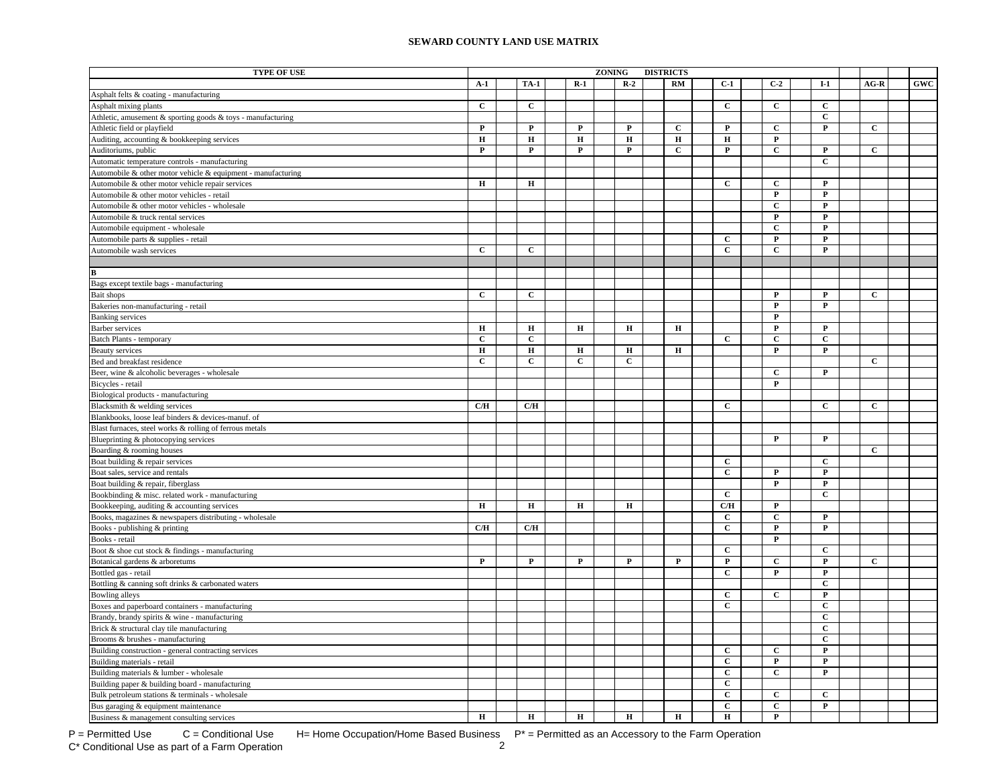| <b>TYPE OF USE</b>                                           |              |              |              | <b>ZONING</b> |             | <b>DISTRICTS</b> |             |                              |                   |                              |              |            |
|--------------------------------------------------------------|--------------|--------------|--------------|---------------|-------------|------------------|-------------|------------------------------|-------------------|------------------------------|--------------|------------|
|                                                              | $A-1$        | <b>TA-1</b>  | $R-1$        |               | $R-2$       |                  | RM          | $C-1$                        | $C-2$             | $I-1$                        | $AG-R$       | <b>GWC</b> |
| Asphalt felts & coating - manufacturing                      |              |              |              |               |             |                  |             |                              |                   |                              |              |            |
| Asphalt mixing plants                                        | $\mathbf C$  | $\mathbf{C}$ |              |               |             |                  |             | $\mathbf C$                  | $\mathbf{C}$      | $\mathbf{C}$                 |              |            |
| Athletic, amusement & sporting goods & toys - manufacturing  |              |              |              |               |             |                  |             |                              |                   | С                            |              |            |
| Athletic field or playfield                                  | $\mathbf P$  | $\mathbf P$  | $\mathbf{P}$ |               | $\mathbf P$ |                  | C           | $\mathbf{P}$                 | $\mathbf{C}$      | P                            | $\mathbf{C}$ |            |
| Auditing, accounting & bookkeeping services                  | $\bf H$      | $\bf H$      | $\bf H$      |               | $\mathbf H$ |                  | $\bf H$     | $\bf H$                      | $\mathbf P$       |                              |              |            |
| Auditoriums, public                                          | ${\bf P}$    | $\mathbf P$  | ${\bf P}$    |               | ${\bf P}$   |                  | $\mathbf C$ | $\mathbf{P}$                 | $\mathbf C$       | ${\bf P}$                    | $\mathbf{C}$ |            |
| Automatic temperature controls - manufacturing               |              |              |              |               |             |                  |             |                              |                   | $\mathbf{C}$                 |              |            |
| Automobile & other motor vehicle & equipment - manufacturing |              |              |              |               |             |                  |             |                              |                   |                              |              |            |
| Automobile & other motor vehicle repair services             | $\bf H$      | $\bf H$      |              |               |             |                  |             | $\mathbf C$                  | $\mathbf C$       | P                            |              |            |
| Automobile & other motor vehicles - retail                   |              |              |              |               |             |                  |             |                              | $\overline{P}$    | ${\bf P}$                    |              |            |
| Automobile & other motor vehicles - wholesale                |              |              |              |               |             |                  |             |                              | $\overline{c}$    | $\mathbf P$                  |              |            |
| Automobile & truck rental services                           |              |              |              |               |             |                  |             |                              | $\mathbf P$       | $\mathbf P$                  |              |            |
| Automobile equipment - wholesale                             |              |              |              |               |             |                  |             |                              | $\mathbf{C}$      | $\mathbf P$                  |              |            |
| Automobile parts & supplies - retail                         |              |              |              |               |             |                  |             | $\mathbf{C}$                 | $\mathbf{P}$      | $\mathbf{P}$                 |              |            |
| Automobile wash services                                     | $\mathbf{C}$ | $\mathbf{C}$ |              |               |             |                  |             | $\mathbf{C}$                 | $\mathbf{C}$      | $\mathbf{P}$                 |              |            |
|                                                              |              |              |              |               |             |                  |             |                              |                   |                              |              |            |
| R                                                            |              |              |              |               |             |                  |             |                              |                   |                              |              |            |
| Bags except textile bags - manufacturing                     |              |              |              |               |             |                  |             |                              |                   |                              |              |            |
| <b>Bait shops</b>                                            | $\mathbf{C}$ | $\mathbf{C}$ |              |               |             |                  |             |                              | $\mathbf{P}$      | $\mathbf P$                  | $\mathbf{C}$ |            |
| Bakeries non-manufacturing - retail                          |              |              |              |               |             |                  |             |                              | P                 | $\mathbf{P}$                 |              |            |
| <b>Banking</b> services                                      |              |              |              |               |             |                  |             |                              | $\mathbf P$       |                              |              |            |
| Barber services                                              | $\mathbf H$  | $\mathbf H$  | $\mathbf H$  |               | $\mathbf H$ |                  | $\mathbf H$ |                              | $\mathbf P$       | $\mathbf{P}$                 |              |            |
| Batch Plants - temporary                                     | $\mathbf C$  | $\mathbf C$  |              |               |             |                  |             | $\mathbf{C}$                 | $\overline{c}$    | $\mathbf C$                  |              |            |
| <b>Beauty services</b>                                       | $\bf H$      | $\bf H$      | $\mathbf H$  |               | $\bf H$     |                  | н           |                              | $\mathbf P$       | $\mathbf{P}$                 |              |            |
| Bed and breakfast residence                                  | $\mathbf C$  | $\mathbf C$  | $\mathbf C$  |               | $\mathbf C$ |                  |             |                              |                   |                              | $\mathbf{C}$ |            |
| Beer, wine & alcoholic beverages - wholesale                 |              |              |              |               |             |                  |             |                              | $\mathbf{C}$      | P                            |              |            |
|                                                              |              |              |              |               |             |                  |             |                              | $\mathbf P$       |                              |              |            |
| Bicycles - retail                                            |              |              |              |               |             |                  |             |                              |                   |                              |              |            |
| Biological products - manufacturing                          | C/H          | C/H          |              |               |             |                  |             | $\mathbf{C}$                 |                   | $\mathbf{C}$                 | $\mathbf{C}$ |            |
| Blacksmith & welding services                                |              |              |              |               |             |                  |             |                              |                   |                              |              |            |
| Blankbooks, loose leaf binders & devices-manuf. of           |              |              |              |               |             |                  |             |                              |                   |                              |              |            |
| Blast furnaces, steel works & rolling of ferrous metals      |              |              |              |               |             |                  |             |                              | P                 | P                            |              |            |
| Blueprinting & photocopying services                         |              |              |              |               |             |                  |             |                              |                   |                              | $\mathbf{C}$ |            |
| Boarding & rooming houses                                    |              |              |              |               |             |                  |             | $\mathbf{C}$                 |                   | $\mathbf c$                  |              |            |
| Boat building & repair services                              |              |              |              |               |             |                  |             |                              | $\mathbf P$       | P                            |              |            |
| Boat sales, service and rentals                              |              |              |              |               |             |                  |             | $\mathbf{C}$                 | $\mathbf{P}$      | $\mathbf{P}$                 |              |            |
| Boat building & repair, fiberglass                           |              |              |              |               |             |                  |             | $\mathbf{C}$                 |                   | $\mathbf{C}$                 |              |            |
| Bookbinding & misc. related work - manufacturing             |              |              |              |               |             |                  |             |                              |                   |                              |              |            |
| Bookkeeping, auditing & accounting services                  | $\mathbf H$  | $\mathbf H$  | $\mathbf H$  |               | $\mathbf H$ |                  |             | C/H                          | $\mathbf P$       |                              |              |            |
| Books, magazines & newspapers distributing - wholesale       |              |              |              |               |             |                  |             | $\mathbf C$                  | $\mathbf C$       | $\mathbf{P}$                 |              |            |
| Books - publishing & printing                                | C/H          | C/H          |              |               |             |                  |             | $\mathbf{C}$                 | $\mathbf P$       | P                            |              |            |
| Books - retail                                               |              |              |              |               |             |                  |             |                              | $\mathbf P$       |                              |              |            |
| Boot & shoe cut stock & findings - manufacturing             |              |              |              |               |             |                  |             | $\mathbf C$                  |                   | $\mathbf C$                  |              |            |
| Botanical gardens & arboretums                               | $\mathbf{P}$ | $\mathbf{P}$ | $\mathbf P$  |               | $\mathbf P$ |                  | P           | $\mathbf P$                  | $\mathbf{C}$      | P                            | $\mathbf{C}$ |            |
| Bottled gas - retail                                         |              |              |              |               |             |                  |             | $\mathbf C$                  | $\mathbf P$       | ${\bf P}$                    |              |            |
| Bottling & canning soft drinks & carbonated waters           |              |              |              |               |             |                  |             |                              | $\overline{c}$    | $\mathbf C$                  |              |            |
| Bowling alleys                                               |              |              |              |               |             |                  |             | $\overline{c}$               |                   | $\mathbf{P}$                 |              |            |
| Boxes and paperboard containers - manufacturing              |              |              |              |               |             |                  |             | $\mathbf{C}$                 |                   | $\mathbf C$                  |              |            |
| Brandy, brandy spirits & wine - manufacturing                |              |              |              |               |             |                  |             |                              |                   | $\mathbf C$                  |              |            |
| Brick & structural clay tile manufacturing                   |              |              |              |               |             |                  |             |                              |                   | $\mathbf{C}$                 |              |            |
| Brooms & brushes - manufacturing                             |              |              |              |               |             |                  |             |                              |                   | $\mathbf{C}$                 |              |            |
| Building construction - general contracting services         |              |              |              |               |             |                  |             | $\mathbf{C}$<br>$\mathbf{C}$ | $\mathbf{C}$<br>P | $\mathbf{P}$<br>$\mathbf{P}$ |              |            |
| Building materials - retail                                  |              |              |              |               |             |                  |             | $\mathbf{C}$                 | $\mathbf C$       | $\mathbf{P}$                 |              |            |
| Building materials & lumber - wholesale                      |              |              |              |               |             |                  |             |                              |                   |                              |              |            |
| Building paper & building board - manufacturing              |              |              |              |               |             |                  |             | $\mathbf C$                  |                   |                              |              |            |
| Bulk petroleum stations & terminals - wholesale              |              |              |              |               |             |                  |             | $\mathbf{C}$                 | $\mathbf{C}$      | $\mathbf{C}$<br>P            |              |            |
| Bus garaging & equipment maintenance                         | $\bf H$      | $\mathbf H$  | $\mathbf H$  |               | $\mathbf H$ |                  | $\bf H$     | $\mathbf{C}$<br>$\bf H$      | С<br>$\mathbf{P}$ |                              |              |            |
| Business & management consulting services                    |              |              |              |               |             |                  |             |                              |                   |                              |              |            |

P = Permitted Use  $C =$  Conditional Use H= Home Occupation/Home Based Business  $P^* =$  Permitted as an Accessory to the Farm Operation<br>C\* Conditional Use as part of a Farm Operation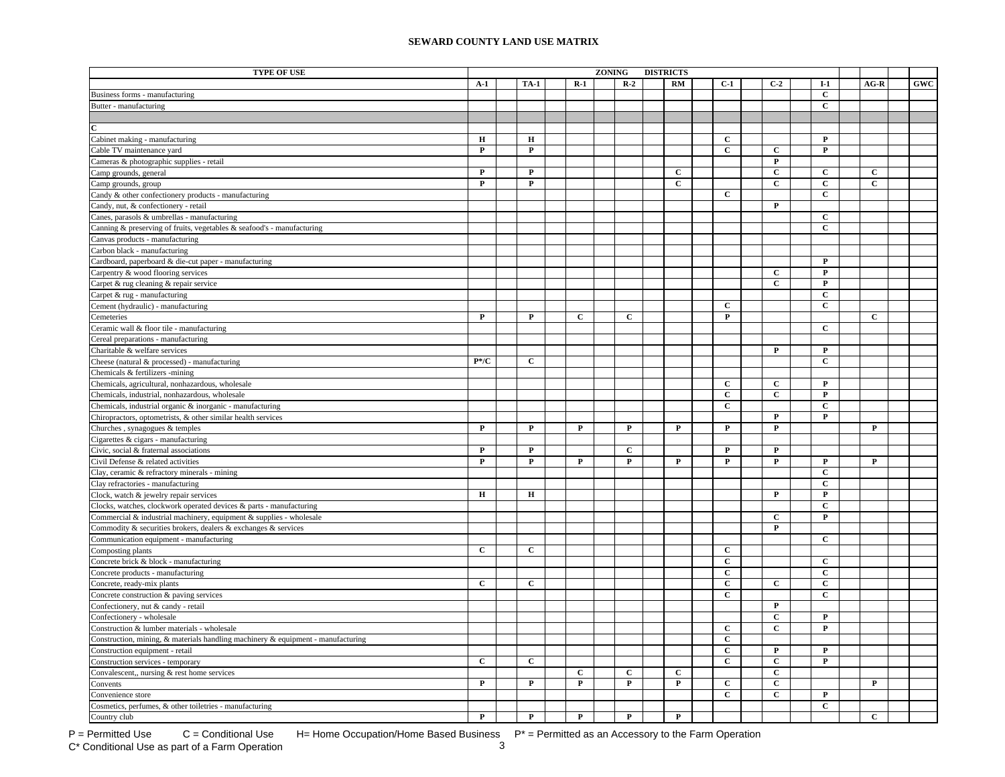| <b>TYPE OF USE</b>                                                                                                                    |                             |              |                  | ZONING |              | <b>DISTRICTS</b> |                   |                |                              |                  |              |            |
|---------------------------------------------------------------------------------------------------------------------------------------|-----------------------------|--------------|------------------|--------|--------------|------------------|-------------------|----------------|------------------------------|------------------|--------------|------------|
|                                                                                                                                       | $A-1$                       | <b>TA-1</b>  | $R-1$            |        | $R-2$        |                  | <b>RM</b>         | $C-1$          | $C-2$                        | $I-1$            | $AG-R$       | <b>GWC</b> |
| Business forms - manufacturing                                                                                                        |                             |              |                  |        |              |                  |                   |                |                              | $\mathbf{C}$     |              |            |
| Butter - manufacturing                                                                                                                |                             |              |                  |        |              |                  |                   |                |                              | $\mathbf C$      |              |            |
|                                                                                                                                       |                             |              |                  |        |              |                  |                   |                |                              |                  |              |            |
|                                                                                                                                       |                             |              |                  |        |              |                  |                   |                |                              |                  |              |            |
| Cabinet making - manufacturing                                                                                                        | н                           | $\bf H$      |                  |        |              |                  |                   | $\mathbf{C}$   |                              | $\mathbf{P}$     |              |            |
| Cable TV maintenance yard                                                                                                             | $\mathbf{P}$                | $\mathbf{P}$ |                  |        |              |                  |                   | $\mathbf{C}$   | $\mathbf{C}$                 | $\mathbf{P}$     |              |            |
| Cameras & photographic supplies - retail                                                                                              |                             |              |                  |        |              |                  |                   |                | P                            |                  |              |            |
| Camp grounds, general                                                                                                                 | ${\bf P}$                   | $\mathbf{P}$ |                  |        |              |                  | $\mathbf C$       |                | $\mathbf C$                  | $\mathbf C$      | $\mathbf c$  |            |
| Camp grounds, group                                                                                                                   | $\mathbf P$                 | $\mathbf P$  |                  |        |              |                  | $\mathbf{C}$      |                | $\mathbf C$                  | $\mathbf{C}$     | $\mathbf{C}$ |            |
| Candy & other confectionery products - manufacturing                                                                                  |                             |              |                  |        |              |                  |                   | $\mathbf{C}$   |                              | $\mathbf C$      |              |            |
| Candy, nut, & confectionery - retail                                                                                                  |                             |              |                  |        |              |                  |                   |                | $\mathbf{P}$                 |                  |              |            |
| Canes, parasols & umbrellas - manufacturing                                                                                           |                             |              |                  |        |              |                  |                   |                |                              | $\overline{c}$   |              |            |
| Canning & preserving of fruits, vegetables & seafood's - manufacturing                                                                |                             |              |                  |        |              |                  |                   |                |                              | $\mathbf{C}$     |              |            |
| Canvas products - manufacturing                                                                                                       |                             |              |                  |        |              |                  |                   |                |                              |                  |              |            |
| Carbon black - manufacturing                                                                                                          |                             |              |                  |        |              |                  |                   |                |                              |                  |              |            |
| Cardboard, paperboard & die-cut paper - manufacturing                                                                                 |                             |              |                  |        |              |                  |                   |                |                              | $\mathbf{P}$     |              |            |
| Carpentry & wood flooring services                                                                                                    |                             |              |                  |        |              |                  |                   |                | $\mathbf{C}$                 | $\mathbf{P}$     |              |            |
| Carpet & rug cleaning & repair service                                                                                                |                             |              |                  |        |              |                  |                   |                | $\mathbf{C}$                 | $\mathbf{P}$     |              |            |
| Carpet & rug - manufacturing                                                                                                          |                             |              |                  |        |              |                  |                   |                |                              | $\mathbf{C}$     |              |            |
| Cement (hydraulic) - manufacturing                                                                                                    |                             |              |                  |        |              |                  |                   | $\mathbf{C}$   |                              | $\mathbf C$      |              |            |
| Cemeteries                                                                                                                            | $\mathbf P$                 | $\mathbf{P}$ | $\mathbf{C}$     |        | $\mathbf{C}$ |                  |                   | $\mathbf{P}$   |                              |                  | $\mathbf{C}$ |            |
| Ceramic wall & floor tile - manufacturing                                                                                             |                             |              |                  |        |              |                  |                   |                |                              | $\mathbf{C}$     |              |            |
| Cereal preparations - manufacturing                                                                                                   |                             |              |                  |        |              |                  |                   |                |                              |                  |              |            |
| Charitable & welfare services                                                                                                         |                             |              |                  |        |              |                  |                   |                | P                            | P                |              |            |
| Cheese (natural & processed) - manufacturing                                                                                          | $\mathbf{P}^* / \mathbf{C}$ | $\mathbf{C}$ |                  |        |              |                  |                   |                |                              | $\mathbf{C}$     |              |            |
| Chemicals & fertilizers -mining                                                                                                       |                             |              |                  |        |              |                  |                   |                |                              |                  |              |            |
| Chemicals, agricultural, nonhazardous, wholesale                                                                                      |                             |              |                  |        |              |                  |                   | $\mathbf{C}$   | $\mathbf{C}$                 | P                |              |            |
| Chemicals, industrial, nonhazardous, wholesale                                                                                        |                             |              |                  |        |              |                  |                   | $\mathbf C$    | $\mathbf C$                  | $\mathbf P$      |              |            |
| Chemicals, industrial organic & inorganic - manufacturing                                                                             |                             |              |                  |        |              |                  |                   | $\mathbf{C}$   |                              | $\mathbf{C}$     |              |            |
| Chiropractors, optometrists, & other similar health services                                                                          |                             |              |                  |        |              |                  |                   |                | P                            | $\mathbf{P}$     |              |            |
| Churches, synagogues & temples                                                                                                        | ${\bf P}$                   | $\mathbf{P}$ | $\mathbf P$      |        | $\mathbf P$  |                  | $\mathbf{P}$      | $\mathbf{P}$   | $\overline{\mathbf{P}}$      |                  | $\mathbf{P}$ |            |
| Cigarettes & cigars - manufacturing                                                                                                   |                             |              |                  |        |              |                  |                   |                |                              |                  |              |            |
| Civic, social & fraternal associations                                                                                                | ${\bf P}$                   | $\mathbf P$  |                  |        | $\mathbf C$  |                  |                   | $\mathbf P$    | $\mathbf P$                  |                  |              |            |
| Civil Defense & related activities                                                                                                    | $\mathbf P$                 | P            | P                |        | P            |                  | P                 | $\mathbf{P}$   | P                            | P                | P            |            |
| Clay, ceramic & refractory minerals - mining                                                                                          |                             |              |                  |        |              |                  |                   |                |                              | $\mathbf C$      |              |            |
| Clay refractories - manufacturing                                                                                                     |                             |              |                  |        |              |                  |                   |                |                              | $\mathbf{C}$     |              |            |
| Clock, watch & jewelry repair services                                                                                                | $\mathbf H$                 | $\mathbf H$  |                  |        |              |                  |                   |                | P                            | P                |              |            |
|                                                                                                                                       |                             |              |                  |        |              |                  |                   |                |                              | C                |              |            |
| Clocks, watches, clockwork operated devices & parts - manufacturing                                                                   |                             |              |                  |        |              |                  |                   |                | $\mathbf{C}$                 | P                |              |            |
| Commercial & industrial machinery, equipment & supplies - wholesale<br>Commodity & securities brokers, dealers & exchanges & services |                             |              |                  |        |              |                  |                   |                | P                            |                  |              |            |
|                                                                                                                                       |                             |              |                  |        |              |                  |                   |                |                              | $\mathbf{C}$     |              |            |
| Communication equipment - manufacturing<br>Composting plants                                                                          | $\mathbf{C}$                | $\mathbf{C}$ |                  |        |              |                  |                   | $\mathbf{C}$   |                              |                  |              |            |
|                                                                                                                                       |                             |              |                  |        |              |                  |                   | $\mathbf{C}$   |                              | $\mathbf{C}$     |              |            |
| Concrete brick & block - manufacturing                                                                                                |                             |              |                  |        |              |                  |                   | $\mathbf C$    |                              | $\mathbf C$      |              |            |
| Concrete products - manufacturing                                                                                                     | $\mathbf{C}$                | $\mathbf{C}$ |                  |        |              |                  |                   | $\mathbf{C}$   | $\mathbf{C}$                 | С                |              |            |
| Concrete, ready-mix plants                                                                                                            |                             |              |                  |        |              |                  |                   | $\mathbf{C}$   |                              | $\mathbf{C}$     |              |            |
| Concrete construction & paving services                                                                                               |                             |              |                  |        |              |                  |                   |                | $\mathbf P$                  |                  |              |            |
| Confectionery, nut & candy - retail                                                                                                   |                             |              |                  |        |              |                  |                   |                | $\mathbf{C}$                 | $\mathbf{P}$     |              |            |
| Confectionery - wholesale                                                                                                             |                             |              |                  |        |              |                  |                   | $\mathbf{C}$   | $\mathbf C$                  | $\mathbf P$      |              |            |
| Construction & lumber materials - wholesale<br>Construction, mining, & materials handling machinery & equipment - manufacturing       |                             |              |                  |        |              |                  |                   | $\mathbf C$    |                              |                  |              |            |
|                                                                                                                                       |                             |              |                  |        |              |                  |                   | $\overline{c}$ |                              |                  |              |            |
| Construction equipment - retail                                                                                                       | $\mathbf C$                 | $\mathbf C$  |                  |        |              |                  |                   | $\mathbf{C}$   | $\mathbf P$<br>$\mathbf C$   | P<br>$\mathbf P$ |              |            |
| Construction services - temporary                                                                                                     |                             |              |                  |        |              |                  |                   |                |                              |                  |              |            |
| Convalescent,, nursing & rest home services                                                                                           | $\mathbf{P}$                | $\mathbf{P}$ | C<br>$\mathbf P$ |        | $\mathbf c$  |                  | C<br>$\mathbf{P}$ | $\overline{c}$ | $\mathbf{C}$<br>$\mathbf{C}$ |                  | $\mathbf P$  |            |
| Convents                                                                                                                              |                             |              |                  |        | P            |                  |                   |                |                              |                  |              |            |
| Convenience store                                                                                                                     |                             |              |                  |        |              |                  |                   | $\mathbf{C}$   | $\mathbf{C}$                 | $\mathbf{P}$     |              |            |
| Cosmetics, perfumes, & other toiletries - manufacturing                                                                               |                             |              |                  |        |              |                  |                   |                |                              | $\mathbf{C}$     |              |            |
| Country club                                                                                                                          | P                           | $\mathbf P$  | P                |        | P            |                  | P                 |                |                              |                  | $\mathbf{C}$ |            |

 $P =$  Permitted Use  $C =$  Conditional Use H= Home Occupation/Home Based Business  $P^* =$  Permitted as an Accessory to the Farm Operation<br>C\* Conditional Use as part of a Farm Operation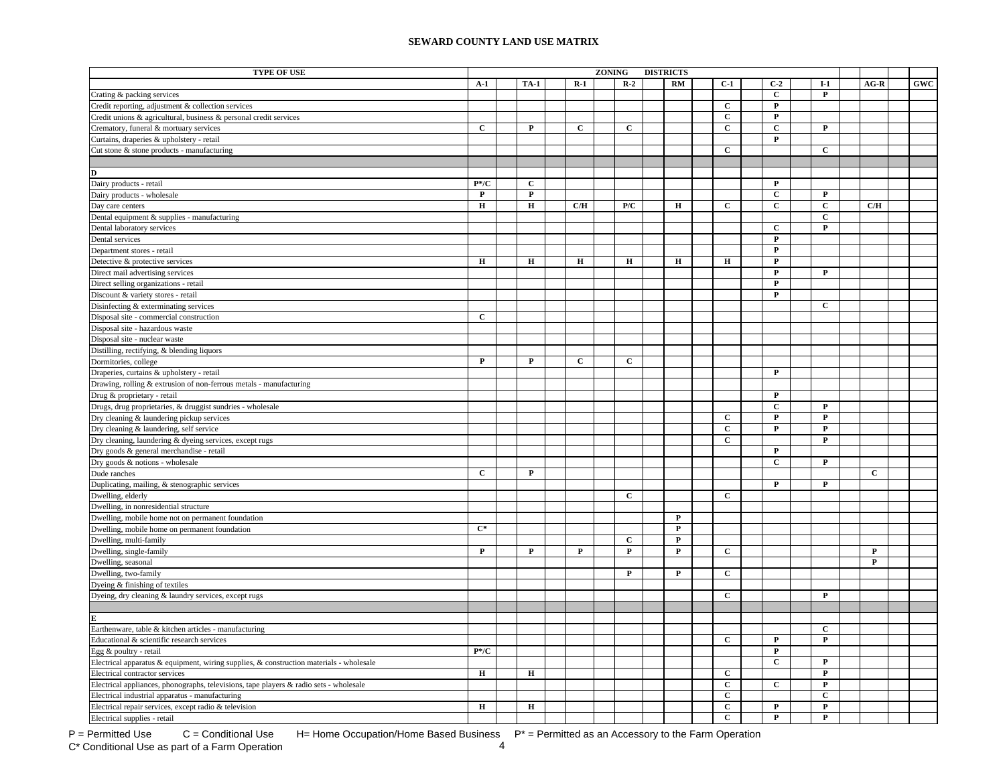| <b>TYPE OF USE</b>                                                                      |                             |              |              | ZONING |              | <b>DISTRICTS</b> |                   |                |                |                         |                |            |
|-----------------------------------------------------------------------------------------|-----------------------------|--------------|--------------|--------|--------------|------------------|-------------------|----------------|----------------|-------------------------|----------------|------------|
|                                                                                         | $A-1$                       | <b>TA-1</b>  | $R-1$        |        | $R-2$        |                  | RM                | $C-1$          | $C-2$          | $I-1$                   | $AG-R$         | <b>GWC</b> |
| Crating & packing services                                                              |                             |              |              |        |              |                  |                   |                | $\mathbf{C}$   | $\mathbf{P}$            |                |            |
| Credit reporting, adjustment & collection services                                      |                             |              |              |        |              |                  |                   | $\mathbf{C}$   | P              |                         |                |            |
| Credit unions & agricultural, business & personal credit services                       |                             |              |              |        |              |                  |                   | $\mathbf{C}$   | $\mathbf{P}$   |                         |                |            |
| Crematory, funeral & mortuary services                                                  | $\mathbf{C}$                | $\mathbf{P}$ | $\mathbf{C}$ |        | $\mathbf{C}$ |                  |                   | $\mathbf{C}$   | $\mathbf{C}$   | $\mathbf{P}$            |                |            |
| Curtains, draperies & upholstery - retail                                               |                             |              |              |        |              |                  |                   |                | $\mathbf{P}$   |                         |                |            |
| Cut stone & stone products - manufacturing                                              |                             |              |              |        |              |                  |                   | $\mathbf{C}$   |                | $\mathbf C$             |                |            |
|                                                                                         |                             |              |              |        |              |                  |                   |                |                |                         |                |            |
| D                                                                                       |                             |              |              |        |              |                  |                   |                |                |                         |                |            |
| Dairy products - retail                                                                 | $P*/C$                      | $\mathbf{C}$ |              |        |              |                  |                   |                | $\mathbf P$    |                         |                |            |
| Dairy products - wholesale                                                              | $\mathbf{P}$                | $\mathbf{P}$ |              |        |              |                  |                   |                | $\mathbf{C}$   | P                       |                |            |
| Day care centers                                                                        | $\bf H$                     | $\bf H$      | C/H          |        | P/C          |                  | $\mathbf H$       | $\mathbf{C}$   | $\mathbf C$    | $\mathbf C$             | C/H            |            |
| Dental equipment & supplies - manufacturing                                             |                             |              |              |        |              |                  |                   |                |                | $\mathbf{C}$            |                |            |
| Dental laboratory services                                                              |                             |              |              |        |              |                  |                   |                | $\mathbf{C}$   | P                       |                |            |
| Dental services                                                                         |                             |              |              |        |              |                  |                   |                | $\mathbf P$    |                         |                |            |
| Department stores - retail                                                              |                             |              |              |        |              |                  |                   |                | $\mathbf P$    |                         |                |            |
| Detective & protective services                                                         | $\mathbf H$                 | $\mathbf H$  | $\mathbf H$  |        | $\mathbf H$  |                  | $\mathbf H$       | $\mathbf H$    | $\mathbf P$    |                         |                |            |
| Direct mail advertising services                                                        |                             |              |              |        |              |                  |                   |                | $\mathbf{P}$   | P                       |                |            |
| Direct selling organizations - retail                                                   |                             |              |              |        |              |                  |                   |                | $\overline{P}$ |                         |                |            |
| Discount & variety stores - retail                                                      |                             |              |              |        |              |                  |                   |                | $\mathbf P$    |                         |                |            |
| Disinfecting & exterminating services                                                   |                             |              |              |        |              |                  |                   |                |                | $\mathbf C$             |                |            |
| Disposal site - commercial construction                                                 | $\mathbf{C}$                |              |              |        |              |                  |                   |                |                |                         |                |            |
| Disposal site - hazardous waste                                                         |                             |              |              |        |              |                  |                   |                |                |                         |                |            |
| Disposal site - nuclear waste                                                           |                             |              |              |        |              |                  |                   |                |                |                         |                |            |
| Distilling, rectifying, & blending liquors                                              |                             |              |              |        |              |                  |                   |                |                |                         |                |            |
| Dormitories, college                                                                    | $\mathbf{P}$                | $\mathbf{P}$ | $\mathbf c$  |        | $\mathbf{C}$ |                  |                   |                |                |                         |                |            |
| Draperies, curtains & upholstery - retail                                               |                             |              |              |        |              |                  |                   |                | P              |                         |                |            |
|                                                                                         |                             |              |              |        |              |                  |                   |                |                |                         |                |            |
| Drawing, rolling & extrusion of non-ferrous metals - manufacturing                      |                             |              |              |        |              |                  |                   |                | $\mathbf P$    |                         |                |            |
| Drug & proprietary - retail                                                             |                             |              |              |        |              |                  |                   |                | $\mathbf{C}$   | $\mathbf{P}$            |                |            |
| Drugs, drug proprietaries, & druggist sundries - wholesale                              |                             |              |              |        |              |                  |                   | $\mathbf{C}$   | $\mathbf P$    | ${\bf P}$               |                |            |
| Dry cleaning & laundering pickup services                                               |                             |              |              |        |              |                  |                   | $\mathbf C$    | $\overline{P}$ | ${\bf P}$               |                |            |
| Dry cleaning & laundering, self service                                                 |                             |              |              |        |              |                  |                   |                |                | $\overline{\mathbf{P}}$ |                |            |
| Dry cleaning, laundering & dyeing services, except rugs                                 |                             |              |              |        |              |                  |                   | $\mathbf{C}$   | $\mathbf P$    |                         |                |            |
| Dry goods & general merchandise - retail                                                |                             |              |              |        |              |                  |                   |                | $\mathbf{C}$   | $\mathbf{P}$            |                |            |
| Dry goods & notions - wholesale<br>Dude ranches                                         | $\mathbf C$                 | $\mathbf{P}$ |              |        |              |                  |                   |                |                |                         | $\overline{c}$ |            |
|                                                                                         |                             |              |              |        |              |                  |                   |                | $\mathbf{P}$   | P                       |                |            |
| Duplicating, mailing, & stenographic services                                           |                             |              |              |        | $\mathbf C$  |                  |                   | $\mathbf{C}$   |                |                         |                |            |
| Dwelling, elderly                                                                       |                             |              |              |        |              |                  |                   |                |                |                         |                |            |
| Dwelling, in nonresidential structure                                                   |                             |              |              |        |              |                  | P                 |                |                |                         |                |            |
| Dwelling, mobile home not on permanent foundation                                       |                             |              |              |        |              |                  |                   |                |                |                         |                |            |
| Dwelling, mobile home on permanent foundation                                           | $C^*$                       |              |              |        |              |                  | $\mathbf{P}$      |                |                |                         |                |            |
| Dwelling, multi-family                                                                  |                             |              |              |        | $\mathbf C$  |                  | P<br>$\mathbf{P}$ |                |                |                         |                |            |
| Dwelling, single-family                                                                 | $\mathbf{P}$                | $\mathbf{P}$ | P            |        | P            |                  |                   | $\mathbf{C}$   |                |                         | $\mathbf{P}$   |            |
| Dwelling, seasonal                                                                      |                             |              |              |        |              |                  |                   |                |                |                         | P              |            |
| Dwelling, two-family                                                                    |                             |              |              |        | $\mathbf{P}$ |                  | $\mathbf{P}$      | $\mathbf{C}$   |                |                         |                |            |
| Dyeing & finishing of textiles                                                          |                             |              |              |        |              |                  |                   |                |                |                         |                |            |
| Dyeing, dry cleaning & laundry services, except rugs                                    |                             |              |              |        |              |                  |                   | $\mathbf{C}$   |                | $\mathbf{P}$            |                |            |
|                                                                                         |                             |              |              |        |              |                  |                   |                |                |                         |                |            |
|                                                                                         |                             |              |              |        |              |                  |                   |                |                |                         |                |            |
| Earthenware, table & kitchen articles - manufacturing                                   |                             |              |              |        |              |                  |                   |                |                | $\mathbf{C}$            |                |            |
| Educational & scientific research services                                              |                             |              |              |        |              |                  |                   | $\mathbf{C}$   | $\mathbf{P}$   | P                       |                |            |
| Egg & poultry - retail                                                                  | $\mathbf{P}^* / \mathbf{C}$ |              |              |        |              |                  |                   |                | $\mathbf P$    |                         |                |            |
| Electrical apparatus & equipment, wiring supplies, & construction materials - wholesale |                             |              |              |        |              |                  |                   |                | $\mathbf{C}$   | ${\bf P}$               |                |            |
| Electrical contractor services                                                          | $\mathbf H$                 | $\mathbf H$  |              |        |              |                  |                   | $\mathbf{C}$   |                | $\mathbf P$             |                |            |
| Electrical appliances, phonographs, televisions, tape players & radio sets - wholesale  |                             |              |              |        |              |                  |                   | $\mathbf C$    | $\mathbf C$    | ${\bf P}$               |                |            |
| Electrical industrial apparatus - manufacturing                                         |                             |              |              |        |              |                  |                   | $\mathbf C$    |                | $\mathbf C$             |                |            |
| Electrical repair services, except radio & television                                   | $\bf H$                     | $\bf H$      |              |        |              |                  |                   | $\mathbf C$    | $\mathbf P$    | ${\bf P}$               |                |            |
| Electrical supplies - retail                                                            |                             |              |              |        |              |                  |                   | $\overline{c}$ | $\overline{P}$ | $\overline{P}$          |                |            |

P = Permitted Use  $C =$  Conditional Use H= Home Occupation/Home Based Business  $P^* =$  Permitted as an Accessory to the Farm Operation  $C^*$  Conditional Use as part of a Farm Operation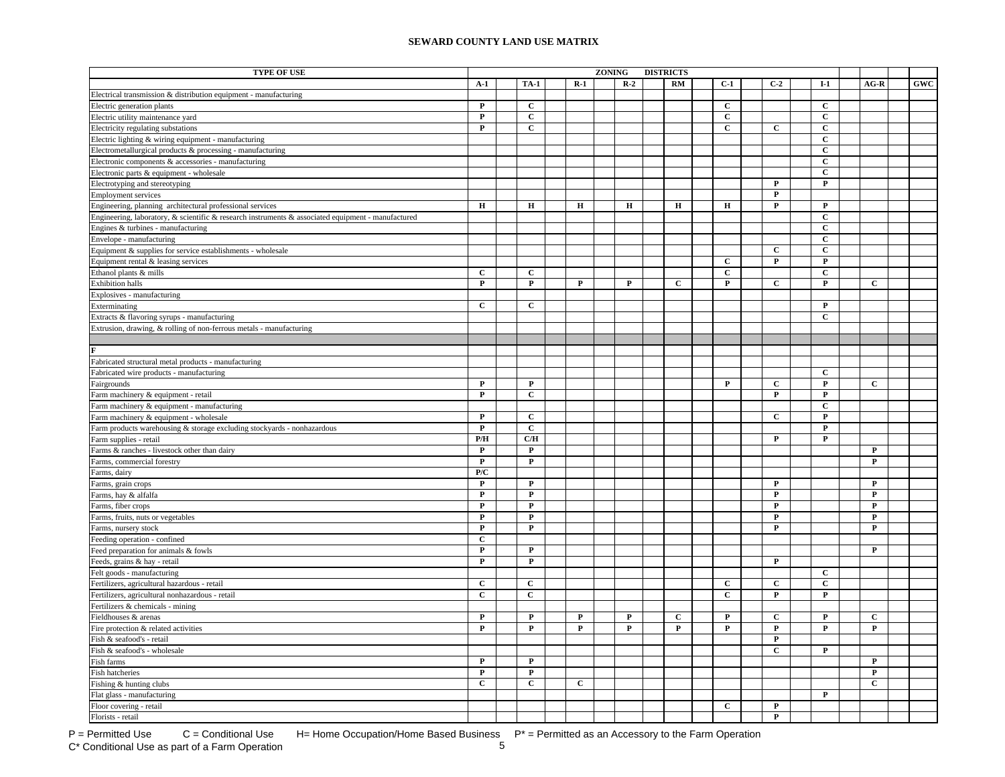| TYPE OF USE                                                                                        |              |              |              | <b>ZONING</b> |             | <b>DISTRICTS</b> |              |                |                |              |            |
|----------------------------------------------------------------------------------------------------|--------------|--------------|--------------|---------------|-------------|------------------|--------------|----------------|----------------|--------------|------------|
|                                                                                                    | $A-1$        | <b>TA-1</b>  | $R-1$        |               | $R-2$       | <b>RM</b>        | $C-1$        | $C-2$          | $I-1$          | $AG-R$       | <b>GWC</b> |
| Electrical transmission & distribution equipment - manufacturing                                   |              |              |              |               |             |                  |              |                |                |              |            |
| Electric generation plants                                                                         | $\mathbf P$  | $\mathbf{C}$ |              |               |             |                  | $\mathbf{C}$ |                | $\mathbf{C}$   |              |            |
| Electric utility maintenance yard                                                                  | $\mathbf P$  | $\mathbf{C}$ |              |               |             |                  | $\mathbf{C}$ |                | $\mathbf{C}$   |              |            |
| Electricity regulating substations                                                                 | ${\bf P}$    | $\mathbf{C}$ |              |               |             |                  | $\mathbf{C}$ | $\mathbf{C}$   | $\mathbf C$    |              |            |
| Electric lighting & wiring equipment - manufacturing                                               |              |              |              |               |             |                  |              |                | $\mathbf{C}$   |              |            |
| Electrometallurgical products & processing - manufacturing                                         |              |              |              |               |             |                  |              |                | $\mathbf{C}$   |              |            |
| Electronic components & accessories - manufacturing                                                |              |              |              |               |             |                  |              |                | $\mathbf C$    |              |            |
| Electronic parts & equipment - wholesale                                                           |              |              |              |               |             |                  |              |                | $\mathbf C$    |              |            |
| Electrotyping and stereotyping                                                                     |              |              |              |               |             |                  |              | $\mathbf P$    | $\mathbf P$    |              |            |
| <b>Employment services</b>                                                                         |              |              |              |               |             |                  |              | $\mathbf{P}$   |                |              |            |
| Engineering, planning architectural professional services                                          | $\mathbf H$  | $\mathbf H$  | $\mathbf H$  |               | $\mathbf H$ | н                | н            | $\mathbf{P}$   | $\mathbf{P}$   |              |            |
| Engineering, laboratory, & scientific & research instruments & associated equipment - manufactured |              |              |              |               |             |                  |              |                | $\overline{c}$ |              |            |
| Engines & turbines - manufacturing                                                                 |              |              |              |               |             |                  |              |                | $\mathbf C$    |              |            |
| Envelope - manufacturing                                                                           |              |              |              |               |             |                  |              |                | $\mathbf C$    |              |            |
| Equipment & supplies for service establishments - wholesale                                        |              |              |              |               |             |                  |              | $\mathbf{C}$   | $\mathbf{C}$   |              |            |
| Equipment rental & leasing services                                                                |              |              |              |               |             |                  | $\mathbf{C}$ | $\mathbf P$    | P              |              |            |
| Ethanol plants & mills                                                                             | $\mathbf{C}$ | $\mathbf{C}$ |              |               |             |                  | $\mathbf{C}$ |                | $\mathbf{C}$   |              |            |
| Exhibition halls                                                                                   | P            | P            | P            |               | P           | C                | P            | $\mathbf{C}$   | P              | $\mathbf{C}$ |            |
| Explosives - manufacturing                                                                         |              |              |              |               |             |                  |              |                |                |              |            |
| Exterminating                                                                                      | $\mathbf{C}$ | $\mathbf{C}$ |              |               |             |                  |              |                | $\mathbf P$    |              |            |
| Extracts & flavoring syrups - manufacturing                                                        |              |              |              |               |             |                  |              |                | $\mathbf{C}$   |              |            |
| Extrusion, drawing, & rolling of non-ferrous metals - manufacturing                                |              |              |              |               |             |                  |              |                |                |              |            |
|                                                                                                    |              |              |              |               |             |                  |              |                |                |              |            |
|                                                                                                    |              |              |              |               |             |                  |              |                |                |              |            |
| Fabricated structural metal products - manufacturing                                               |              |              |              |               |             |                  |              |                |                |              |            |
| Fabricated wire products - manufacturing                                                           |              |              |              |               |             |                  |              |                | C              |              |            |
| Fairgrounds                                                                                        | $\mathbf P$  | $\mathbf{P}$ |              |               |             |                  | $\mathbf P$  | $\mathbf{C}$   | $\mathbf P$    | $\mathbf{C}$ |            |
| Farm machinery & equipment - retail                                                                | $\mathbf P$  | $\mathbf C$  |              |               |             |                  |              | $\mathbf P$    | $\mathbf P$    |              |            |
| Farm machinery & equipment - manufacturing                                                         |              |              |              |               |             |                  |              |                | $\mathbf C$    |              |            |
| Farm machinery & equipment - wholesale                                                             | $\mathbf P$  | С            |              |               |             |                  |              | C              | $\mathbf P$    |              |            |
| Farm products warehousing & storage excluding stockyards - nonhazardous                            | $\mathbf P$  | $\mathbf C$  |              |               |             |                  |              |                | $\mathbf P$    |              |            |
| Farm supplies - retail                                                                             | P/H          | C/H          |              |               |             |                  |              | $\mathbf P$    | $\mathbf P$    |              |            |
| Farms & ranches - livestock other than dairy                                                       | $\mathbf P$  | $\mathbf{P}$ |              |               |             |                  |              |                |                | $\mathbf P$  |            |
| Farms, commercial forestry                                                                         | $\mathbf P$  | $\mathbf{P}$ |              |               |             |                  |              |                |                | ${\bf P}$    |            |
| Farms, dairy                                                                                       | P/C          |              |              |               |             |                  |              |                |                |              |            |
| Farms, grain crops                                                                                 | $\mathbf P$  | $\mathbf{P}$ |              |               |             |                  |              | P              |                | P            |            |
| Farms, hay & alfalfa                                                                               | $\mathbf P$  | $\mathbf{P}$ |              |               |             |                  |              | $\mathbf P$    |                | $\mathbf P$  |            |
| Farms, fiber crops                                                                                 | $\mathbf P$  | $\mathbf P$  |              |               |             |                  |              | P              |                | $\mathbf P$  |            |
| Farms, fruits, nuts or vegetables                                                                  | $\mathbf P$  | P            |              |               |             |                  |              | $\mathbf{P}$   |                | $\mathbf P$  |            |
| Farms, nursery stock                                                                               | $\mathbf P$  | P            |              |               |             |                  |              | $\mathbf{P}$   |                | $\mathbf{P}$ |            |
| Feeding operation - confined                                                                       | C            |              |              |               |             |                  |              |                |                |              |            |
| Feed preparation for animals & fowls                                                               | $\mathbf P$  | $\mathbf{P}$ |              |               |             |                  |              |                |                | $\mathbf{P}$ |            |
| Feeds, grains & hay - retail                                                                       | $\mathbf P$  | $\mathbf{P}$ |              |               |             |                  |              | $\mathbf{P}$   |                |              |            |
| Felt goods - manufacturing                                                                         |              |              |              |               |             |                  |              |                | $\mathbf{C}$   |              |            |
| Fertilizers, agricultural hazardous - retail                                                       | $\mathbf{C}$ | $\mathbf{C}$ |              |               |             |                  | $\mathbf{C}$ | $\mathbf{C}$   | $\mathbf{C}$   |              |            |
| Fertilizers, agricultural nonhazardous - retail                                                    | $\mathbf{C}$ | $\mathbf{C}$ |              |               |             |                  | $\mathbf{C}$ | $\mathbf{P}$   | $\mathbf{P}$   |              |            |
| Fertilizers & chemicals - mining                                                                   |              |              |              |               |             |                  |              |                |                |              |            |
| Fieldhouses & arenas                                                                               | $\mathbf P$  | $\mathbf P$  | $\mathbf P$  |               | $\mathbf P$ | $\mathbf c$      | $\mathbf P$  | $\mathbf C$    | $\mathbf P$    | $\mathbf c$  |            |
| Fire protection & related activities                                                               | $\mathbf P$  | $\mathbf{P}$ | $\mathbf{P}$ |               | $\mathbf P$ | P                | P            | $\mathbf{P}$   | P              | $\mathbf P$  |            |
| Fish & seafood's - retail                                                                          |              |              |              |               |             |                  |              | $\mathbf P$    |                |              |            |
| Fish & seafood's - wholesale                                                                       |              |              |              |               |             |                  |              | $\mathbf C$    | P              |              |            |
|                                                                                                    | ${\bf P}$    | $\mathbf{P}$ |              |               |             |                  |              |                |                | $\mathbf P$  |            |
| Fish farms                                                                                         |              |              |              |               |             |                  |              |                |                |              |            |
| Fish hatcheries                                                                                    | $\mathbf P$  | $\mathbf P$  |              |               |             |                  |              |                |                | $\mathbf P$  |            |
| Fishing & hunting clubs                                                                            | $\mathbf C$  | $\mathbf{C}$ | $\mathbf C$  |               |             |                  |              |                |                | $\mathbf C$  |            |
| Flat glass - manufacturing                                                                         |              |              |              |               |             |                  |              |                | $\mathbf{P}$   |              |            |
| Floor covering - retail                                                                            |              |              |              |               |             |                  | $\mathbf{C}$ | $\mathbf{P}$   |                |              |            |
| Florists - retail                                                                                  |              |              |              |               |             |                  |              | $\overline{P}$ |                |              |            |

C\* Conditional Use as part of a Farm Operation

P = Permitted Use  $C =$  Conditional Use H= Home Occupation/Home Based Business  $P^* =$  Permitted as an Accessory to the Farm Operation<br>C\* Conditional Use as part of a Farm Operation  $5$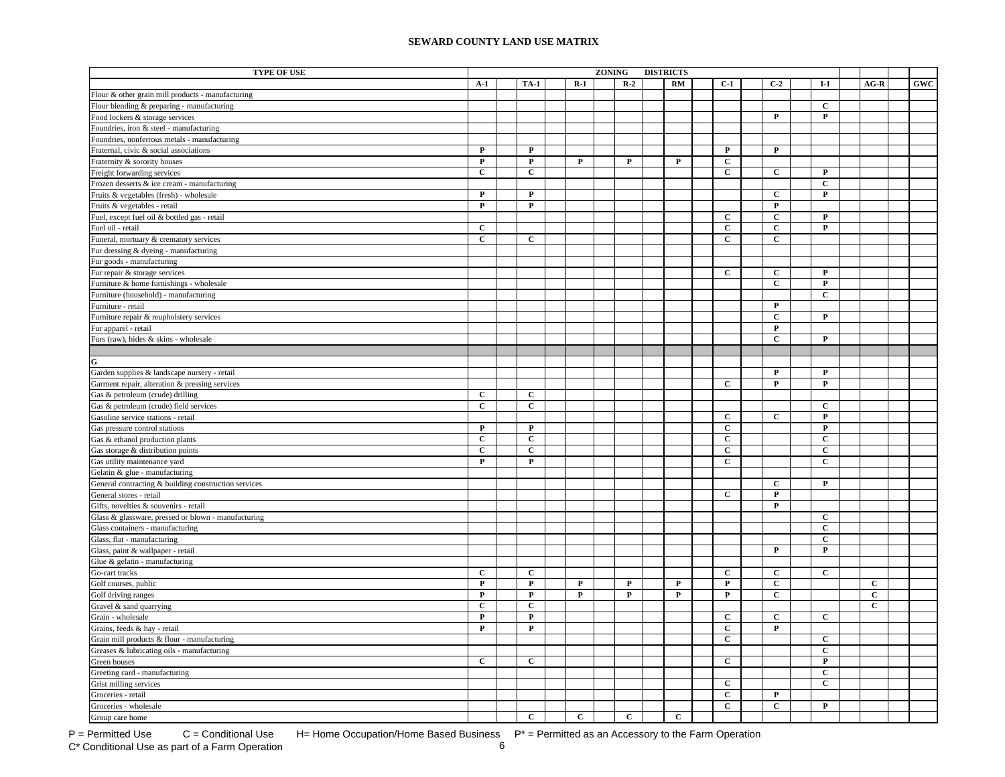| <b>TYPE OF USE</b>                                   |              |                         |              | <b>ZONING</b> |              | <b>DISTRICTS</b> |                |                         |                |             |     |
|------------------------------------------------------|--------------|-------------------------|--------------|---------------|--------------|------------------|----------------|-------------------------|----------------|-------------|-----|
|                                                      | $A-1$        | <b>TA-1</b>             | $R-1$        |               | $R-2$        | RM               | $C-1$          | $C-2$                   | $I-1$          | $AG-R$      | GWC |
| Flour & other grain mill products - manufacturing    |              |                         |              |               |              |                  |                |                         |                |             |     |
| Flour blending & preparing - manufacturing           |              |                         |              |               |              |                  |                |                         | $\mathbf{C}$   |             |     |
| Food lockers & storage services                      |              |                         |              |               |              |                  |                | $\mathbf{P}$            | $\mathbf{P}$   |             |     |
| Foundries, iron & steel - manufacturing              |              |                         |              |               |              |                  |                |                         |                |             |     |
| Foundries, nonferrous metals - manufacturing         |              |                         |              |               |              |                  |                |                         |                |             |     |
| Fraternal, civic & social associations               | $\mathbf{P}$ | $\mathbf{P}$            |              |               |              |                  | $\mathbf{P}$   | $\mathbf{P}$            |                |             |     |
| Fraternity & sorority houses                         | $\mathbf{P}$ | $\mathbf P$             | P            |               | $\mathbf P$  | $\mathbf P$      | $\mathbf{C}$   |                         |                |             |     |
| Freight forwarding services                          | $\mathbf C$  | $\mathbf C$             |              |               |              |                  | $\mathbf{C}$   | $\mathbf{C}$            | ${\bf P}$      |             |     |
|                                                      |              |                         |              |               |              |                  |                |                         | $\mathbf C$    |             |     |
| Frozen desserts & ice cream - manufacturing          | $\mathbf P$  | $\mathbf P$             |              |               |              |                  |                | $\mathbf C$             | ${\bf P}$      |             |     |
| Fruits & vegetables (fresh) - wholesale              | $\mathbf P$  | $\mathbf P$             |              |               |              |                  |                | $\mathbf{P}$            |                |             |     |
| Fruits & vegetables - retail                         |              |                         |              |               |              |                  | $\mathbf C$    | $\mathbf C$             | $\mathbf P$    |             |     |
| Fuel, except fuel oil & bottled gas - retail         | $\mathbf{C}$ |                         |              |               |              |                  | $\mathbf C$    | $\mathbf C$             | $\mathbf P$    |             |     |
| Fuel oil - retail                                    | $\mathbf C$  | $\mathbf{C}$            |              |               |              |                  | $\mathbf C$    | $\overline{c}$          |                |             |     |
| Funeral, mortuary & crematory services               |              |                         |              |               |              |                  |                |                         |                |             |     |
| Fur dressing & dyeing - manufacturing                |              |                         |              |               |              |                  |                |                         |                |             |     |
| Fur goods - manufacturing                            |              |                         |              |               |              |                  |                |                         |                |             |     |
| Fur repair & storage services                        |              |                         |              |               |              |                  | $\mathbf{C}$   | $\mathbf{C}$            | $\mathbf P$    |             |     |
| Furniture & home furnishings - wholesale             |              |                         |              |               |              |                  |                | $\mathbf{C}$            | P              |             |     |
| Furniture (household) - manufacturing                |              |                         |              |               |              |                  |                |                         | $\mathbf{C}$   |             |     |
| Furniture - retail                                   |              |                         |              |               |              |                  |                | $\mathbf{P}$            |                |             |     |
| Furniture repair & reupholstery services             |              |                         |              |               |              |                  |                | $\mathbf{C}$            | $\mathbf{P}$   |             |     |
| Fur apparel - retail                                 |              |                         |              |               |              |                  |                | $\mathbf P$             |                |             |     |
| Furs (raw), hides & skins - wholesale                |              |                         |              |               |              |                  |                | $\mathbf C$             | $\mathbf{P}$   |             |     |
|                                                      |              |                         |              |               |              |                  |                |                         |                |             |     |
| G                                                    |              |                         |              |               |              |                  |                |                         |                |             |     |
| Garden supplies & landscape nursery - retail         |              |                         |              |               |              |                  |                | $\mathbf P$             | P              |             |     |
| Garment repair, alteration & pressing services       |              |                         |              |               |              |                  | $\overline{c}$ | $\overline{\mathbf{P}}$ | ${\bf P}$      |             |     |
| Gas & petroleum (crude) drilling                     | $\mathbf{C}$ | $\mathbf c$             |              |               |              |                  |                |                         |                |             |     |
| Gas & petroleum (crude) field services               | $\mathbf C$  | $\mathbf C$             |              |               |              |                  |                |                         | $\mathbf C$    |             |     |
| Gasoline service stations - retail                   |              |                         |              |               |              |                  | $\mathbf{C}$   | $\mathbf C$             | $\mathbf P$    |             |     |
| Gas pressure control stations                        | ${\bf P}$    | $\overline{P}$          |              |               |              |                  | $\overline{c}$ |                         | $\mathbf P$    |             |     |
| Gas & ethanol production plants                      | $\mathbf C$  | $\overline{c}$          |              |               |              |                  | $\overline{c}$ |                         | $\mathbf{C}$   |             |     |
| Gas storage & distribution points                    | $\mathbf C$  | $\overline{c}$          |              |               |              |                  | $\mathbf C$    |                         | $\mathbf C$    |             |     |
| Gas utility maintenance yard                         | P            | $\mathbf P$             |              |               |              |                  | $\mathbf{C}$   |                         | C              |             |     |
| Gelatin & glue - manufacturing                       |              |                         |              |               |              |                  |                |                         |                |             |     |
| General contracting & building construction services |              |                         |              |               |              |                  |                | $\mathbf{C}$            | $\mathbf{P}$   |             |     |
| General stores - retail                              |              |                         |              |               |              |                  | $\mathbf{C}$   | $\mathbf P$             |                |             |     |
| Gifts, novelties & souvenirs - retail                |              |                         |              |               |              |                  |                | $\mathbf{P}$            |                |             |     |
| Glass & glassware, pressed or blown - manufacturing  |              |                         |              |               |              |                  |                |                         | $\mathbf{C}$   |             |     |
| Glass containers - manufacturing                     |              |                         |              |               |              |                  |                |                         | $\mathbf{C}$   |             |     |
| Glass, flat - manufacturing                          |              |                         |              |               |              |                  |                |                         | $\mathbf C$    |             |     |
| Glass, paint & wallpaper - retail                    |              |                         |              |               |              |                  |                | $\mathbf P$             | $\mathbf P$    |             |     |
| Glue & gelatin - manufacturing                       |              |                         |              |               |              |                  |                |                         |                |             |     |
| Go-cart tracks                                       | $\mathbf C$  | $\mathbf C$             |              |               |              |                  | $\mathbf C$    | $\mathbf C$             | $\mathbf C$    |             |     |
| Golf courses, public                                 | $\mathbf P$  | $\mathbf P$             | $\mathbf{P}$ |               | $\mathbf P$  | $\mathbf P$      | $\mathbf P$    | $\mathbf C$             |                | $\mathbf C$ |     |
| Golf driving ranges                                  | ${\bf P}$    | $\mathbf P$             | ${\bf P}$    |               | ${\bf P}$    | ${\bf P}$        | $\overline{P}$ | $\mathbf C$             |                | $\mathbf C$ |     |
| Gravel & sand quarrying                              | $\mathbf C$  | $\mathbf C$             |              |               |              |                  |                |                         |                | $\mathbf C$ |     |
| Grain - wholesale                                    | $\mathbf{P}$ | $\overline{\mathbf{P}}$ |              |               |              |                  | $\overline{c}$ | $\overline{c}$          | $\overline{c}$ |             |     |
| Grains, feeds & hay - retail                         | $\mathbf P$  | $\overline{\mathbf{P}}$ |              |               |              |                  | $\overline{c}$ | $\mathbf P$             |                |             |     |
| Grain mill products & flour - manufacturing          |              |                         |              |               |              |                  | $\mathbf C$    |                         | $\mathbf C$    |             |     |
| Greases & lubricating oils - manufacturing           |              |                         |              |               |              |                  |                |                         | $\mathbf{C}$   |             |     |
| Green houses                                         | $\mathbf C$  | $\overline{c}$          |              |               |              |                  | $\mathbf{C}$   |                         | $\mathbf P$    |             |     |
| Greeting card - manufacturing                        |              |                         |              |               |              |                  |                |                         | $\mathbf{C}$   |             |     |
| Grist milling services                               |              |                         |              |               |              |                  | $\mathbf{C}$   |                         | $\mathbf{C}$   |             |     |
| Groceries - retail                                   |              |                         |              |               |              |                  | $\mathbf{c}$   | $\mathbf{P}$            |                |             |     |
| Groceries - wholesale                                |              |                         |              |               |              |                  | $\mathbf{C}$   | $\mathbf{C}$            | P              |             |     |
| Group care home                                      |              | $\mathbf{C}$            | $\mathbf{C}$ |               | $\mathbf{C}$ | $\mathbf{C}$     |                |                         |                |             |     |

P = Permitted Use  $C =$  Conditional Use H= Home Occupation/Home Based Business  $P^* =$  Permitted as an Accessory to the Farm Operation<br>C\* Conditional Use as part of a Farm Operation by H= Home Occupation/Home Based Business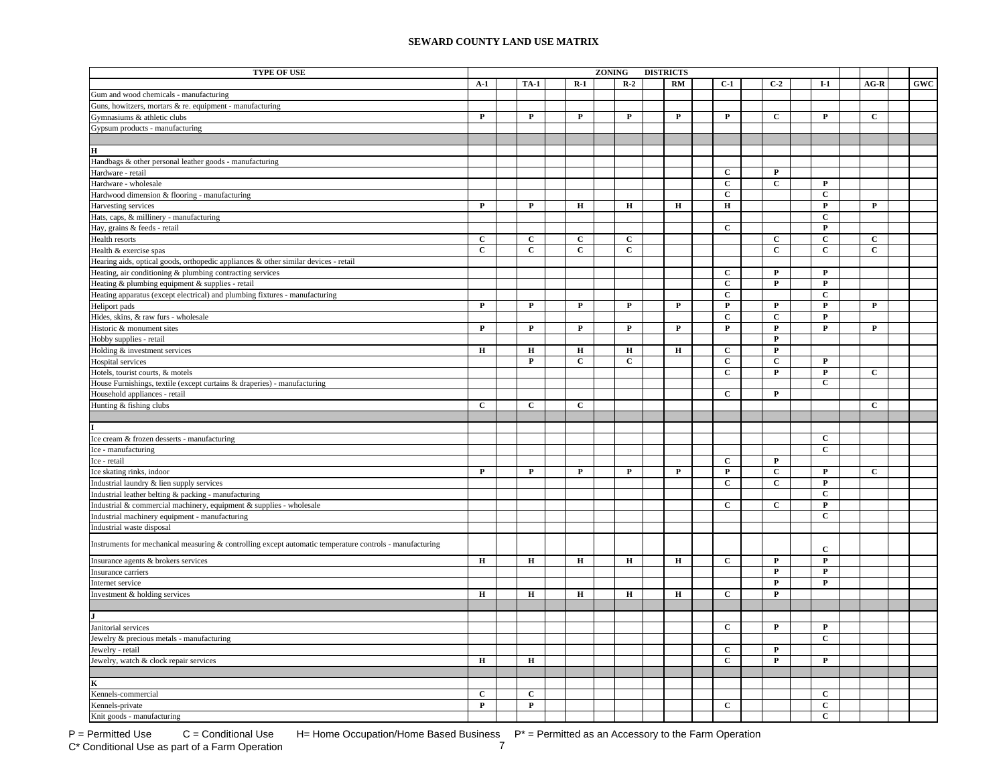| <b>TYPE OF USE</b>                                                                                       |              |              |              | ZONING |              | <b>DISTRICTS</b> |              |                |                |              |            |
|----------------------------------------------------------------------------------------------------------|--------------|--------------|--------------|--------|--------------|------------------|--------------|----------------|----------------|--------------|------------|
|                                                                                                          | $A-1$        | <b>TA-1</b>  | $R-1$        |        | $R-2$        | RM               | $C-1$        | $C-2$          | $I-1$          | $AG-R$       | <b>GWC</b> |
| Gum and wood chemicals - manufacturing                                                                   |              |              |              |        |              |                  |              |                |                |              |            |
| Guns, howitzers, mortars $\&$ re. equipment - manufacturing                                              |              |              |              |        |              |                  |              |                |                |              |            |
| Gymnasiums & athletic clubs                                                                              | P            | P            | P            |        | $\mathbf P$  | P                | P            | C              | P              | $\mathbf C$  |            |
| Gypsum products - manufacturing                                                                          |              |              |              |        |              |                  |              |                |                |              |            |
|                                                                                                          |              |              |              |        |              |                  |              |                |                |              |            |
| н                                                                                                        |              |              |              |        |              |                  |              |                |                |              |            |
| Handbags & other personal leather goods - manufacturing                                                  |              |              |              |        |              |                  |              |                |                |              |            |
| Hardware - retail                                                                                        |              |              |              |        |              |                  | $\mathbf{C}$ | $\mathbf{P}$   |                |              |            |
| Hardware - wholesale                                                                                     |              |              |              |        |              |                  | $\mathbf C$  | $\mathbf{C}$   | P              |              |            |
| Hardwood dimension & flooring - manufacturing                                                            |              |              |              |        |              |                  | $\mathbf{C}$ |                | $\mathbf C$    |              |            |
| Harvesting services                                                                                      | P            | $\mathbf{P}$ | $\mathbf H$  |        | $\mathbf H$  | $\mathbf H$      | $\bf H$      |                | $\mathbf P$    | $\mathbf{P}$ |            |
| Hats, caps, & millinery - manufacturing                                                                  |              |              |              |        |              |                  |              |                | $\mathbf C$    |              |            |
| Hay, grains & feeds - retail                                                                             |              |              |              |        |              |                  | $\mathbf{C}$ |                | $\mathbf{P}$   |              |            |
| Health resorts                                                                                           | $\mathbf{C}$ | C            | C            |        | C            |                  |              | C              | $\mathbf{C}$   | $\mathbf{C}$ |            |
| Health & exercise spas                                                                                   | $\mathbf{C}$ | $\mathbf{C}$ | $\mathbf{C}$ |        | $\mathbf C$  |                  |              | $\mathbf C$    | $\mathbf{C}$   | $\mathbf{C}$ |            |
| Hearing aids, optical goods, orthopedic appliances & other similar devices - retail                      |              |              |              |        |              |                  |              |                |                |              |            |
| Heating, air conditioning & plumbing contracting services                                                |              |              |              |        |              |                  | С            | $\mathbf{P}$   | $\mathbf P$    |              |            |
| Heating & plumbing equipment & supplies - retail                                                         |              |              |              |        |              |                  | $\mathbf{C}$ | $\mathbf P$    | $\mathbf P$    |              |            |
| Heating apparatus (except electrical) and plumbing fixtures - manufacturing                              |              |              |              |        |              |                  | $\mathbf C$  |                | $\mathbf C$    |              |            |
| Heliport pads                                                                                            | $\mathbf P$  | P            | $\mathbf P$  |        | $\mathbf{P}$ | $\mathbf P$      | $\mathbf P$  | $\mathbf P$    | $\mathbf P$    | P            |            |
| Hides, skins, & raw furs - wholesale                                                                     |              |              |              |        |              |                  | $\mathbf C$  | $\mathbf C$    | $\mathbf P$    |              |            |
| Historic & monument sites                                                                                | $\mathbf P$  | $\mathbf P$  | P            |        | $\mathbf P$  | $\mathbf P$      | $\mathbf P$  | $\mathbf P$    | $\mathbf P$    | $\mathbf{P}$ |            |
| Hobby supplies - retail                                                                                  |              |              |              |        |              |                  |              | $\overline{P}$ |                |              |            |
| Holding & investment services                                                                            | $\bf H$      | $\mathbf H$  | $\mathbf H$  |        | $\bf H$      | $\bf H$          | $\mathbf C$  | $\mathbf P$    |                |              |            |
| Hospital services                                                                                        |              | $\mathbf{P}$ | $\mathbf{C}$ |        | $\mathbf{C}$ |                  | $\mathbf C$  | $\mathbf{C}$   | $\mathbf P$    |              |            |
| Hotels, tourist courts, & motels                                                                         |              |              |              |        |              |                  | $\mathbf C$  | P              | $\mathbf P$    | C            |            |
| House Furnishings, textile (except curtains & draperies) - manufacturing                                 |              |              |              |        |              |                  |              |                | $\overline{c}$ |              |            |
| Household appliances - retail                                                                            |              |              |              |        |              |                  | $\mathbf C$  | $\mathbf{P}$   |                |              |            |
| Hunting & fishing clubs                                                                                  | $\mathbf{C}$ | $\mathbf C$  | $\mathbf C$  |        |              |                  |              |                |                | $\mathbf C$  |            |
|                                                                                                          |              |              |              |        |              |                  |              |                |                |              |            |
|                                                                                                          |              |              |              |        |              |                  |              |                |                |              |            |
| Ice cream & frozen desserts - manufacturing                                                              |              |              |              |        |              |                  |              |                | $\mathbf{C}$   |              |            |
| Ice - manufacturing                                                                                      |              |              |              |        |              |                  |              |                | $\mathbf{C}$   |              |            |
| Ice - retail                                                                                             |              |              |              |        |              |                  | $\mathbf{C}$ | $\mathbf{P}$   |                |              |            |
| Ice skating rinks, indoor                                                                                | $\mathbf P$  | $\mathbf{P}$ | $\mathbf{P}$ |        | $\mathbf{P}$ | $\mathbf P$      | $\mathbf P$  | $\mathbf C$    | $\mathbf P$    | $\mathbf{C}$ |            |
| Industrial laundry & lien supply services                                                                |              |              |              |        |              |                  | $\mathbf{C}$ | $\mathbf{C}$   | $\mathbf P$    |              |            |
| Industrial leather belting & packing - manufacturing                                                     |              |              |              |        |              |                  |              |                | $\mathbf{C}$   |              |            |
| Industrial & commercial machinery, equipment & supplies - wholesale                                      |              |              |              |        |              |                  | $\mathbf{C}$ | $\mathbf{C}$   | $\mathbf P$    |              |            |
| Industrial machinery equipment - manufacturing                                                           |              |              |              |        |              |                  |              |                | $\mathbf C$    |              |            |
| Industrial waste disposal                                                                                |              |              |              |        |              |                  |              |                |                |              |            |
| Instruments for mechanical measuring & controlling except automatic temperature controls - manufacturing |              |              |              |        |              |                  |              |                | $\mathbf C$    |              |            |
| Insurance agents & brokers services                                                                      | $\mathbf H$  | $\bf H$      | $\mathbf H$  |        | $\bf H$      | $\mathbf H$      | $\mathbf{C}$ | $\mathbf P$    | $\mathbf P$    |              |            |
| Insurance carriers                                                                                       |              |              |              |        |              |                  |              | $\mathbf{P}$   | $\mathbf P$    |              |            |
| Internet service                                                                                         |              |              |              |        |              |                  |              | $\mathbf P$    | $\mathbf P$    |              |            |
| Investment & holding services                                                                            | $\mathbf H$  | $\mathbf H$  | $\mathbf H$  |        | $\mathbf H$  | $\mathbf H$      | $\mathbf{C}$ | $\mathbf{P}$   |                |              |            |
|                                                                                                          |              |              |              |        |              |                  |              |                |                |              |            |
|                                                                                                          |              |              |              |        |              |                  |              |                |                |              |            |
| Janitorial services                                                                                      |              |              |              |        |              |                  | $\mathbf{C}$ | $\mathbf{P}$   | $\mathbf P$    |              |            |
| Jewelry & precious metals - manufacturing                                                                |              |              |              |        |              |                  |              |                | $\mathbf{C}$   |              |            |
| Jewelry - retail                                                                                         |              |              |              |        |              |                  | $\mathbf C$  | $\mathbf{P}$   |                |              |            |
| Jewelry, watch & clock repair services                                                                   | Н            | $\bf H$      |              |        |              |                  | $\mathbf{C}$ | $\mathbf P$    | $\mathbf P$    |              |            |
|                                                                                                          |              |              |              |        |              |                  |              |                |                |              |            |
| K                                                                                                        |              |              |              |        |              |                  |              |                |                |              |            |
| Kennels-commercial                                                                                       | $\mathbf C$  | $\mathbf{C}$ |              |        |              |                  |              |                | $\mathbf C$    |              |            |
| Kennels-private                                                                                          | $\mathbf P$  | $\mathbf P$  |              |        |              |                  | $\mathbf{C}$ |                | $\mathbf C$    |              |            |
| Knit goods - manufacturing                                                                               |              |              |              |        |              |                  |              |                | $\mathbf{C}$   |              |            |

 $P =$  Permitted Use  $C =$  Conditional Use H= Home Occupation/Home Based Business  $P^* =$  Permitted as an Accessory to the Farm Operation<br>C\* Conditional Use as part of a Farm Operation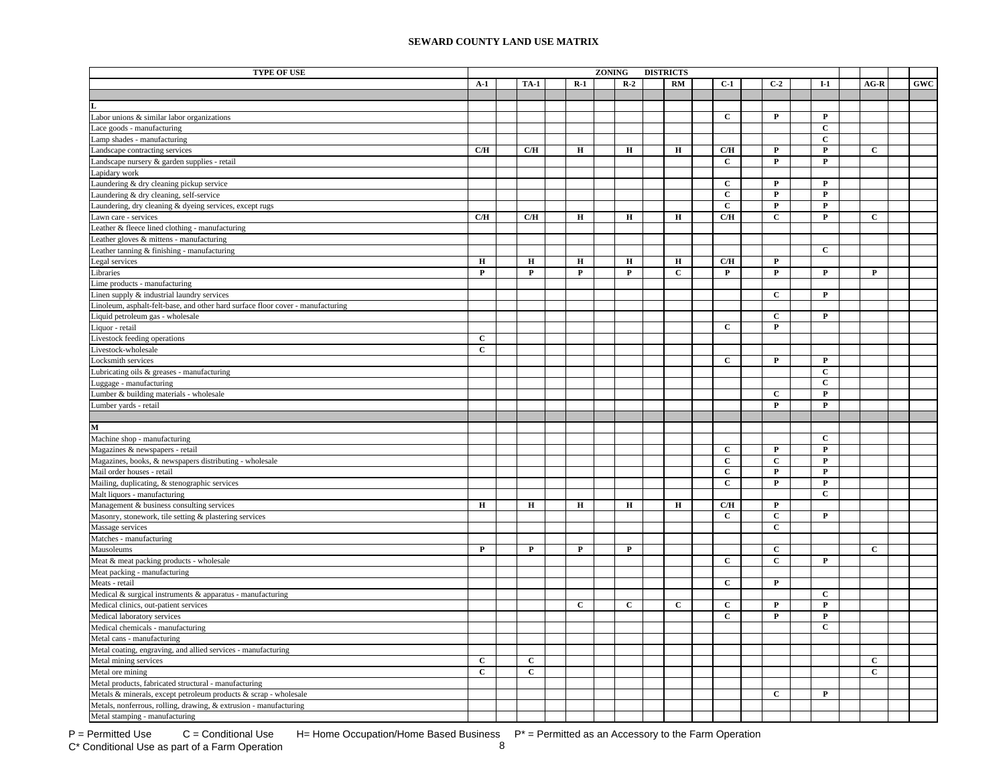| <b>SEWARD COUNTY LAND USE MATRIX</b> |  |  |  |
|--------------------------------------|--|--|--|
|--------------------------------------|--|--|--|

| <b>TYPE OF USE</b>                                                              |              |              |              | <b>ZONING</b> |              | <b>DISTRICTS</b> |                |              |                |              |            |
|---------------------------------------------------------------------------------|--------------|--------------|--------------|---------------|--------------|------------------|----------------|--------------|----------------|--------------|------------|
|                                                                                 | $A-1$        | <b>TA-1</b>  | $R-1$        |               | $R-2$        | <b>RM</b>        | $C-1$          | $C-2$        | $I-1$          | $AG-R$       | <b>GWC</b> |
|                                                                                 |              |              |              |               |              |                  |                |              |                |              |            |
|                                                                                 |              |              |              |               |              |                  |                |              |                |              |            |
| Labor unions & similar labor organizations                                      |              |              |              |               |              |                  | $\mathbf{C}$   | P            | P              |              |            |
| Lace goods - manufacturing                                                      |              |              |              |               |              |                  |                |              | $\mathbf C$    |              |            |
| Lamp shades - manufacturing                                                     |              |              |              |               |              |                  |                |              | $\mathbf C$    |              |            |
| Landscape contracting services                                                  | C/H          | C/H          | $\mathbf H$  |               | $\mathbf H$  | $\mathbf H$      | C/H            | $\mathbf{P}$ | $\mathbf P$    | $\mathbf C$  |            |
| Landscape nursery & garden supplies - retail                                    |              |              |              |               |              |                  | $\mathbf{C}$   | $\mathbf{P}$ | $\mathbf{P}$   |              |            |
| Lapidary work                                                                   |              |              |              |               |              |                  |                |              |                |              |            |
| Laundering & dry cleaning pickup service                                        |              |              |              |               |              |                  | $\mathbf{C}$   | $\mathbf{P}$ | $\mathbf{P}$   |              |            |
| Laundering & dry cleaning, self-service                                         |              |              |              |               |              |                  | $\mathbf C$    | P            | $\mathbf P$    |              |            |
| Laundering, dry cleaning & dyeing services, except rugs                         |              |              |              |               |              |                  | $\mathbf{C}$   | $\mathbf{P}$ | $\mathbf P$    |              |            |
| Lawn care - services                                                            | C/H          | C/H          | $\mathbf H$  |               | $\mathbf H$  | н                | C/H            | $\mathbf{C}$ | $\mathbf{P}$   | $\mathbf{C}$ |            |
| Leather & fleece lined clothing - manufacturing                                 |              |              |              |               |              |                  |                |              |                |              |            |
| Leather gloves & mittens - manufacturing                                        |              |              |              |               |              |                  |                |              |                |              |            |
| Leather tanning & finishing - manufacturing                                     |              |              |              |               |              |                  |                |              | $\mathbf{C}$   |              |            |
| Legal services                                                                  | $\mathbf H$  | $\mathbf H$  | н            |               | $\mathbf H$  | $\bf H$          | C/H            | $\mathbf{P}$ |                |              |            |
| Libraries                                                                       | $\mathbf P$  | $\mathbf{P}$ | $\mathbf P$  |               | ${\bf P}$    | $\mathbf{C}$     | $\mathbf P$    | $\mathbf{P}$ | $\mathbf P$    | $\mathbf{P}$ |            |
| Lime products - manufacturing                                                   |              |              |              |               |              |                  |                |              |                |              |            |
| Linen supply & industrial laundry services                                      |              |              |              |               |              |                  |                | $\mathbf C$  | $\mathbf P$    |              |            |
| Linoleum, asphalt-felt-base, and other hard surface floor cover - manufacturing |              |              |              |               |              |                  |                |              |                |              |            |
| Liquid petroleum gas - wholesale                                                |              |              |              |               |              |                  |                | $\mathbf{C}$ | $\mathbf P$    |              |            |
| Liquor - retail                                                                 |              |              |              |               |              |                  | $\mathbf{C}$   | $\mathbf P$  |                |              |            |
| Livestock feeding operations                                                    | $\mathbf C$  |              |              |               |              |                  |                |              |                |              |            |
| Livestock-wholesale                                                             | $\mathbf C$  |              |              |               |              |                  |                |              |                |              |            |
| Locksmith services                                                              |              |              |              |               |              |                  | $\mathbf{C}$   | $\mathbf{P}$ | $\mathbf P$    |              |            |
| Lubricating oils & greases - manufacturing                                      |              |              |              |               |              |                  |                |              | $\mathbf C$    |              |            |
| Luggage - manufacturing                                                         |              |              |              |               |              |                  |                |              | $\overline{c}$ |              |            |
| Lumber & building materials - wholesale                                         |              |              |              |               |              |                  |                | $\mathbf{C}$ | $\mathbf{P}$   |              |            |
| Lumber yards - retail                                                           |              |              |              |               |              |                  |                | P            | $\mathbf{P}$   |              |            |
|                                                                                 |              |              |              |               |              |                  |                |              |                |              |            |
| $\mathbf M$                                                                     |              |              |              |               |              |                  |                |              |                |              |            |
| Machine shop - manufacturing                                                    |              |              |              |               |              |                  |                |              | $\mathbf{C}$   |              |            |
| Magazines & newspapers - retail                                                 |              |              |              |               |              |                  | $\mathbf{C}$   | $\mathbf{P}$ | $\mathbf{P}$   |              |            |
| Magazines, books, & newspapers distributing - wholesale                         |              |              |              |               |              |                  | $\mathbf{C}$   | $\mathbf{C}$ | $\mathbf{P}$   |              |            |
| Mail order houses - retail                                                      |              |              |              |               |              |                  | $\mathbf{C}$   | $\mathbf P$  | $\mathbf{P}$   |              |            |
| Mailing, duplicating, & stenographic services                                   |              |              |              |               |              |                  | $\mathbf C$    | $\mathbf{P}$ | $\mathbf{P}$   |              |            |
| Malt liquors - manufacturing                                                    |              |              |              |               |              |                  |                |              | $\mathbf{C}$   |              |            |
| Management & business consulting services                                       | Н            | $\bf H$      | $\, {\bf H}$ |               | $\, {\bf H}$ | $\mathbf H$      | C/H            | $\mathbf{P}$ |                |              |            |
| Masonry, stonework, tile setting & plastering services                          |              |              |              |               |              |                  | $\mathbf{C}$   | $\mathbf{C}$ | P              |              |            |
| Massage services                                                                |              |              |              |               |              |                  |                | $\mathbf C$  |                |              |            |
| Matches - manufacturing                                                         |              |              |              |               |              |                  |                |              |                |              |            |
| Mausoleums                                                                      | ${\bf P}$    | $\mathbf{P}$ | $\mathbf P$  |               | $\mathbf P$  |                  |                | $\mathbf{C}$ |                | $\mathbf C$  |            |
| Meat & meat packing products - wholesale                                        |              |              |              |               |              |                  | $\mathbf{C}$   | $\mathbf{C}$ | $\mathbf P$    |              |            |
| Meat packing - manufacturing                                                    |              |              |              |               |              |                  |                |              |                |              |            |
| Meats - retail                                                                  |              |              |              |               |              |                  | $\overline{c}$ | $\mathbf{P}$ |                |              |            |
| Medical & surgical instruments & apparatus - manufacturing                      |              |              |              |               |              |                  |                |              | $\mathbf C$    |              |            |
| Medical clinics, out-patient services                                           |              |              | $\mathbf{c}$ |               | $\mathbf{C}$ | $\mathbf{C}$     | $\mathbf{C}$   | P            | $\mathbf P$    |              |            |
| Medical laboratory services                                                     |              |              |              |               |              |                  | $\mathbf{C}$   | P            | $\mathbf P$    |              |            |
| Medical chemicals - manufacturing                                               |              |              |              |               |              |                  |                |              | $\mathbf{C}$   |              |            |
| Metal cans - manufacturing                                                      |              |              |              |               |              |                  |                |              |                |              |            |
| Metal coating, engraving, and allied services - manufacturing                   |              |              |              |               |              |                  |                |              |                |              |            |
| Metal mining services                                                           | $\mathbf{C}$ | $\mathbf{C}$ |              |               |              |                  |                |              |                | $\mathbf{C}$ |            |
| Metal ore mining                                                                | $\mathbf{C}$ | $\mathbf{C}$ |              |               |              |                  |                |              |                | $\mathbf{C}$ |            |
| Metal products, fabricated structural - manufacturing                           |              |              |              |               |              |                  |                |              |                |              |            |
| Metals & minerals, except petroleum products & scrap - wholesale                |              |              |              |               |              |                  |                | $\mathbf{C}$ | $\mathbf P$    |              |            |
| Metals, nonferrous, rolling, drawing, & extrusion - manufacturing               |              |              |              |               |              |                  |                |              |                |              |            |
| Metal stamping - manufacturing                                                  |              |              |              |               |              |                  |                |              |                |              |            |

P = Permitted Use  $C =$  Conditional Use H= Home Occupation/Home Based Business  $P^* =$  Permitted as an Accessory to the Farm Operation<br>C\* Conditional Use as part of a Farm Operation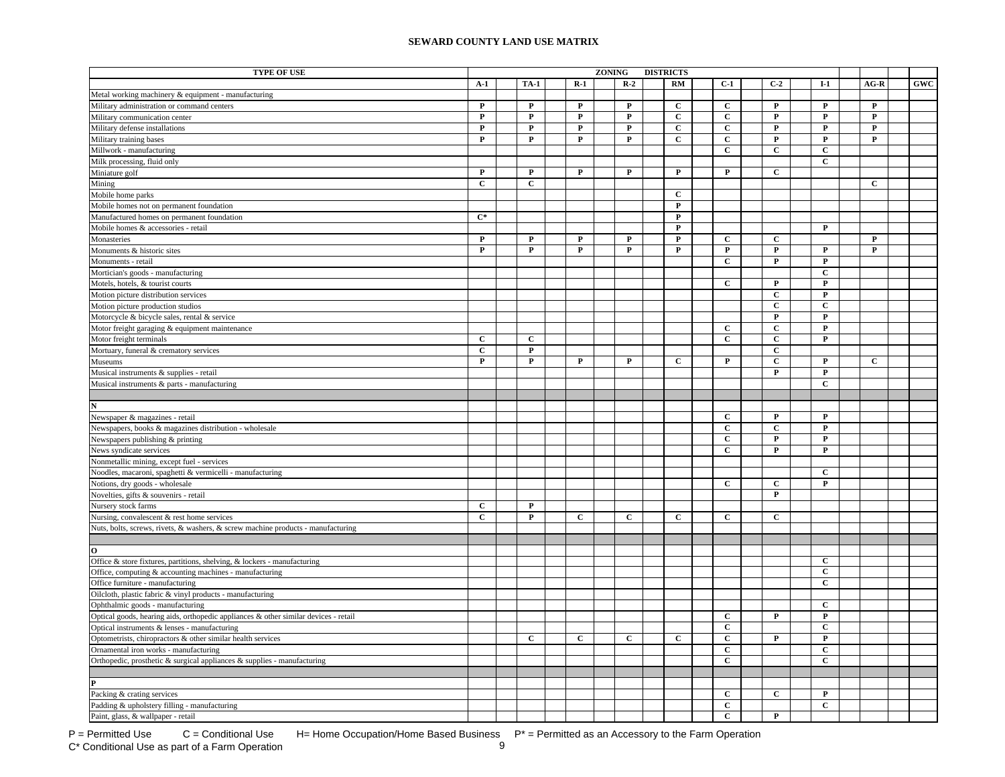| <b>TYPE OF USE</b>                                                                  |                  |              |                         | <b>ZONING</b> |              | <b>DISTRICTS</b> |              |                |                |                         |              |            |
|-------------------------------------------------------------------------------------|------------------|--------------|-------------------------|---------------|--------------|------------------|--------------|----------------|----------------|-------------------------|--------------|------------|
|                                                                                     | $A-1$            | <b>TA-1</b>  | $R-1$                   |               | $R-2$        |                  | <b>RM</b>    | $C-1$          | $C-2$          | $I-1$                   | $AG-R$       | <b>GWC</b> |
| Metal working machinery & equipment - manufacturing                                 |                  |              |                         |               |              |                  |              |                |                |                         |              |            |
| Military administration or command centers                                          | $\mathbf P$      | $\mathbf{P}$ | $\mathbf P$             |               | $\mathbf{P}$ |                  | $\mathbf{C}$ | $\mathbf{C}$   | $\mathbf{P}$   | $\mathbf P$             | $\mathbf{P}$ |            |
| Military communication center                                                       | $\mathbf P$      | $\mathbf{P}$ | $\mathbf P$             |               | $\mathbf P$  |                  | $\mathbf C$  | $\mathbf C$    | $\mathbf P$    | $\mathbf P$             | $\mathbf{P}$ |            |
| Military defense installations                                                      | $\mathbf P$      | $\mathbf P$  | $\overline{\mathbf{P}}$ |               | $\mathbf P$  |                  | $\mathbf{C}$ | $\overline{c}$ | $\overline{P}$ | $\mathbf P$             | $\mathbf P$  |            |
| Military training bases                                                             | $\mathbf P$      | P            | $\mathbf P$             |               | $\mathbf P$  |                  | $\mathbf{C}$ | $\mathbf C$    | $\mathbf P$    | $\mathbf P$             | P            |            |
| Millwork - manufacturing                                                            |                  |              |                         |               |              |                  |              | $\mathbf{C}$   | $\mathbf C$    | $\mathbf C$             |              |            |
| Milk processing, fluid only                                                         |                  |              |                         |               |              |                  |              |                |                | $\mathbf C$             |              |            |
| Miniature golf                                                                      | $\mathbf P$      | $\mathbf{P}$ | $\mathbf P$             |               | $\mathbf{P}$ |                  | ${\bf P}$    | $\mathbf{P}$   | $\mathbf{C}$   |                         |              |            |
| Mining                                                                              | $\overline{c}$   | $\mathbf C$  |                         |               |              |                  |              |                |                |                         | $\mathbf{C}$ |            |
| Mobile home parks                                                                   |                  |              |                         |               |              |                  | $\mathbf C$  |                |                |                         |              |            |
| Mobile homes not on permanent foundation                                            |                  |              |                         |               |              |                  | ${\bf P}$    |                |                |                         |              |            |
| Manufactured homes on permanent foundation                                          | $\overline{C^*}$ |              |                         |               |              |                  | P            |                |                |                         |              |            |
| Mobile homes & accessories - retail                                                 |                  |              |                         |               |              |                  | P            |                |                | P                       |              |            |
| Monasteries                                                                         | P                | P            | P                       |               | P            |                  | P            | $\mathbf{C}$   | $\mathbf{C}$   |                         | P            |            |
| Monuments & historic sites                                                          | P                | $\mathbf{P}$ | $\mathbf{P}$            |               | $\mathbf P$  |                  | $\mathbf P$  | $\mathbf P$    | $\mathbf{P}$   | $\mathbf{P}$            | $\mathbf{P}$ |            |
| Monuments - retail                                                                  |                  |              |                         |               |              |                  |              | $\mathbf C$    | $\mathbf P$    | $\mathbf P$             |              |            |
| Mortician's goods - manufacturing                                                   |                  |              |                         |               |              |                  |              |                |                | $\mathbf C$             |              |            |
| Motels, hotels, & tourist courts                                                    |                  |              |                         |               |              |                  |              | $\mathbf{C}$   | $\mathbf{P}$   | $\mathbf{P}$            |              |            |
| Motion picture distribution services                                                |                  |              |                         |               |              |                  |              |                | $\mathbf{C}$   | $\mathbf P$             |              |            |
| Motion picture production studios                                                   |                  |              |                         |               |              |                  |              |                | $\mathbf{C}$   | $\mathbf C$             |              |            |
| Motorcycle & bicycle sales, rental & service                                        |                  |              |                         |               |              |                  |              |                | $\mathbf{P}$   | $\mathbf{P}$            |              |            |
| Motor freight garaging & equipment maintenance                                      |                  |              |                         |               |              |                  |              | $\mathbf C$    | $\mathbf C$    | $\mathbf P$             |              |            |
| Motor freight terminals                                                             | $\overline{c}$   | $\mathbf C$  |                         |               |              |                  |              | $\overline{c}$ | $\overline{c}$ | $\overline{\mathbf{P}}$ |              |            |
| Mortuary, funeral & crematory services                                              | $\overline{c}$   | P            |                         |               |              |                  |              |                | $\overline{c}$ |                         |              |            |
| Museums                                                                             | $\mathbf P$      | $\mathbf P$  | $\mathbf P$             |               | $\mathbf P$  |                  | $\mathbf{C}$ | $\mathbf P$    | $\mathbf C$    | $\mathbf P$             | $\mathbf C$  |            |
| Musical instruments & supplies - retail                                             |                  |              |                         |               |              |                  |              |                | $\mathbf{P}$   | $\mathbf P$             |              |            |
| Musical instruments & parts - manufacturing                                         |                  |              |                         |               |              |                  |              |                |                | $\mathbf C$             |              |            |
|                                                                                     |                  |              |                         |               |              |                  |              |                |                |                         |              |            |
|                                                                                     |                  |              |                         |               |              |                  |              |                |                |                         |              |            |
| Newspaper & magazines - retail                                                      |                  |              |                         |               |              |                  |              | $\mathbf{C}$   | $\mathbf{P}$   | $\mathbf P$             |              |            |
| Newspapers, books & magazines distribution - wholesale                              |                  |              |                         |               |              |                  |              | $\mathbf C$    | $\mathbf{C}$   | $\mathbf{P}$            |              |            |
| Newspapers publishing & printing                                                    |                  |              |                         |               |              |                  |              | $\mathbf C$    | $\mathbf{P}$   | $\mathbf{P}$            |              |            |
| News syndicate services                                                             |                  |              |                         |               |              |                  |              | $\mathbf{C}$   | $\mathbf P$    | $\mathbf{P}$            |              |            |
| Nonmetallic mining, except fuel - services                                          |                  |              |                         |               |              |                  |              |                |                |                         |              |            |
| Noodles, macaroni, spaghetti & vermicelli - manufacturing                           |                  |              |                         |               |              |                  |              |                |                | C                       |              |            |
| Notions, dry goods - wholesale                                                      |                  |              |                         |               |              |                  |              | $\mathbf{C}$   | $\mathbf{C}$   | $\mathbf P$             |              |            |
| Novelties, gifts & souvenirs - retail                                               |                  |              |                         |               |              |                  |              |                | $\mathbf{P}$   |                         |              |            |
| Nursery stock farms                                                                 | $\mathbf C$      | $\mathbf P$  |                         |               |              |                  |              |                |                |                         |              |            |
| Nursing, convalescent & rest home services                                          | $\overline{c}$   | $\mathbf{P}$ | $\mathbf{C}$            |               | $\mathbf{C}$ |                  | $\mathbf{C}$ | $\mathbf{C}$   | $\mathbf{C}$   |                         |              |            |
| Nuts, bolts, screws, rivets, & washers, & screw machine products - manufacturing    |                  |              |                         |               |              |                  |              |                |                |                         |              |            |
|                                                                                     |                  |              |                         |               |              |                  |              |                |                |                         |              |            |
|                                                                                     |                  |              |                         |               |              |                  |              |                |                |                         |              |            |
| Office & store fixtures, partitions, shelving, & lockers - manufacturing            |                  |              |                         |               |              |                  |              |                |                | C                       |              |            |
| Office, computing & accounting machines - manufacturing                             |                  |              |                         |               |              |                  |              |                |                | $\overline{c}$          |              |            |
| Office furniture - manufacturing                                                    |                  |              |                         |               |              |                  |              |                |                | $\overline{c}$          |              |            |
| Oilcloth, plastic fabric & vinyl products - manufacturing                           |                  |              |                         |               |              |                  |              |                |                |                         |              |            |
| Ophthalmic goods - manufacturing                                                    |                  |              |                         |               |              |                  |              |                |                | $\mathbf{C}$            |              |            |
| Optical goods, hearing aids, orthopedic appliances & other similar devices - retail |                  |              |                         |               |              |                  |              | $\mathbf{C}$   | $\mathbf P$    | $\mathbf P$             |              |            |
| Optical instruments & lenses - manufacturing                                        |                  |              |                         |               |              |                  |              | $\mathbf{C}$   |                | $\mathbf C$             |              |            |
| Optometrists, chiropractors & other similar health services                         |                  | $\mathbf{C}$ | $\mathbf{C}$            |               | $\mathbf{C}$ |                  | $\mathbf{C}$ | $\mathbf{C}$   | $\mathbf{P}$   | $\mathbf{P}$            |              |            |
| Ornamental iron works - manufacturing                                               |                  |              |                         |               |              |                  |              | $\mathbf{C}$   |                | $\mathbf{C}$            |              |            |
| Orthopedic, prosthetic $\&$ surgical appliances $\&$ supplies - manufacturing       |                  |              |                         |               |              |                  |              | $\mathbf{C}$   |                | $\mathbf{C}$            |              |            |
|                                                                                     |                  |              |                         |               |              |                  |              |                |                |                         |              |            |
|                                                                                     |                  |              |                         |               |              |                  |              |                |                |                         |              |            |
| Packing & crating services                                                          |                  |              |                         |               |              |                  |              | С              | $\mathbf{C}$   | $\mathbf{P}$            |              |            |
| Padding & upholstery filling - manufacturing                                        |                  |              |                         |               |              |                  |              | С              |                | $\mathbf{C}$            |              |            |
| Paint, glass, & wallpaper - retail                                                  |                  |              |                         |               |              |                  |              | $\mathbf C$    | $\mathbf{P}$   |                         |              |            |

P = Permitted Use  $C =$  Conditional Use H= Home Occupation/Home Based Business  $P^* =$  Permitted as an Accessory to the Farm Operation<br>C\* Conditional Use as part of a Farm Operation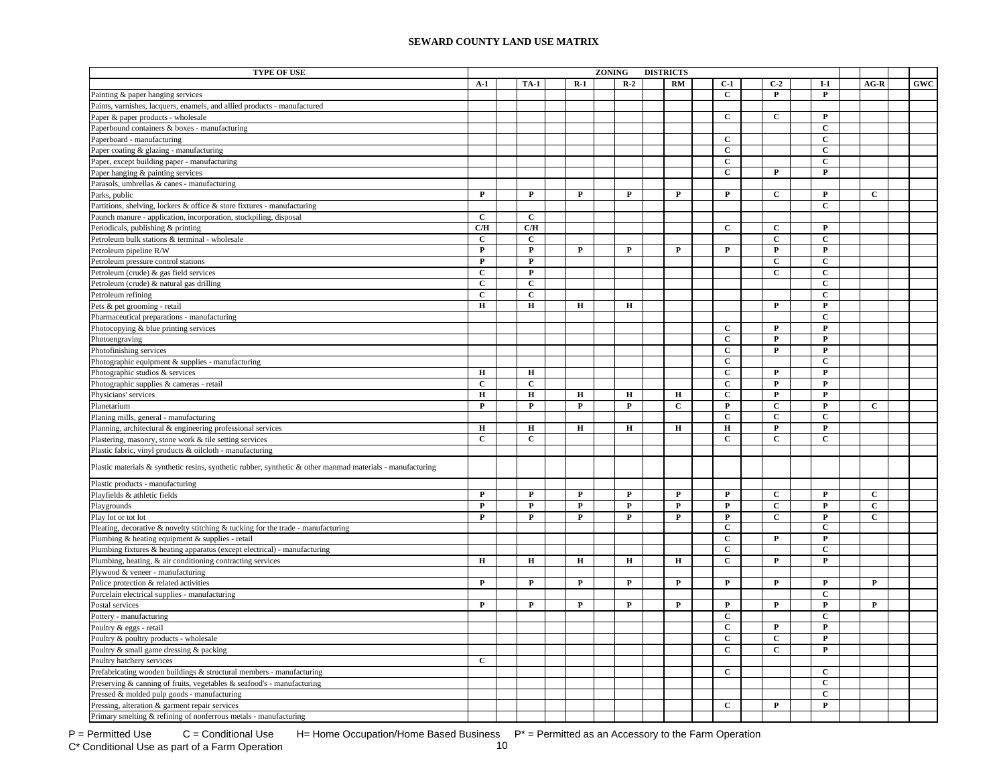| <b>TYPE OF USE</b>                                                                                         |              |                |              | <b>ZONING</b> |             | <b>DISTRICTS</b> |              |                |                |              |                |            |
|------------------------------------------------------------------------------------------------------------|--------------|----------------|--------------|---------------|-------------|------------------|--------------|----------------|----------------|--------------|----------------|------------|
|                                                                                                            | $A-1$        | <b>TA-1</b>    | $R-1$        |               | $R-2$       |                  | RM           | $C-1$          | $C-2$          | $I-1$        | $AG-R$         | <b>GWC</b> |
| Painting & paper hanging services                                                                          |              |                |              |               |             |                  |              | $\mathbf{C}$   | $\mathbf{P}$   | P            |                |            |
| Paints, varnishes, lacquers, enamels, and allied products - manufactured                                   |              |                |              |               |             |                  |              |                |                |              |                |            |
| Paper & paper products - wholesale                                                                         |              |                |              |               |             |                  |              | $\mathbf{C}$   | $\mathbf{C}$   | $\mathbf P$  |                |            |
| Paperbound containers & boxes - manufacturing                                                              |              |                |              |               |             |                  |              |                |                | $\mathbf C$  |                |            |
| Paperboard - manufacturing                                                                                 |              |                |              |               |             |                  |              | $\mathbf{C}$   |                | $\mathbf C$  |                |            |
| Paper coating & glazing - manufacturing                                                                    |              |                |              |               |             |                  |              | $\mathbf C$    |                | $\mathbf C$  |                |            |
| Paper, except building paper - manufacturing                                                               |              |                |              |               |             |                  |              | $\mathbf C$    |                | $\mathbf C$  |                |            |
| Paper hanging & painting services                                                                          |              |                |              |               |             |                  |              | $\mathbf C$    | $\mathbf P$    | $\mathbf{P}$ |                |            |
| Parasols, umbrellas & canes - manufacturing                                                                |              |                |              |               |             |                  |              |                |                |              |                |            |
| Parks, public                                                                                              | $\mathbf P$  | $\mathbf P$    | $\mathbf P$  |               | ${\bf P}$   |                  | $\mathbf P$  | $\mathbf{P}$   | $\mathbf{C}$   | $\mathbf P$  | $\overline{c}$ |            |
| Partitions, shelving, lockers & office & store fixtures - manufacturing                                    |              |                |              |               |             |                  |              |                |                | $\mathbf{C}$ |                |            |
| Paunch manure - application, incorporation, stockpiling, disposal                                          | $\mathbf{C}$ | $\mathbf{C}$   |              |               |             |                  |              |                |                |              |                |            |
| Periodicals, publishing & printing                                                                         | C/H          | C/H            |              |               |             |                  |              | C              | $\mathbf{C}$   | P            |                |            |
| Petroleum bulk stations & terminal - wholesale                                                             | $\mathbf{C}$ | $\mathbf{C}$   |              |               |             |                  |              |                | $\mathbf{C}$   | $\mathbf C$  |                |            |
| Petroleum pipeline R/W                                                                                     | P            | $\mathbf{P}$   | $\mathbf{P}$ |               | $\mathbf P$ |                  | $\mathbf{P}$ | $\mathbf{P}$   | $\mathbf{P}$   | $\mathbf{P}$ |                |            |
|                                                                                                            | $\mathbf{P}$ | $\mathbf P$    |              |               |             |                  |              |                | $\mathbf{C}$   | $\mathbf{C}$ |                |            |
| Petroleum pressure control stations                                                                        |              |                |              |               |             |                  |              |                |                |              |                |            |
| Petroleum (crude) & gas field services                                                                     | $\mathbf C$  | $\mathbf P$    |              |               |             |                  |              |                | $\mathbf{C}$   | $\mathbf{C}$ |                |            |
| Petroleum (crude) & natural gas drilling                                                                   | $\mathbf{C}$ | $\mathbf{C}$   |              |               |             |                  |              |                |                | $\mathbf{C}$ |                |            |
| Petroleum refining                                                                                         | $\mathbf C$  | $\mathbf C$    |              |               |             |                  |              |                |                | $\mathbf{C}$ |                |            |
| Pets & pet grooming - retail                                                                               | $\bf H$      | $\bf H$        | н            |               | Н           |                  |              |                | $\mathbf P$    | P            |                |            |
| Pharmaceutical preparations - manufacturing                                                                |              |                |              |               |             |                  |              |                |                | $\mathbf C$  |                |            |
| Photocopying & blue printing services                                                                      |              |                |              |               |             |                  |              | $\mathbf{C}$   | $\mathbf P$    | $\mathbf P$  |                |            |
| Photoengraving                                                                                             |              |                |              |               |             |                  |              | $\mathbf C$    | $\mathbf P$    | ${\bf P}$    |                |            |
| Photofinishing services                                                                                    |              |                |              |               |             |                  |              | $\mathbf C$    | $\mathbf P$    | $\mathbf P$  |                |            |
| Photographic equipment & supplies - manufacturing                                                          |              |                |              |               |             |                  |              | $\mathbf C$    |                | $\mathbf C$  |                |            |
| Photographic studios & services                                                                            | $\mathbf H$  | $\mathbf H$    |              |               |             |                  |              | $\mathbf{C}$   | $\mathbf{P}$   | $\mathbf{P}$ |                |            |
| Photographic supplies & cameras - retail                                                                   | $\mathbf C$  | $\overline{c}$ |              |               |             |                  |              | $\overline{c}$ | $\overline{P}$ | ${\bf P}$    |                |            |
| Physicians' services                                                                                       | н            | $\mathbf H$    | н            |               | н           |                  | Н            | $\mathbf{C}$   | $\mathbf P$    | P            |                |            |
| Planetarium                                                                                                | P            | $\mathbf P$    | P            |               | P           |                  | С            | $\mathbf P$    | $\mathbf C$    | P            | $\mathbf{C}$   |            |
| Planing mills, general - manufacturing                                                                     |              |                |              |               |             |                  |              | $\mathbf{C}$   | $\mathbf{C}$   | $\mathbf{C}$ |                |            |
| Planning, architectural & engineering professional services                                                | $\mathbf H$  | $\mathbf H$    | $\mathbf H$  |               | $\mathbf H$ |                  | $\mathbf H$  | $\mathbf H$    | P              | P            |                |            |
| Plastering, masonry, stone work & tile setting services                                                    | $\mathbf{C}$ | $\mathbf{C}$   |              |               |             |                  |              | $\mathbf{C}$   | $\mathbf{C}$   | $\mathbf{C}$ |                |            |
| Plastic fabric, vinyl products & oilcloth - manufacturing                                                  |              |                |              |               |             |                  |              |                |                |              |                |            |
| Plastic materials & synthetic resins, synthetic rubber, synthetic & other manmad materials - manufacturing |              |                |              |               |             |                  |              |                |                |              |                |            |
| Plastic products - manufacturing                                                                           |              |                |              |               |             |                  |              |                |                |              |                |            |
| Playfields & athletic fields                                                                               | ${\bf P}$    | $\mathbf P$    | $\mathbf P$  |               | $\mathbf P$ |                  | P            | ${\bf P}$      | $\mathbf C$    | P            | $\mathbf c$    |            |
| Playgrounds                                                                                                | ${\bf P}$    | $\mathbf P$    | $\mathbf P$  |               | ${\bf P}$   |                  | $\mathbf P$  | ${\bf P}$      | $\mathbf{C}$   | $\mathbf P$  | $\mathbf C$    |            |
| Play lot or tot lot                                                                                        | $\mathbf P$  | $\mathbf P$    | $\mathbf P$  |               | $\mathbf P$ |                  | $\mathbf{P}$ | $\mathbf P$    | $\mathbf C$    | P            | $\mathbf{C}$   |            |
| Pleating, decorative & novelty stitching & tucking for the trade - manufacturing                           |              |                |              |               |             |                  |              | $\mathbf{C}$   |                | $\mathbf C$  |                |            |
| Plumbing & heating equipment & supplies - retail                                                           |              |                |              |               |             |                  |              | $\mathbf{C}$   | $\mathbf{P}$   | P            |                |            |
| Plumbing fixtures & heating apparatus (except electrical) - manufacturing                                  |              |                |              |               |             |                  |              | $\mathbf{C}$   |                | $\mathbf C$  |                |            |
| Plumbing, heating, & air conditioning contracting services                                                 | $\mathbf H$  | $\mathbf H$    | $\mathbf H$  |               | $\mathbf H$ |                  | $\bf H$      | $\mathbf{C}$   | $\mathbf P$    | $\mathbf{P}$ |                |            |
| Plywood & veneer - manufacturing                                                                           |              |                |              |               |             |                  |              |                |                |              |                |            |
| Police protection & related activities                                                                     | $\mathbf P$  | $\mathbf P$    | P            |               | $\mathbf P$ |                  | P            | $\mathbf{P}$   | $\mathbf{P}$   | P            | ${\bf P}$      |            |
| Porcelain electrical supplies - manufacturing                                                              |              |                |              |               |             |                  |              |                |                | $\mathbf C$  |                |            |
| Postal services                                                                                            | P            | $\mathbf{P}$   | P            |               | $\mathbf P$ |                  | P            | $\mathbf P$    | $\mathbf P$    | P            | P              |            |
| Pottery - manufacturing                                                                                    |              |                |              |               |             |                  |              | $\mathbf C$    |                | $\mathbf C$  |                |            |
| Poultry & eggs - retail                                                                                    |              |                |              |               |             |                  |              | $\mathbf C$    | $\mathbf{P}$   | $\mathbf{P}$ |                |            |
| Poultry & poultry products - wholesale                                                                     |              |                |              |               |             |                  |              | $\mathbf C$    | $\mathbf C$    | P            |                |            |
| Poultry & small game dressing & packing                                                                    |              |                |              |               |             |                  |              | $\mathbf{C}$   | $\mathbf C$    | $\mathbf{P}$ |                |            |
|                                                                                                            | $\mathbf{C}$ |                |              |               |             |                  |              |                |                |              |                |            |
| Poultry hatchery services                                                                                  |              |                |              |               |             |                  |              |                |                |              |                |            |
| Prefabricating wooden buildings & structural members - manufacturing                                       |              |                |              |               |             |                  |              | $\mathbf{C}$   |                | $\mathbf{C}$ |                |            |
| Preserving & canning of fruits, vegetables & seafood's - manufacturing                                     |              |                |              |               |             |                  |              |                |                | $\mathbf C$  |                |            |
| Pressed & molded pulp goods - manufacturing                                                                |              |                |              |               |             |                  |              |                |                | $\mathbf C$  |                |            |
| Pressing, alteration & garment repair services                                                             |              |                |              |               |             |                  |              | $\mathbf{C}$   | P              | P            |                |            |
| Primary smelting & refining of nonferrous metals - manufacturing                                           |              |                |              |               |             |                  |              |                |                |              |                |            |

P = Permitted Use  $C =$  Conditional Use H= Home Occupation/Home Based Business  $P^* =$  Permitted as an Accessory to the Farm Operation<br>C\* Conditional Use as part of a Farm Operation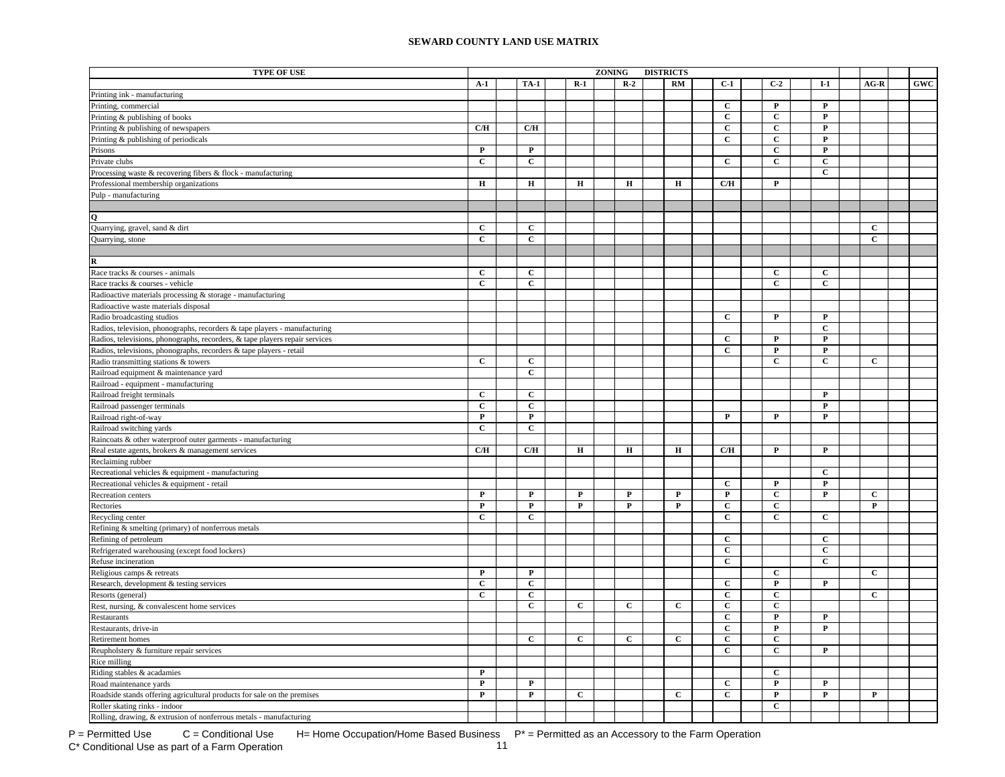| <b>TYPE OF USE</b>                                                          |                |                |              | ZONING |              | <b>DISTRICTS</b> |                |                         |                         |              |     |
|-----------------------------------------------------------------------------|----------------|----------------|--------------|--------|--------------|------------------|----------------|-------------------------|-------------------------|--------------|-----|
|                                                                             | $A-1$          | <b>TA-1</b>    | $R-1$        |        | $R-2$        | RM               | $C-1$          | $C-2$                   | $I-1$                   | $AG-R$       | GWC |
| Printing ink - manufacturing                                                |                |                |              |        |              |                  |                |                         |                         |              |     |
| Printing, commercial                                                        |                |                |              |        |              |                  | $\mathbf{C}$   | $\mathbf{P}$            | P                       |              |     |
| Printing & publishing of books                                              |                |                |              |        |              |                  | $\mathbf{C}$   | $\mathbf{C}$            | $\mathbf{P}$            |              |     |
| Printing & publishing of newspapers                                         | C/H            | C/H            |              |        |              |                  | $\mathbf{C}$   | $\mathbf{C}$            | P                       |              |     |
| Printing & publishing of periodicals                                        |                |                |              |        |              |                  | $\mathbf{C}$   | $\mathbf C$             | $\mathbf P$             |              |     |
| Prisons                                                                     | $\mathbf{P}$   | $\mathbf P$    |              |        |              |                  |                | $\mathbf{C}$            | P                       |              |     |
| Private clubs                                                               | $\mathbf C$    | $\mathbf{C}$   |              |        |              |                  | $\mathbf{C}$   | $\mathbf C$             | $\mathbf C$             |              |     |
| Processing waste & recovering fibers & flock - manufacturing                |                |                |              |        |              |                  |                |                         | $\mathbf{C}$            |              |     |
| Professional membership organizations                                       | $\mathbf H$    | $\mathbf H$    | $\mathbf H$  |        | $\mathbf H$  | Н                | C/H            | $\mathbf P$             |                         |              |     |
| Pulp - manufacturing                                                        |                |                |              |        |              |                  |                |                         |                         |              |     |
|                                                                             |                |                |              |        |              |                  |                |                         |                         |              |     |
| Q                                                                           |                |                |              |        |              |                  |                |                         |                         |              |     |
| Quarrying, gravel, sand & dirt                                              | $\mathbf{C}$   | $\mathbf{C}$   |              |        |              |                  |                |                         |                         | C            |     |
| Quarrying, stone                                                            | $\mathbf{C}$   | $\mathbf{C}$   |              |        |              |                  |                |                         |                         | $\mathbf{C}$ |     |
|                                                                             |                |                |              |        |              |                  |                |                         |                         |              |     |
| $\mathbf R$                                                                 |                |                |              |        |              |                  |                |                         |                         |              |     |
| Race tracks & courses - animals                                             | $\mathbf{C}$   | $\mathbf{C}$   |              |        |              |                  |                | $\mathbf{C}$            | $\mathbf{C}$            |              |     |
| Race tracks & courses - vehicle                                             | $\mathbf C$    | $\mathbf{C}$   |              |        |              |                  |                | C                       | C                       |              |     |
| Radioactive materials processing & storage - manufacturing                  |                |                |              |        |              |                  |                |                         |                         |              |     |
| Radioactive waste materials disposal                                        |                |                |              |        |              |                  |                |                         |                         |              |     |
| Radio broadcasting studios                                                  |                |                |              |        |              |                  | $\mathbf{C}$   | $\mathbf{P}$            | $\mathbf{P}$            |              |     |
| Radios, television, phonographs, recorders & tape players - manufacturing   |                |                |              |        |              |                  |                |                         | $\mathbf{C}$            |              |     |
| Radios, televisions, phonographs, recorders, & tape players repair services |                |                |              |        |              |                  | $\mathbf{C}$   | $\mathbf{P}$            | $\mathbf P$             |              |     |
| Radios, televisions, phonographs, recorders & tape players - retail         |                |                |              |        |              |                  | $\mathbf{C}$   | P                       | P                       |              |     |
| Radio transmitting stations & towers                                        | $\mathbf C$    | $\mathbf C$    |              |        |              |                  |                | $\mathbf{C}$            | $\mathbf C$             | $\mathbf C$  |     |
| Railroad equipment & maintenance yard                                       |                | $\mathbf c$    |              |        |              |                  |                |                         |                         |              |     |
| Railroad - equipment - manufacturing                                        |                |                |              |        |              |                  |                |                         |                         |              |     |
| Railroad freight terminals                                                  | $\mathbf{C}$   | $\mathbf{C}$   |              |        |              |                  |                |                         | $\mathbf P$             |              |     |
| Railroad passenger terminals                                                | $\mathbf C$    | $\mathbf C$    |              |        |              |                  |                |                         | ${\bf P}$               |              |     |
| Railroad right-of-way                                                       | $\mathbf{P}$   | $\mathbf P$    |              |        |              |                  | $\mathbf{P}$   | $\mathbf{P}$            | $\mathbf P$             |              |     |
| Railroad switching yards                                                    | $\overline{c}$ | $\overline{c}$ |              |        |              |                  |                |                         |                         |              |     |
| Raincoats & other waterproof outer garments - manufacturing                 |                |                |              |        |              |                  |                |                         |                         |              |     |
| Real estate agents, brokers & management services                           | C/H            | C/H            | $\mathbf H$  |        | $\bf H$      | Н                | C/H            | $\mathbf P$             | $\mathbf P$             |              |     |
| Reclaiming rubber                                                           |                |                |              |        |              |                  |                |                         |                         |              |     |
| Recreational vehicles & equipment - manufacturing                           |                |                |              |        |              |                  |                |                         | C                       |              |     |
| Recreational vehicles & equipment - retail                                  |                |                |              |        |              |                  | $\mathbf{C}$   | $\mathbf{P}$            | $\mathbf{P}$            |              |     |
| Recreation centers                                                          | $\mathbf P$    | $\mathbf P$    | P            |        | $\mathbf{P}$ | $\mathbf P$      | $\mathbf{P}$   | $\mathbf{C}$            | $\mathbf{P}$            | $\mathbf{C}$ |     |
| Rectories                                                                   | $\mathbf P$    | $\mathbf{P}$   | P            |        | $\mathbf{P}$ | $\mathbf{P}$     | $\mathbf{C}$   | $\mathbf{C}$            |                         | $\mathbf P$  |     |
| Recycling center                                                            | $\mathbf{C}$   | $\mathbf{C}$   |              |        |              |                  | $\mathbf C$    | $\mathbf{C}$            | $\mathbf{C}$            |              |     |
| Refining & smelting (primary) of nonferrous metals                          |                |                |              |        |              |                  |                |                         |                         |              |     |
| Refining of petroleum                                                       |                |                |              |        |              |                  | $\mathbf C$    |                         | $\mathbf{C}$            |              |     |
| Refrigerated warehousing (except food lockers)                              |                |                |              |        |              |                  | $\mathbf C$    |                         | $\mathbf c$             |              |     |
| Refuse incineration                                                         |                |                |              |        |              |                  | $\mathbf{C}$   |                         | $\mathbf{C}$            |              |     |
| Religious camps & retreats                                                  | $\mathbf{P}$   | $\mathbf{P}$   |              |        |              |                  |                | $\mathbf C$             |                         | $\mathbf{C}$ |     |
| Research, development & testing services                                    | $\mathbf{C}$   | $\mathbf{C}$   |              |        |              |                  | $\mathbf{C}$   | $\mathbf P$             | $\mathbf P$             |              |     |
| Resorts (general)                                                           | $\mathbf C$    | $\mathbf{C}$   |              |        |              |                  | $\mathbf C$    | $\mathbf{C}$            |                         | $\mathbf{C}$ |     |
| Rest, nursing, & convalescent home services                                 |                | $\mathbf C$    | $\mathbf{C}$ |        | $\mathbf C$  | С                | $\mathbf C$    | $\mathbf C$             |                         |              |     |
| Restaurants                                                                 |                |                |              |        |              |                  | $\overline{c}$ | $\overline{\mathbf{P}}$ | $\overline{\mathbf{P}}$ |              |     |
| Restaurants, drive-in                                                       |                |                |              |        |              |                  | $\overline{c}$ | $\mathbf P$             | $\mathbf P$             |              |     |
| Retirement homes                                                            |                | $\mathbf C$    | $\mathbf C$  |        | $\mathbf C$  | $\mathbf C$      | $\mathbf C$    | $\mathbf C$             |                         |              |     |
| Reupholstery & furniture repair services                                    |                |                |              |        |              |                  | $\mathbf{C}$   | $\mathbf{C}$            | P                       |              |     |
| Rice milling                                                                |                |                |              |        |              |                  |                |                         |                         |              |     |
| Riding stables & acadamies                                                  | $\mathbf P$    |                |              |        |              |                  |                | $\mathbf{C}$            |                         |              |     |
| Road maintenance yards                                                      | $\mathbf P$    | $\mathbf{P}$   |              |        |              |                  | $\mathbf{C}$   | $\mathbf{P}$            | $\mathbf{P}$            |              |     |
| Roadside stands offering agricultural products for sale on the premises     | $\mathbf P$    | $\mathbf{P}$   | $\mathbf{C}$ |        |              | $\mathbf{C}$     | $\mathbf{C}$   | $\mathbf{P}$            | $\mathbf P$             | P            |     |
| Roller skating rinks - indoor                                               |                |                |              |        |              |                  |                | $\mathbf C$             |                         |              |     |
| Rolling, drawing, & extrusion of nonferrous metals - manufacturing          |                |                |              |        |              |                  |                |                         |                         |              |     |

 $P =$  Permitted Use  $C =$  Conditional Use H= Home Occupation/Home Based Business  $P^* =$  Permitted as an Accessory to the Farm Operation C\* Conditional Use as part of a Farm Operation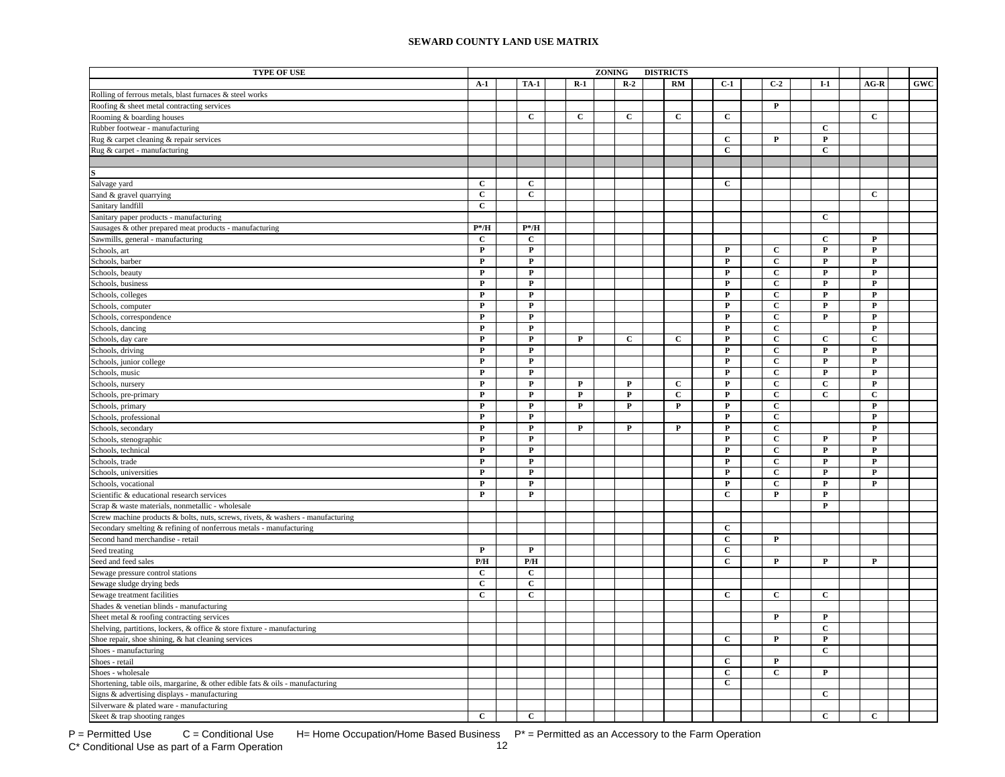| <b>TYPE OF USE</b>                                                              |                         |                |              | <b>ZONING</b><br><b>DISTRICTS</b> |              |  |              |  |                |  |                |  |                |                |            |
|---------------------------------------------------------------------------------|-------------------------|----------------|--------------|-----------------------------------|--------------|--|--------------|--|----------------|--|----------------|--|----------------|----------------|------------|
|                                                                                 | $A-1$                   | <b>TA-1</b>    | $R-1$        |                                   | $R-2$        |  | <b>RM</b>    |  | $C-1$          |  | $C-2$          |  | $I-1$          | $AG-R$         | <b>GWC</b> |
| Rolling of ferrous metals, blast furnaces & steel works                         |                         |                |              |                                   |              |  |              |  |                |  |                |  |                |                |            |
| Roofing & sheet metal contracting services                                      |                         |                |              |                                   |              |  |              |  |                |  | $\mathbf{P}$   |  |                |                |            |
| Rooming & boarding houses                                                       |                         | $\mathbf{C}$   | $\mathbf{C}$ |                                   | $\mathbf C$  |  | $\mathbf c$  |  | $\mathbf{C}$   |  |                |  |                | C              |            |
| Rubber footwear - manufacturing                                                 |                         |                |              |                                   |              |  |              |  |                |  |                |  | $\mathbf{C}$   |                |            |
| Rug & carpet cleaning & repair services                                         |                         |                |              |                                   |              |  |              |  | $\mathbf{C}$   |  | $\mathbf P$    |  | $\mathbf P$    |                |            |
| Rug & carpet - manufacturing                                                    |                         |                |              |                                   |              |  |              |  | $\mathbf{C}$   |  |                |  | $\mathbf C$    |                |            |
|                                                                                 |                         |                |              |                                   |              |  |              |  |                |  |                |  |                |                |            |
|                                                                                 |                         |                |              |                                   |              |  |              |  |                |  |                |  |                |                |            |
| Salvage yard                                                                    | C                       | $\mathbf C$    |              |                                   |              |  |              |  | $\mathbf C$    |  |                |  |                |                |            |
| Sand & gravel quarrying                                                         | $\overline{c}$          | $\overline{c}$ |              |                                   |              |  |              |  |                |  |                |  |                | $\overline{c}$ |            |
| Sanitary landfill                                                               | $\mathbf C$             |                |              |                                   |              |  |              |  |                |  |                |  |                |                |            |
| Sanitary paper products - manufacturing                                         |                         |                |              |                                   |              |  |              |  |                |  |                |  | $\mathbf{C}$   |                |            |
| Sausages & other prepared meat products - manufacturing                         | $P^* / H$               | $P^* / H$      |              |                                   |              |  |              |  |                |  |                |  |                |                |            |
| Sawmills, general - manufacturing                                               | $\mathbf{C}$            | $\mathbf{C}$   |              |                                   |              |  |              |  |                |  |                |  | $\mathbf{C}$   | $\mathbf{P}$   |            |
| Schools, art                                                                    | $\mathbf P$             | $\mathbf{P}$   |              |                                   |              |  |              |  | ${\bf P}$      |  | $\mathbf{C}$   |  | $\mathbf{P}$   | $\mathbf P$    |            |
| Schools, barber                                                                 | ${\bf P}$               | $\mathbf{P}$   |              |                                   |              |  |              |  | $\mathbf{P}$   |  | $\mathbf{C}$   |  | $\mathbf{P}$   | $\mathbf{P}$   |            |
| Schools, beauty                                                                 | $\mathbf{P}$            | $\mathbf{P}$   |              |                                   |              |  |              |  | $\mathbf P$    |  | $\mathbf{C}$   |  | $\mathbf{P}$   | $\mathbf{P}$   |            |
|                                                                                 | $\mathbf P$             | P              |              |                                   |              |  |              |  | $\mathbf P$    |  | $\mathbf{C}$   |  | P              | P              |            |
| Schools, business                                                               | $\mathbf P$             | $\mathbf P$    |              |                                   |              |  |              |  | $\mathbf P$    |  | $\mathbf{C}$   |  | $\mathbf P$    | $\mathbf P$    |            |
| Schools, colleges<br>Schools, computer                                          | $\mathbf P$             | $\mathbf P$    |              |                                   |              |  |              |  | P              |  | $\mathbf{C}$   |  | $\mathbf{P}$   | P              |            |
|                                                                                 | $\mathbf{P}$            | $\mathbf{P}$   |              |                                   |              |  |              |  | ${\bf P}$      |  | $\mathbf{C}$   |  | $\mathbf{P}$   | $\mathbf{P}$   |            |
| Schools, correspondence                                                         | $\mathbf P$             | $\mathbf{P}$   |              |                                   |              |  |              |  | $\mathbf P$    |  | $\mathbf C$    |  |                | $\mathbf{P}$   |            |
| Schools, dancing                                                                | $\mathbf P$             | $\mathbf{P}$   | $\mathbf P$  |                                   | $\mathbf{C}$ |  | $\mathbf{C}$ |  | $\mathbf P$    |  | $\overline{c}$ |  | $\mathbf{C}$   | $\mathbf C$    |            |
| Schools, day care                                                               | $\mathbf P$             | $\mathbf P$    |              |                                   |              |  |              |  | $\mathbf P$    |  | $\mathbf C$    |  | $\mathbf{P}$   | $\mathbf P$    |            |
| Schools, driving                                                                | $\mathbf P$             | $\mathbf P$    |              |                                   |              |  |              |  |                |  | $\mathbf C$    |  | $\mathbf P$    | $\mathbf P$    |            |
| Schools, junior college                                                         |                         |                |              |                                   |              |  |              |  | $\mathbf P$    |  |                |  |                |                |            |
| Schools, music                                                                  | ${\bf P}$               | $\mathbf P$    |              |                                   |              |  |              |  | $\mathbf P$    |  | $\mathbf C$    |  | $\mathbf P$    | $\mathbf P$    |            |
| Schools, nursery                                                                | $\mathbf P$             | $\mathbf P$    | $\mathbf P$  |                                   | $\mathbf P$  |  | $\mathbf C$  |  | $\mathbf P$    |  | $\mathbf C$    |  | $\mathbf C$    | $\mathbf P$    |            |
| Schools, pre-primary                                                            | $\mathbf P$             | $\mathbf P$    | $\mathbf P$  |                                   | $\mathbf P$  |  | $\mathbf{C}$ |  | ${\bf P}$      |  | $\mathbf{C}$   |  | $\mathbf{C}$   | $\mathbf{C}$   |            |
| Schools, primary                                                                | $\mathbf P$             | $\mathbf{P}$   | $\mathbf{P}$ |                                   | ${\bf P}$    |  | $\mathbf{P}$ |  | $\mathbf P$    |  | $\overline{c}$ |  |                | P              |            |
| Schools, professional                                                           | $\mathbf P$             | $\mathbf{P}$   |              |                                   |              |  |              |  | $\mathbf{P}$   |  | $\mathbf{C}$   |  |                | $\mathbf{P}$   |            |
| Schools, secondary                                                              | $\mathbf P$             | $\mathbf{P}$   | $\mathbf{P}$ |                                   | $\mathbf{P}$ |  | P            |  | $\mathbf{P}$   |  | $\mathbf{C}$   |  |                | $\mathbf{P}$   |            |
| Schools, stenographic                                                           | P                       | $\mathbf{P}$   |              |                                   |              |  |              |  | P              |  | $\mathbf{c}$   |  | P              | P              |            |
| Schools, technical                                                              | $\mathbf P$             | $\mathbf{P}$   |              |                                   |              |  |              |  | $\mathbf{P}$   |  | $\mathbf{C}$   |  | $\mathbf{P}$   | $\mathbf{P}$   |            |
| Schools, trade                                                                  | $\mathbf P$             | $\mathbf{P}$   |              |                                   |              |  |              |  | $\mathbf{P}$   |  | $\mathbf{C}$   |  | $\mathbf{P}$   | $\mathbf{P}$   |            |
| Schools, universities                                                           | $\mathbf P$             | $\mathbf{P}$   |              |                                   |              |  |              |  | $\mathbf P$    |  | $\mathbf{C}$   |  | $\mathbf{P}$   | $\mathbf{P}$   |            |
| Schools, vocational                                                             | $\mathbf P$             | $\mathbf{P}$   |              |                                   |              |  |              |  | $\mathbf P$    |  | $\mathbf{C}$   |  | $\mathbf P$    | $\mathbf{P}$   |            |
| Scientific & educational research services                                      | $\mathbf P$             | $\mathbf{P}$   |              |                                   |              |  |              |  | $\mathbf{C}$   |  | $\mathbf{P}$   |  | P              |                |            |
| Scrap & waste materials, nonmetallic - wholesale                                |                         |                |              |                                   |              |  |              |  |                |  |                |  | $\mathbf P$    |                |            |
| Screw machine products & bolts, nuts, screws, rivets, & washers - manufacturing |                         |                |              |                                   |              |  |              |  |                |  |                |  |                |                |            |
| Secondary smelting & refining of nonferrous metals - manufacturing              |                         |                |              |                                   |              |  |              |  | $\mathbf C$    |  |                |  |                |                |            |
| Second hand merchandise - retail                                                |                         |                |              |                                   |              |  |              |  | $\mathbf{C}$   |  | $\mathbf P$    |  |                |                |            |
| Seed treating                                                                   | $\mathbf P$             | $\mathbf P$    |              |                                   |              |  |              |  | $\mathbf C$    |  |                |  |                |                |            |
| Seed and feed sales                                                             | $\mathbf{P}/\mathbf{H}$ | P/H            |              |                                   |              |  |              |  | $\mathbf C$    |  | $\mathbf P$    |  | $\mathbf P$    | $\mathbf P$    |            |
| Sewage pressure control stations                                                | $\mathbf C$             | $\mathbf C$    |              |                                   |              |  |              |  |                |  |                |  |                |                |            |
| Sewage sludge drying beds                                                       | $\mathbf{C}$            | $\overline{c}$ |              |                                   |              |  |              |  |                |  |                |  |                |                |            |
| Sewage treatment facilities                                                     | $\overline{c}$          | $\overline{c}$ |              |                                   |              |  |              |  | $\overline{c}$ |  | $\overline{c}$ |  | $\overline{c}$ |                |            |
| Shades & venetian blinds - manufacturing                                        |                         |                |              |                                   |              |  |              |  |                |  |                |  |                |                |            |
| Sheet metal & roofing contracting services                                      |                         |                |              |                                   |              |  |              |  |                |  | P              |  | $\mathbf{P}$   |                |            |
| Shelving, partitions, lockers, & office & store fixture - manufacturing         |                         |                |              |                                   |              |  |              |  |                |  |                |  | $\mathbf{C}$   |                |            |
| Shoe repair, shoe shining, & hat cleaning services                              |                         |                |              |                                   |              |  |              |  | $\mathbf{C}$   |  | $\mathbf{P}$   |  | $\mathbf{P}$   |                |            |
| Shoes - manufacturing                                                           |                         |                |              |                                   |              |  |              |  |                |  |                |  | $\mathbf{C}$   |                |            |
| Shoes - retail                                                                  |                         |                |              |                                   |              |  |              |  | $\mathbf{C}$   |  | $\mathbf{P}$   |  |                |                |            |
| Shoes - wholesale                                                               |                         |                |              |                                   |              |  |              |  | $\mathbf{C}$   |  | $\mathbf C$    |  | $\mathbf{P}$   |                |            |
| Shortening, table oils, margarine, & other edible fats & oils - manufacturing   |                         |                |              |                                   |              |  |              |  | $\mathbf{C}$   |  |                |  |                |                |            |
| Signs & advertising displays - manufacturing                                    |                         |                |              |                                   |              |  |              |  |                |  |                |  | C              |                |            |
| Silverware & plated ware - manufacturing                                        |                         |                |              |                                   |              |  |              |  |                |  |                |  |                |                |            |
| Skeet & trap shooting ranges                                                    | $\mathbf{C}$            | $\mathbf{C}$   |              |                                   |              |  |              |  |                |  |                |  | $\mathbf{C}$   | $\mathbf{C}$   |            |

P = Permitted Use  $C =$  Conditional Use H= Home Occupation/Home Based Business  $P^* =$  Permitted as an Accessory to the Farm Operation<br>C\* Conditional Use as part of a Farm Operation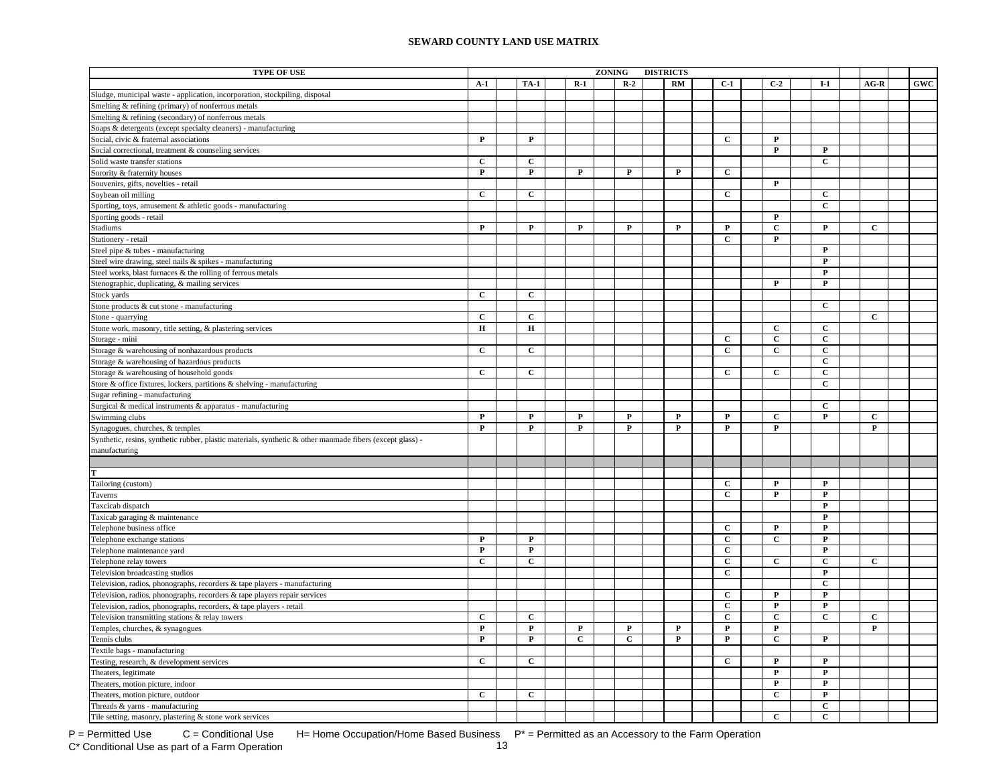| <b>TYPE OF USE</b>                                                                                        |              |                |              | <b>ZONING</b> |             | <b>DISTRICTS</b> |                         |  |                |  |              |  |              |     |
|-----------------------------------------------------------------------------------------------------------|--------------|----------------|--------------|---------------|-------------|------------------|-------------------------|--|----------------|--|--------------|--|--------------|-----|
|                                                                                                           | $A-1$        | <b>TA-1</b>    | $R-1$        |               | $R-2$       | <b>RM</b>        | $C-1$                   |  | $C-2$          |  | $I-1$        |  | $AG-R$       | GWC |
| Sludge, municipal waste - application, incorporation, stockpiling, disposal                               |              |                |              |               |             |                  |                         |  |                |  |              |  |              |     |
| Smelting & refining (primary) of nonferrous metals                                                        |              |                |              |               |             |                  |                         |  |                |  |              |  |              |     |
| Smelting & refining (secondary) of nonferrous metals                                                      |              |                |              |               |             |                  |                         |  |                |  |              |  |              |     |
| Soaps & detergents (except specialty cleaners) - manufacturing                                            |              |                |              |               |             |                  |                         |  |                |  |              |  |              |     |
| Social, civic & fraternal associations                                                                    | $\mathbf P$  | $\mathbf P$    |              |               |             |                  | $\mathbf{C}$            |  | $\mathbf{P}$   |  |              |  |              |     |
| Social correctional, treatment & counseling services                                                      |              |                |              |               |             |                  |                         |  | $\overline{P}$ |  | ${\bf P}$    |  |              |     |
| Solid waste transfer stations                                                                             | $\mathbf C$  | $\mathbf C$    |              |               |             |                  |                         |  |                |  | $\mathbf{C}$ |  |              |     |
| Sorority & fraternity houses                                                                              | $\mathbf P$  | $\mathbf P$    | $\mathbf P$  |               | $\mathbf P$ | $\mathbf P$      | $\mathbf{C}$            |  |                |  |              |  |              |     |
| Souvenirs, gifts, novelties - retail                                                                      |              |                |              |               |             |                  |                         |  | $\mathbf{P}$   |  |              |  |              |     |
| Soybean oil milling                                                                                       | $\mathbf C$  | $\mathbf C$    |              |               |             |                  | $\mathbf{C}$            |  |                |  | $\mathbf C$  |  |              |     |
| Sporting, toys, amusement & athletic goods - manufacturing                                                |              |                |              |               |             |                  |                         |  |                |  | $\mathbf{C}$ |  |              |     |
| Sporting goods - retail                                                                                   |              |                |              |               |             |                  |                         |  | $\mathbf{P}$   |  |              |  |              |     |
| Stadiums                                                                                                  | $\mathbf{P}$ | P              | $\mathbf{P}$ |               | P           | P                | P                       |  | $\mathbf{C}$   |  | P            |  | C            |     |
| Stationery - retail                                                                                       |              |                |              |               |             |                  | $\mathbf{C}$            |  | $\mathbf P$    |  |              |  |              |     |
| Steel pipe & tubes - manufacturing                                                                        |              |                |              |               |             |                  |                         |  |                |  | $\mathbf{P}$ |  |              |     |
| Steel wire drawing, steel nails & spikes - manufacturing                                                  |              |                |              |               |             |                  |                         |  |                |  | P            |  |              |     |
| Steel works, blast furnaces & the rolling of ferrous metals                                               |              |                |              |               |             |                  |                         |  |                |  | P            |  |              |     |
| Stenographic, duplicating, & mailing services                                                             |              |                |              |               |             |                  |                         |  | P              |  | $\mathbf{P}$ |  |              |     |
| Stock yards                                                                                               | $\mathbf{C}$ | $\mathbf{C}$   |              |               |             |                  |                         |  |                |  |              |  |              |     |
| Stone products & cut stone - manufacturing                                                                |              |                |              |               |             |                  |                         |  |                |  | $\mathbf{C}$ |  |              |     |
| Stone - quarrying                                                                                         | $\mathbf c$  | $\mathbf{C}$   |              |               |             |                  |                         |  |                |  |              |  | $\mathbf{C}$ |     |
| Stone work, masonry, title setting, & plastering services                                                 | $\mathbf H$  | $\mathbf H$    |              |               |             |                  |                         |  | $\mathbf{C}$   |  | $\mathbf{C}$ |  |              |     |
| Storage - mini                                                                                            |              |                |              |               |             |                  | $\mathbf{C}$            |  | $\mathbf C$    |  | $\mathbf{C}$ |  |              |     |
| Storage & warehousing of nonhazardous products                                                            | $\mathbf{C}$ | $\mathbf C$    |              |               |             |                  | $\mathbf{C}$            |  | $\mathbf{C}$   |  | $\mathbf{C}$ |  |              |     |
| Storage & warehousing of hazardous products                                                               |              |                |              |               |             |                  |                         |  |                |  | $\mathbf C$  |  |              |     |
| Storage & warehousing of household goods                                                                  | $\mathbf{C}$ | $\overline{c}$ |              |               |             |                  | $\overline{c}$          |  | $\overline{c}$ |  | $\mathbf{C}$ |  |              |     |
| Store & office fixtures, lockers, partitions & shelving - manufacturing                                   |              |                |              |               |             |                  |                         |  |                |  | $\mathbf C$  |  |              |     |
| Sugar refining - manufacturing                                                                            |              |                |              |               |             |                  |                         |  |                |  |              |  |              |     |
| Surgical & medical instruments & apparatus - manufacturing                                                |              |                |              |               |             |                  |                         |  |                |  | $\mathbf{C}$ |  |              |     |
| Swimming clubs                                                                                            | P            | $\mathbf{P}$   | $\mathbf{P}$ |               | $\mathbf P$ | $\mathbf{P}$     | $\mathbf{P}$            |  | $\mathbf{C}$   |  | $\mathbf{P}$ |  | $\mathbf{C}$ |     |
| Synagogues, churches, & temples                                                                           | P            | $\mathbf P$    | $\mathbf{P}$ |               | P           | $\mathbf{P}$     | $\mathbf{P}$            |  | ${\bf P}$      |  |              |  | $\mathbf{P}$ |     |
| Synthetic, resins, synthetic rubber, plastic materials, synthetic & other manmade fibers (except glass) - |              |                |              |               |             |                  |                         |  |                |  |              |  |              |     |
| manufacturing                                                                                             |              |                |              |               |             |                  |                         |  |                |  |              |  |              |     |
|                                                                                                           |              |                |              |               |             |                  |                         |  |                |  |              |  |              |     |
|                                                                                                           |              |                |              |               |             |                  |                         |  |                |  |              |  |              |     |
| Tailoring (custom)                                                                                        |              |                |              |               |             |                  | $\mathbf{C}$            |  | $\mathbf{P}$   |  | $\mathbf{P}$ |  |              |     |
| Taverns                                                                                                   |              |                |              |               |             |                  | $\mathbf{C}$            |  | P              |  | $\mathbf{P}$ |  |              |     |
| Taxcicab dispatch                                                                                         |              |                |              |               |             |                  |                         |  |                |  | P            |  |              |     |
| Taxicab garaging & maintenance                                                                            |              |                |              |               |             |                  |                         |  |                |  | P            |  |              |     |
| Telephone business office                                                                                 |              |                |              |               |             |                  | $\mathbf{C}$            |  | $\mathbf P$    |  | P            |  |              |     |
| Telephone exchange stations                                                                               | $\mathbf{P}$ | $\mathbf{P}$   |              |               |             |                  | $\mathbf{C}$            |  | $\mathbf{C}$   |  | $\mathbf P$  |  |              |     |
| Telephone maintenance yard                                                                                | ${\bf P}$    | $\mathbf P$    |              |               |             |                  | $\mathbf C$             |  |                |  | ${\bf P}$    |  |              |     |
| Telephone relay towers                                                                                    | $\mathbf C$  | $\mathbf C$    |              |               |             |                  | $\mathbf C$             |  | $\mathbf C$    |  | $\mathbf C$  |  | $\mathbf C$  |     |
| Television broadcasting studios                                                                           |              |                |              |               |             |                  | $\mathbf C$             |  |                |  | $\mathbf P$  |  |              |     |
| Television, radios, phonographs, recorders & tape players - manufacturing                                 |              |                |              |               |             |                  |                         |  |                |  | $\mathbf C$  |  |              |     |
| Television, radios, phonographs, recorders & tape players repair services                                 |              |                |              |               |             |                  | $\mathbf C$             |  | $\mathbf P$    |  | $\mathbf P$  |  |              |     |
| Television, radios, phonographs, recorders, & tape players - retail                                       |              |                |              |               |             |                  | $\mathbf C$             |  | $\mathbf P$    |  | $\mathbf P$  |  |              |     |
| Television transmitting stations & relay towers                                                           | $\mathbf C$  | $\mathbf C$    |              |               |             |                  | $\mathbf{C}$            |  | $\overline{c}$ |  | $\mathbf C$  |  | $\mathbf C$  |     |
| Temples, churches, & synagogues                                                                           | $\mathbf P$  | $\mathbf P$    | $\mathbf P$  |               | $\mathbf P$ | $\mathbf P$      | $\mathbf{P}$            |  | $\mathbf P$    |  |              |  | $\mathbf{P}$ |     |
| Tennis clubs                                                                                              | $\mathbf P$  | $\mathbf P$    | $\mathbf C$  |               | $\mathbf C$ | $\mathbf P$      | $\overline{\mathbf{P}}$ |  | $\overline{c}$ |  | $\mathbf P$  |  |              |     |
| Textile bags - manufacturing                                                                              |              |                |              |               |             |                  |                         |  |                |  |              |  |              |     |
|                                                                                                           | $\mathbf C$  | $\mathbf C$    |              |               |             |                  | $\mathbf{C}$            |  | $\mathbf{P}$   |  | $\mathbf P$  |  |              |     |
| Testing, research, & development services                                                                 |              |                |              |               |             |                  |                         |  | $\mathbf{P}$   |  | $\mathbf P$  |  |              |     |
| Theaters, legitimate                                                                                      |              |                |              |               |             |                  |                         |  | $\mathbf{P}$   |  | $\mathbf P$  |  |              |     |
| Theaters, motion picture, indoor                                                                          | $\mathbf{C}$ | $\mathbf{C}$   |              |               |             |                  |                         |  | $\mathbf{C}$   |  | $\mathbf{P}$ |  |              |     |
| Theaters, motion picture, outdoor                                                                         |              |                |              |               |             |                  |                         |  |                |  | $\mathbf C$  |  |              |     |
| Threads & yarns - manufacturing                                                                           |              |                |              |               |             |                  |                         |  | $\mathbf{C}$   |  | $\mathbf{C}$ |  |              |     |
| Tile setting, masonry, plastering & stone work services                                                   |              |                |              |               |             |                  |                         |  |                |  |              |  |              |     |

P = Permitted Use  $C =$  Conditional Use H= Home Occupation/Home Based Business  $P^* =$  Permitted as an Accessory to the Farm Operation  $C^*$  Conditional Use as part of a Farm Operation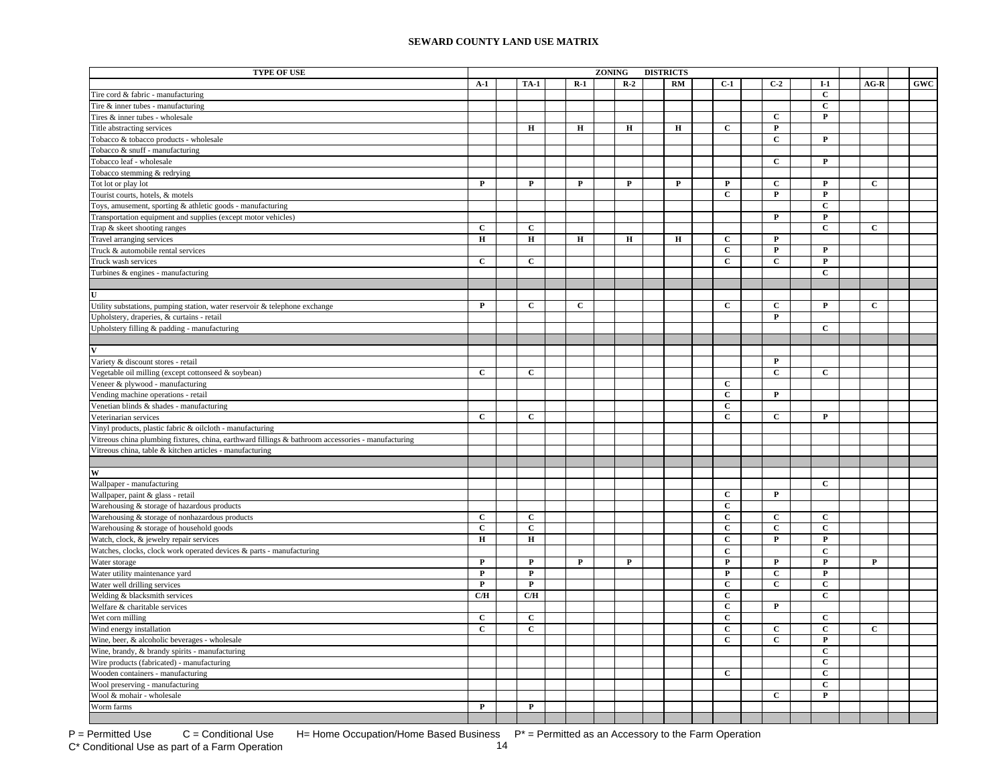| <b>TYPE OF USE</b>                                                                                 | ZONING<br><b>DISTRICTS</b> |  |                         |  |              |  |             |  |    |  |                |                |                |                |            |
|----------------------------------------------------------------------------------------------------|----------------------------|--|-------------------------|--|--------------|--|-------------|--|----|--|----------------|----------------|----------------|----------------|------------|
|                                                                                                    | $A-1$                      |  | <b>TA-1</b>             |  | $R-1$        |  | $R-2$       |  | RM |  | $C-1$          | $C-2$          | $I-1$          | $AG-R$         | <b>GWC</b> |
| Tire cord & fabric - manufacturing                                                                 |                            |  |                         |  |              |  |             |  |    |  |                |                | $\mathbf{C}$   |                |            |
| Tire & inner tubes - manufacturing                                                                 |                            |  |                         |  |              |  |             |  |    |  |                |                | $\mathbf{C}$   |                |            |
| Tires & inner tubes - wholesale                                                                    |                            |  |                         |  |              |  |             |  |    |  |                | $\mathbf{C}$   | $\mathbf{P}$   |                |            |
| Title abstracting services                                                                         |                            |  | $\mathbf H$             |  | $\bf H$      |  | $\bf H$     |  | н  |  | $\mathbf{C}$   | $\mathbf{P}$   |                |                |            |
| Tobacco & tobacco products - wholesale                                                             |                            |  |                         |  |              |  |             |  |    |  |                | $\mathbf C$    | $\mathbf{P}$   |                |            |
| Tobacco & snuff - manufacturing                                                                    |                            |  |                         |  |              |  |             |  |    |  |                |                |                |                |            |
| Tobacco leaf - wholesale                                                                           |                            |  |                         |  |              |  |             |  |    |  |                | $\mathbf C$    | $\mathbf{P}$   |                |            |
| Tobacco stemming & redrying                                                                        |                            |  |                         |  |              |  |             |  |    |  |                |                |                |                |            |
| Tot lot or play lot                                                                                | $\mathbf{P}$               |  | $\mathbf{P}$            |  | $\mathbf P$  |  | $\mathbf P$ |  | P  |  | P              | $\mathbf{C}$   | P              | $\mathbf{C}$   |            |
| Tourist courts, hotels, & motels                                                                   |                            |  |                         |  |              |  |             |  |    |  | $\mathbf C$    | $\mathbf P$    | $\mathbf{P}$   |                |            |
| Toys, amusement, sporting & athletic goods - manufacturing                                         |                            |  |                         |  |              |  |             |  |    |  |                |                | $\mathbf C$    |                |            |
| Transportation equipment and supplies (except motor vehicles)                                      |                            |  |                         |  |              |  |             |  |    |  |                | $\overline{P}$ | $\overline{P}$ |                |            |
| Trap & skeet shooting ranges                                                                       | $\mathbf C$                |  | $\mathbf C$             |  |              |  |             |  |    |  |                |                | $\overline{c}$ | $\overline{c}$ |            |
| Travel arranging services                                                                          | $\mathbf H$                |  | $\bf H$                 |  | $\mathbf H$  |  | $\mathbf H$ |  | н  |  | $\mathbf{C}$   | $\mathbf P$    |                |                |            |
| Truck & automobile rental services                                                                 |                            |  |                         |  |              |  |             |  |    |  | $\mathbf{C}$   | $\mathbf P$    | $\mathbf{P}$   |                |            |
| Truck wash services                                                                                | $\mathbf{C}$               |  | $\mathbf{C}$            |  |              |  |             |  |    |  | $\mathbf{C}$   | $\mathbf{C}$   | $\mathbf{P}$   |                |            |
| Turbines & engines - manufacturing                                                                 |                            |  |                         |  |              |  |             |  |    |  |                |                | $\mathbf{C}$   |                |            |
|                                                                                                    |                            |  |                         |  |              |  |             |  |    |  |                |                |                |                |            |
|                                                                                                    |                            |  |                         |  |              |  |             |  |    |  |                |                |                |                |            |
| Utility substations, pumping station, water reservoir & telephone exchange                         | $\mathbf P$                |  | $\mathbf{C}$            |  | $\mathbf{C}$ |  |             |  |    |  | $\mathbf{C}$   | $\mathbf{C}$   | $\mathbf{P}$   | $\mathbf{C}$   |            |
| Upholstery, draperies, & curtains - retail                                                         |                            |  |                         |  |              |  |             |  |    |  |                | $\mathbf{P}$   |                |                |            |
| Upholstery filling & padding - manufacturing                                                       |                            |  |                         |  |              |  |             |  |    |  |                |                | $\mathbf{C}$   |                |            |
|                                                                                                    |                            |  |                         |  |              |  |             |  |    |  |                |                |                |                |            |
|                                                                                                    |                            |  |                         |  |              |  |             |  |    |  |                |                |                |                |            |
| Variety & discount stores - retail                                                                 |                            |  |                         |  |              |  |             |  |    |  |                | $\mathbf P$    |                |                |            |
| Vegetable oil milling (except cottonseed & soybean)                                                | $\mathbf{C}$               |  | $\mathbf{C}$            |  |              |  |             |  |    |  |                | $\mathbf{C}$   | $\mathbf{C}$   |                |            |
| Veneer & plywood - manufacturing                                                                   |                            |  |                         |  |              |  |             |  |    |  | $\mathbf C$    |                |                |                |            |
| Vending machine operations - retail                                                                |                            |  |                         |  |              |  |             |  |    |  | $\mathbf{C}$   | $\mathbf P$    |                |                |            |
| Venetian blinds & shades - manufacturing                                                           |                            |  |                         |  |              |  |             |  |    |  | $\mathbf C$    |                |                |                |            |
| Veterinarian services                                                                              | $\mathbf{C}$               |  | $\mathbf C$             |  |              |  |             |  |    |  | $\mathbf C$    | $\mathbf C$    | $\mathbf P$    |                |            |
| Vinyl products, plastic fabric & oilcloth - manufacturing                                          |                            |  |                         |  |              |  |             |  |    |  |                |                |                |                |            |
| Vitreous china plumbing fixtures, china, earthward fillings & bathroom accessories - manufacturing |                            |  |                         |  |              |  |             |  |    |  |                |                |                |                |            |
| Vitreous china, table & kitchen articles - manufacturing                                           |                            |  |                         |  |              |  |             |  |    |  |                |                |                |                |            |
|                                                                                                    |                            |  |                         |  |              |  |             |  |    |  |                |                |                |                |            |
| W                                                                                                  |                            |  |                         |  |              |  |             |  |    |  |                |                |                |                |            |
| Wallpaper - manufacturing                                                                          |                            |  |                         |  |              |  |             |  |    |  |                |                | $\mathbf{C}$   |                |            |
| Wallpaper, paint & glass - retail                                                                  |                            |  |                         |  |              |  |             |  |    |  | $\mathbf{C}$   | $\mathbf{P}$   |                |                |            |
| Warehousing & storage of hazardous products                                                        |                            |  |                         |  |              |  |             |  |    |  | $\mathbf C$    |                |                |                |            |
| Warehousing & storage of nonhazardous products                                                     | $\mathbf{C}$               |  | $\mathbf{C}$            |  |              |  |             |  |    |  | $\mathbf C$    | $\mathbf C$    | $\mathbf{C}$   |                |            |
| Warehousing & storage of household goods                                                           | $\mathbf{C}$               |  | $\mathbf C$             |  |              |  |             |  |    |  | $\mathbf{C}$   | $\mathbf C$    | $\mathbf{C}$   |                |            |
| Watch, clock, & jewelry repair services                                                            | н                          |  | $\bf H$                 |  |              |  |             |  |    |  | C              | P              | P              |                |            |
| Watches, clocks, clock work operated devices & parts - manufacturing                               |                            |  |                         |  |              |  |             |  |    |  | $\mathbf C$    |                | $\mathbf C$    |                |            |
| Water storage                                                                                      | $\mathbf P$                |  | $\mathbf{P}$            |  | $\mathbf P$  |  | $\mathbf P$ |  |    |  | $\mathbf P$    | $\mathbf P$    | $\mathbf{P}$   | $\mathbf P$    |            |
| Water utility maintenance yard                                                                     | $\mathbf P$                |  | $\overline{\mathbf{P}}$ |  |              |  |             |  |    |  | $\mathbf{P}$   | $\overline{c}$ | ${\bf P}$      |                |            |
| Water well drilling services                                                                       | $\mathbf P$                |  | $\mathbf P$             |  |              |  |             |  |    |  | $\mathbf C$    | $\mathbf C$    | $\mathbf C$    |                |            |
| Welding & blacksmith services                                                                      | C/H                        |  | C/H                     |  |              |  |             |  |    |  | $\mathbf C$    |                | $\mathbf C$    |                |            |
| Welfare & charitable services                                                                      |                            |  |                         |  |              |  |             |  |    |  | $\mathbf C$    | $\mathbf P$    |                |                |            |
| Wet corn milling                                                                                   | $\mathbf C$                |  | $\mathbf C$             |  |              |  |             |  |    |  | $\mathbf C$    |                | $\mathbf C$    |                |            |
| Wind energy installation                                                                           | $\mathbf C$                |  | $\overline{c}$          |  |              |  |             |  |    |  | $\mathbf{C}$   | $\mathbf C$    | $\mathbf C$    | $\mathbf{C}$   |            |
| Wine, beer, & alcoholic beverages - wholesale                                                      |                            |  |                         |  |              |  |             |  |    |  | $\overline{c}$ | $\overline{c}$ | $\mathbf P$    |                |            |
| Wine, brandy, & brandy spirits - manufacturing                                                     |                            |  |                         |  |              |  |             |  |    |  |                |                | $\mathbf C$    |                |            |
| Wire products (fabricated) - manufacturing                                                         |                            |  |                         |  |              |  |             |  |    |  |                |                | $\mathbf C$    |                |            |
| Wooden containers - manufacturing                                                                  |                            |  |                         |  |              |  |             |  |    |  | $\mathbf{C}$   |                | $\mathbf{C}$   |                |            |
| Wool preserving - manufacturing                                                                    |                            |  |                         |  |              |  |             |  |    |  |                |                | $\mathbf{C}$   |                |            |
| Wool & mohair - wholesale                                                                          |                            |  |                         |  |              |  |             |  |    |  |                | $\mathbf{C}$   | $\mathbf{P}$   |                |            |
| Worm farms                                                                                         | $\mathbf{P}$               |  | $\mathbf{P}$            |  |              |  |             |  |    |  |                |                |                |                |            |
|                                                                                                    |                            |  |                         |  |              |  |             |  |    |  |                |                |                |                |            |

 $P =$  Permitted Use  $C =$  Conditional Use H= Home Occupation/Home Based Business  $P^* =$  Permitted as an Accessory to the Farm Operation<br>C\* Conditional Use as part of a Farm Operation